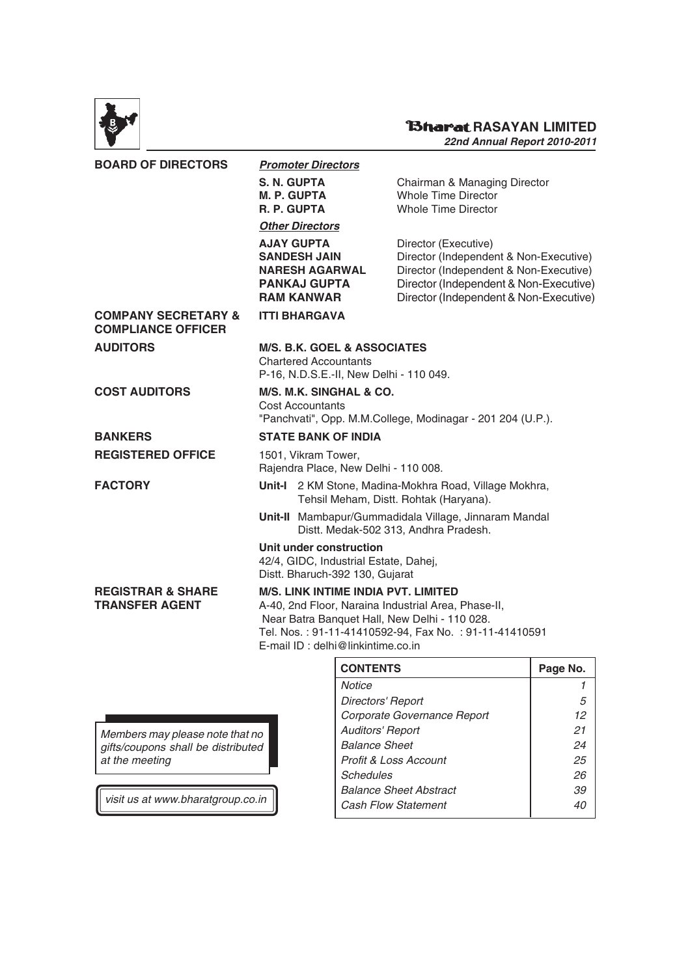

# **RASAYAN LIMITED**

**22nd Annual Report 2010-2011**

| <b>BOARD OF DIRECTORS</b>                                   |                                                                                                                                                                                                                                                   | <b>Promoter Directors</b>                                                                                     |                                                                                                                                                                                              |  |
|-------------------------------------------------------------|---------------------------------------------------------------------------------------------------------------------------------------------------------------------------------------------------------------------------------------------------|---------------------------------------------------------------------------------------------------------------|----------------------------------------------------------------------------------------------------------------------------------------------------------------------------------------------|--|
|                                                             | <b>S. N. GUPTA</b><br>M. P. GUPTA<br>R. P. GUPTA                                                                                                                                                                                                  |                                                                                                               | Chairman & Managing Director<br>Whole Time Director<br><b>Whole Time Director</b>                                                                                                            |  |
|                                                             |                                                                                                                                                                                                                                                   | <b>Other Directors</b>                                                                                        |                                                                                                                                                                                              |  |
|                                                             |                                                                                                                                                                                                                                                   | <b>AJAY GUPTA</b><br><b>SANDESH JAIN</b><br><b>NARESH AGARWAL</b><br><b>PANKAJ GUPTA</b><br><b>RAM KANWAR</b> | Director (Executive)<br>Director (Independent & Non-Executive)<br>Director (Independent & Non-Executive)<br>Director (Independent & Non-Executive)<br>Director (Independent & Non-Executive) |  |
| <b>COMPANY SECRETARY &amp;</b><br><b>COMPLIANCE OFFICER</b> |                                                                                                                                                                                                                                                   | <b>ITTI BHARGAVA</b>                                                                                          |                                                                                                                                                                                              |  |
| <b>AUDITORS</b>                                             | <b>M/S. B.K. GOEL &amp; ASSOCIATES</b><br><b>Chartered Accountants</b><br>P-16, N.D.S.E.-II, New Delhi - 110 049.                                                                                                                                 |                                                                                                               |                                                                                                                                                                                              |  |
| <b>COST AUDITORS</b>                                        | M/S. M.K. SINGHAL & CO.<br><b>Cost Accountants</b><br>"Panchvati", Opp. M.M.College, Modinagar - 201 204 (U.P.).                                                                                                                                  |                                                                                                               |                                                                                                                                                                                              |  |
| <b>BANKERS</b>                                              | <b>STATE BANK OF INDIA</b>                                                                                                                                                                                                                        |                                                                                                               |                                                                                                                                                                                              |  |
| <b>REGISTERED OFFICE</b>                                    |                                                                                                                                                                                                                                                   | 1501, Vikram Tower,<br>Rajendra Place, New Delhi - 110 008.                                                   |                                                                                                                                                                                              |  |
| <b>FACTORY</b>                                              |                                                                                                                                                                                                                                                   |                                                                                                               | Unit-I 2 KM Stone, Madina-Mokhra Road, Village Mokhra,<br>Tehsil Meham, Distt. Rohtak (Haryana).                                                                                             |  |
|                                                             |                                                                                                                                                                                                                                                   |                                                                                                               | Unit-II Mambapur/Gummadidala Village, Jinnaram Mandal<br>Distt. Medak-502 313, Andhra Pradesh.                                                                                               |  |
|                                                             |                                                                                                                                                                                                                                                   | Unit under construction<br>42/4, GIDC, Industrial Estate, Dahej,<br>Distt. Bharuch-392 130, Gujarat           |                                                                                                                                                                                              |  |
| <b>REGISTRAR &amp; SHARE</b><br><b>TRANSFER AGENT</b>       | <b>M/S. LINK INTIME INDIA PVT. LIMITED</b><br>A-40, 2nd Floor, Naraina Industrial Area, Phase-II,<br>Near Batra Banquet Hall, New Delhi - 110 028.<br>Tel. Nos.: 91-11-41410592-94, Fax No.: 91-11-41410591<br>E-mail ID : delhi@linkintime.co.in |                                                                                                               |                                                                                                                                                                                              |  |
|                                                             |                                                                                                                                                                                                                                                   |                                                                                                               |                                                                                                                                                                                              |  |

Members may please note that no gifts/coupons shall be distributed at the meeting

visit us at www.bharatgroup.co.in

| <b>CONTENTS</b>               | Page No. |
|-------------------------------|----------|
| <b>Notice</b>                 |          |
| Directors' Report             | 5        |
| Corporate Governance Report   | 12       |
| <b>Auditors' Report</b>       | 21       |
| <b>Balance Sheet</b>          | 24       |
| Profit & Loss Account         | 25       |
| Schedules                     | 26       |
| <b>Balance Sheet Abstract</b> | 39       |
| <b>Cash Flow Statement</b>    | 40       |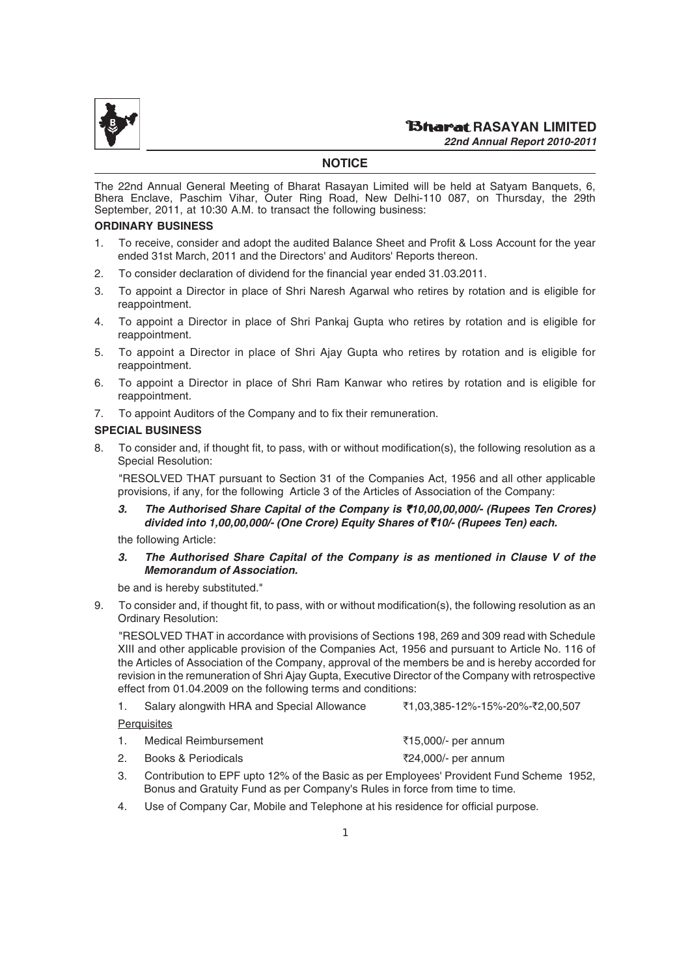

#### **NOTICE**

The 22nd Annual General Meeting of Bharat Rasayan Limited will be held at Satyam Banquets, 6, Bhera Enclave, Paschim Vihar, Outer Ring Road, New Delhi-110 087, on Thursday, the 29th September, 2011, at 10:30 A.M. to transact the following business:

#### **ORDINARY BUSINESS**

- 1. To receive, consider and adopt the audited Balance Sheet and Profit & Loss Account for the year ended 31st March, 2011 and the Directors' and Auditors' Reports thereon.
- 2. To consider declaration of dividend for the financial year ended 31.03.2011.
- 3. To appoint a Director in place of Shri Naresh Agarwal who retires by rotation and is eligible for reappointment.
- 4. To appoint a Director in place of Shri Pankaj Gupta who retires by rotation and is eligible for reappointment.
- 5. To appoint a Director in place of Shri Ajay Gupta who retires by rotation and is eligible for reappointment.
- 6. To appoint a Director in place of Shri Ram Kanwar who retires by rotation and is eligible for reappointment.
- 7. To appoint Auditors of the Company and to fix their remuneration.

#### **SPECIAL BUSINESS**

8. To consider and, if thought fit, to pass, with or without modification(s), the following resolution as a Special Resolution:

"RESOLVED THAT pursuant to Section 31 of the Companies Act, 1956 and all other applicable provisions, if any, for the following Article 3 of the Articles of Association of the Company:

*3. The Authorised Share Capital of the Company is* `*10,00,00,000/- (Rupees Ten Crores) divided into 1,00,00,000/- (One Crore) Equity Shares of* `*10/- (Rupees Ten) each.*

the following Article:

#### *3. The Authorised Share Capital of the Company is as mentioned in Clause V of the Memorandum of Association.*

be and is hereby substituted."

9. To consider and, if thought fit, to pass, with or without modification(s), the following resolution as an Ordinary Resolution:

"RESOLVED THAT in accordance with provisions of Sections 198, 269 and 309 read with Schedule XIII and other applicable provision of the Companies Act, 1956 and pursuant to Article No. 116 of the Articles of Association of the Company, approval of the members be and is hereby accorded for revision in the remuneration of Shri Ajay Gupta, Executive Director of the Company with retrospective effect from 01.04.2009 on the following terms and conditions:

| <b>Perquisites</b>                         |                                 |
|--------------------------------------------|---------------------------------|
| Salary alongwith HRA and Special Allowance | ₹1.03.385-12%-15%-20%-₹2.00.507 |

| 1. | Medical Reimbursement | ₹15,000/- per annum |
|----|-----------------------|---------------------|
|    | Books & Periodicals   | ₹24,000/- per annum |

- 3. Contribution to EPF upto 12% of the Basic as per Employees' Provident Fund Scheme 1952, Bonus and Gratuity Fund as per Company's Rules in force from time to time.
- 4. Use of Company Car, Mobile and Telephone at his residence for official purpose.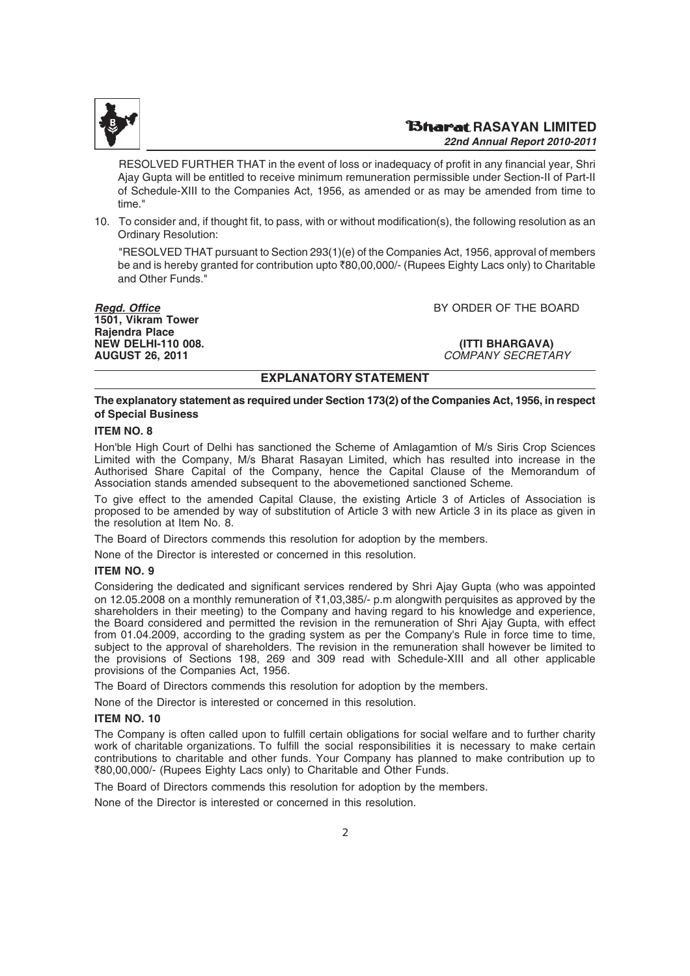

RESOLVED FURTHER THAT in the event of loss or inadequacy of profit in any financial year, Shri Ajay Gupta will be entitled to receive minimum remuneration permissible under Section-II of Part-II of Schedule-XIII to the Companies Act, 1956, as amended or as may be amended from time to time."

10. To consider and, if thought fit, to pass, with or without modification(s), the following resolution as an Ordinary Resolution:

"RESOLVED THAT pursuant to Section 293(1)(e) of the Companies Act, 1956, approval of members be and is hereby granted for contribution upto ₹80,00,000/- (Rupees Eighty Lacs only) to Charitable and Other Funds."

**1501, Vikram Tower Rajendra Place NEW DELHI-110 008. (ITTI BHARGAVA) AUGUST 26, 2011** COMPANY SECRETARY

*Regd. Office* BY ORDER OF THE BOARD

#### **EXPLANATORY STATEMENT**

#### **The explanatory statement as required under Section 173(2) of the Companies Act, 1956, in respect of Special Business**

#### **ITEM NO. 8**

Hon'ble High Court of Delhi has sanctioned the Scheme of Amlagamtion of M/s Siris Crop Sciences Limited with the Company, M/s Bharat Rasayan Limited, which has resulted into increase in the Authorised Share Capital of the Company, hence the Capital Clause of the Memorandum of Association stands amended subsequent to the abovemetioned sanctioned Scheme.

To give effect to the amended Capital Clause, the existing Article 3 of Articles of Association is proposed to be amended by way of substitution of Article 3 with new Article 3 in its place as given in the resolution at Item No. 8.

The Board of Directors commends this resolution for adoption by the members.

None of the Director is interested or concerned in this resolution.

#### **ITEM NO. 9**

Considering the dedicated and significant services rendered by Shri Ajay Gupta (who was appointed on 12.05.2008 on a monthly remuneration of  $\bar{\tau}$ 1,03,385/- p.m alongwith perquisites as approved by the shareholders in their meeting) to the Company and having regard to his knowledge and experience, the Board considered and permitted the revision in the remuneration of Shri Ajay Gupta, with effect from 01.04.2009, according to the grading system as per the Company's Rule in force time to time, subject to the approval of shareholders. The revision in the remuneration shall however be limited to the provisions of Sections 198, 269 and 309 read with Schedule-XIII and all other applicable provisions of the Companies Act, 1956.

The Board of Directors commends this resolution for adoption by the members.

None of the Director is interested or concerned in this resolution.

#### **ITEM NO. 10**

The Company is often called upon to fulfill certain obligations for social welfare and to further charity work of charitable organizations. To fulfill the social responsibilities it is necessary to make certain contributions to charitable and other funds. Your Company has planned to make contribution up to `80,00,000/- (Rupees Eighty Lacs only) to Charitable and Other Funds.

The Board of Directors commends this resolution for adoption by the members.

None of the Director is interested or concerned in this resolution.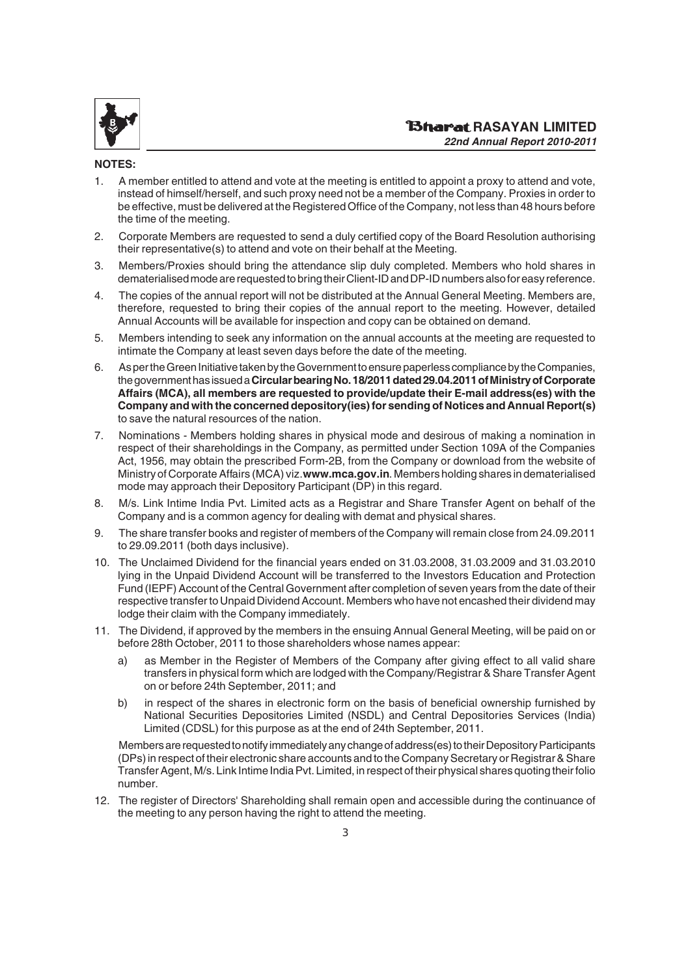

#### **NOTES:**

- 1. A member entitled to attend and vote at the meeting is entitled to appoint a proxy to attend and vote, instead of himself/herself, and such proxy need not be a member of the Company. Proxies in order to be effective, must be delivered at the Registered Office of the Company, not less than 48 hours before the time of the meeting.
- 2. Corporate Members are requested to send a duly certified copy of the Board Resolution authorising their representative(s) to attend and vote on their behalf at the Meeting.
- 3. Members/Proxies should bring the attendance slip duly completed. Members who hold shares in dematerialised mode are requested to bring their Client-ID and DP-ID numbers also for easy reference.
- 4. The copies of the annual report will not be distributed at the Annual General Meeting. Members are, therefore, requested to bring their copies of the annual report to the meeting. However, detailed Annual Accounts will be available for inspection and copy can be obtained on demand.
- 5. Members intending to seek any information on the annual accounts at the meeting are requested to intimate the Company at least seven days before the date of the meeting.
- 6. As per the Green Initiative taken by the Government to ensure paperless compliance by the Companies, the government has issued a **Circular bearing No. 18/2011 dated 29.04.2011 of Ministry of Corporate Affairs (MCA), all members are requested to provide/update their E-mail address(es) with the Company and with the concerned depository(ies) for sending of Notices and Annual Report(s)** to save the natural resources of the nation.
- 7. Nominations Members holding shares in physical mode and desirous of making a nomination in respect of their shareholdings in the Company, as permitted under Section 109A of the Companies Act, 1956, may obtain the prescribed Form-2B, from the Company or download from the website of Ministry of Corporate Affairs (MCA) viz. **www.mca.gov.in**. Members holding shares in dematerialised mode may approach their Depository Participant (DP) in this regard.
- 8. M/s. Link Intime India Pvt. Limited acts as a Registrar and Share Transfer Agent on behalf of the Company and is a common agency for dealing with demat and physical shares.
- 9. The share transfer books and register of members of the Company will remain close from 24.09.2011 to 29.09.2011 (both days inclusive).
- 10. The Unclaimed Dividend for the financial years ended on 31.03.2008, 31.03.2009 and 31.03.2010 lying in the Unpaid Dividend Account will be transferred to the Investors Education and Protection Fund (IEPF) Account of the Central Government after completion of seven years from the date of their respective transfer to Unpaid Dividend Account. Members who have not encashed their dividend may lodge their claim with the Company immediately.
- 11. The Dividend, if approved by the members in the ensuing Annual General Meeting, will be paid on or before 28th October, 2011 to those shareholders whose names appear:
	- a) as Member in the Register of Members of the Company after giving effect to all valid share transfers in physical form which are lodged with the Company/Registrar & Share Transfer Agent on or before 24th September, 2011; and
	- b) in respect of the shares in electronic form on the basis of beneficial ownership furnished by National Securities Depositories Limited (NSDL) and Central Depositories Services (India) Limited (CDSL) for this purpose as at the end of 24th September, 2011.

Members are requested to notify immediately any change of address(es) to their Depository Participants (DPs) in respect of their electronic share accounts and to the Company Secretary or Registrar & Share Transfer Agent, M/s. Link Intime India Pvt. Limited, in respect of their physical shares quoting their folio number.

12. The register of Directors' Shareholding shall remain open and accessible during the continuance of the meeting to any person having the right to attend the meeting.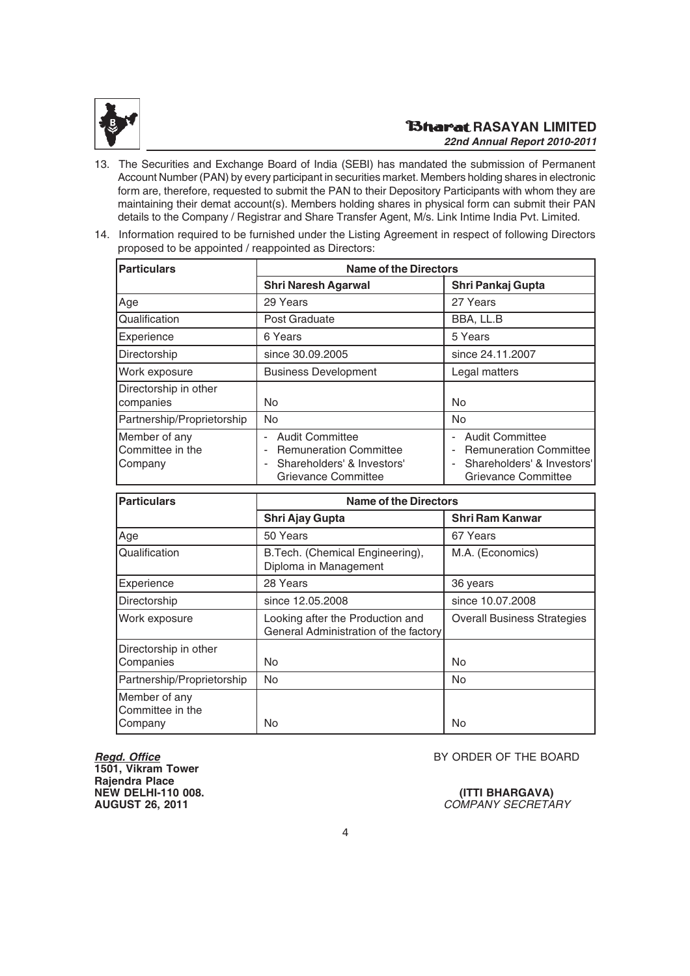

- 13. The Securities and Exchange Board of India (SEBI) has mandated the submission of Permanent Account Number (PAN) by every participant in securities market. Members holding shares in electronic form are, therefore, requested to submit the PAN to their Depository Participants with whom they are maintaining their demat account(s). Members holding shares in physical form can submit their PAN details to the Company / Registrar and Share Transfer Agent, M/s. Link Intime India Pvt. Limited.
- 14. Information required to be furnished under the Listing Agreement in respect of following Directors proposed to be appointed / reappointed as Directors:

| <b>Particulars</b>                           | <b>Name of the Directors</b>                                                                                                   |                                                                                                              |  |  |  |
|----------------------------------------------|--------------------------------------------------------------------------------------------------------------------------------|--------------------------------------------------------------------------------------------------------------|--|--|--|
|                                              | <b>Shri Naresh Agarwal</b>                                                                                                     | Shri Pankaj Gupta                                                                                            |  |  |  |
| Age                                          | 29 Years                                                                                                                       | 27 Years                                                                                                     |  |  |  |
| Qualification                                | Post Graduate                                                                                                                  | BBA, LL.B                                                                                                    |  |  |  |
| Experience                                   | 6 Years                                                                                                                        | 5 Years                                                                                                      |  |  |  |
| Directorship                                 | since 30.09.2005                                                                                                               | since 24.11.2007                                                                                             |  |  |  |
| Work exposure                                | <b>Business Development</b>                                                                                                    | Legal matters                                                                                                |  |  |  |
| Directorship in other<br>companies           | No                                                                                                                             | <b>No</b>                                                                                                    |  |  |  |
| Partnership/Proprietorship                   | <b>No</b>                                                                                                                      | <b>No</b>                                                                                                    |  |  |  |
| Member of any<br>Committee in the<br>Company | <b>Audit Committee</b><br>Ĭ.<br><b>Remuneration Committee</b><br>ä,<br>Shareholders' & Investors'<br>÷,<br>Grievance Committee | <b>Audit Committee</b><br><b>Remuneration Committee</b><br>Shareholders' & Investors'<br>Grievance Committee |  |  |  |

| <b>Particulars</b>                           | <b>Name of the Directors</b>                                              |                                    |  |  |  |
|----------------------------------------------|---------------------------------------------------------------------------|------------------------------------|--|--|--|
|                                              | Shri Ajay Gupta                                                           | <b>Shri Ram Kanwar</b>             |  |  |  |
| Age                                          | 50 Years                                                                  | 67 Years                           |  |  |  |
| Qualification                                | B.Tech. (Chemical Engineering),<br>Diploma in Management                  | M.A. (Economics)                   |  |  |  |
| Experience                                   | 28 Years                                                                  | 36 years                           |  |  |  |
| Directorship                                 | since 12,05,2008                                                          | since 10.07.2008                   |  |  |  |
| Work exposure                                | Looking after the Production and<br>General Administration of the factory | <b>Overall Business Strategies</b> |  |  |  |
| Directorship in other<br>Companies           | No                                                                        | No.                                |  |  |  |
| Partnership/Proprietorship                   | <b>No</b>                                                                 | No                                 |  |  |  |
| Member of any<br>Committee in the<br>Company | No                                                                        | No                                 |  |  |  |

**1501, Vikram Tower Rajendra Place NEW DELHI-110 008.**<br> **AUGUST 26, 2011**<br> **AUGUST 26, 2011** 

**BY ORDER OF THE BOARD** 

**COMPANY SECRETARY**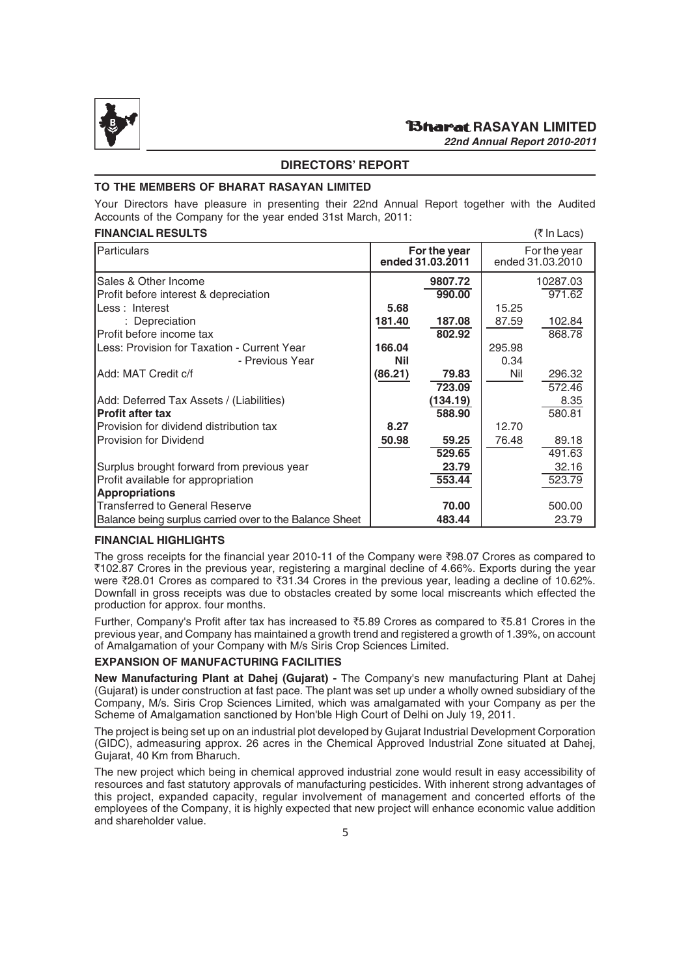

#### **DIRECTORS' REPORT**

#### **TO THE MEMBERS OF BHARAT RASAYAN LIMITED**

Your Directors have pleasure in presenting their 22nd Annual Report together with the Audited Accounts of the Company for the year ended 31st March, 2011:

#### **FINANCIAL RESULTS** (*\* In Lacs)

| $($ $($ $\cdots$ $\cdots$ $\cdots$ $\cdots$ $\cdots$ $\cdots$ $\cdots$ $\cdots$ $\cdots$ $\cdots$ $\cdots$ $\cdots$ $\cdots$ $\cdots$ $\cdots$ $\cdots$ $\cdots$ $\cdots$ $\cdots$ $\cdots$ $\cdots$ $\cdots$ $\cdots$ $\cdots$ $\cdots$ $\cdots$ $\cdots$ $\cdots$ $\cdots$ $\cdots$ $\cdots$ $\cdots$ $\cdots$ $\cdots$ $\cdots$ $\cd$ |            |                                  |        |                                  |  |
|------------------------------------------------------------------------------------------------------------------------------------------------------------------------------------------------------------------------------------------------------------------------------------------------------------------------------------------|------------|----------------------------------|--------|----------------------------------|--|
| Particulars                                                                                                                                                                                                                                                                                                                              |            | For the year<br>ended 31.03.2011 |        | For the year<br>ended 31.03.2010 |  |
| Sales & Other Income                                                                                                                                                                                                                                                                                                                     |            | 9807.72                          |        | 10287.03                         |  |
| Profit before interest & depreciation                                                                                                                                                                                                                                                                                                    |            | 990.00                           |        | 971.62                           |  |
| Less: Interest                                                                                                                                                                                                                                                                                                                           | 5.68       |                                  | 15.25  |                                  |  |
| : Depreciation                                                                                                                                                                                                                                                                                                                           | 181.40     | 187.08                           | 87.59  | 102.84                           |  |
| Profit before income tax                                                                                                                                                                                                                                                                                                                 |            | 802.92                           |        | 868.78                           |  |
| Less: Provision for Taxation - Current Year                                                                                                                                                                                                                                                                                              | 166.04     |                                  | 295.98 |                                  |  |
| - Previous Year                                                                                                                                                                                                                                                                                                                          | <b>Nil</b> |                                  | 0.34   |                                  |  |
| Add: MAT Credit c/f                                                                                                                                                                                                                                                                                                                      | (86.21)    | 79.83                            | Nil    | 296.32                           |  |
|                                                                                                                                                                                                                                                                                                                                          |            | 723.09                           |        | 572.46                           |  |
| Add: Deferred Tax Assets / (Liabilities)                                                                                                                                                                                                                                                                                                 |            | (134.19)                         |        | 8.35                             |  |
| <b>Profit after tax</b>                                                                                                                                                                                                                                                                                                                  |            | 588.90                           |        | 580.81                           |  |
| Provision for dividend distribution tax                                                                                                                                                                                                                                                                                                  | 8.27       |                                  | 12.70  |                                  |  |
| <b>Provision for Dividend</b>                                                                                                                                                                                                                                                                                                            | 50.98      | 59.25                            | 76.48  | 89.18                            |  |
|                                                                                                                                                                                                                                                                                                                                          |            | 529.65                           |        | 491.63                           |  |
| Surplus brought forward from previous year                                                                                                                                                                                                                                                                                               |            | 23.79                            |        | 32.16                            |  |
| Profit available for appropriation                                                                                                                                                                                                                                                                                                       |            | 553.44                           |        | 523.79                           |  |
| <b>Appropriations</b>                                                                                                                                                                                                                                                                                                                    |            |                                  |        |                                  |  |
| <b>Transferred to General Reserve</b>                                                                                                                                                                                                                                                                                                    |            | 70.00                            |        | 500.00                           |  |
| Balance being surplus carried over to the Balance Sheet                                                                                                                                                                                                                                                                                  |            | 483.44                           |        | 23.79                            |  |

#### **FINANCIAL HIGHLIGHTS**

The gross receipts for the financial year 2010-11 of the Company were  $\overline{3}98.07$  Crores as compared to `102.87 Crores in the previous year, registering a marginal decline of 4.66%. Exports during the year were ₹28.01 Crores as compared to ₹31.34 Crores in the previous year, leading a decline of 10.62%. Downfall in gross receipts was due to obstacles created by some local miscreants which effected the production for approx. four months.

Further, Company's Profit after tax has increased to  $\overline{5}5.89$  Crores as compared to  $\overline{5}5.81$  Crores in the previous year, and Company has maintained a growth trend and registered a growth of 1.39%, on account of Amalgamation of your Company with M/s Siris Crop Sciences Limited.

#### **EXPANSION OF MANUFACTURING FACILITIES**

**New Manufacturing Plant at Dahej (Gujarat) -** The Company's new manufacturing Plant at Dahej (Gujarat) is under construction at fast pace. The plant was set up under a wholly owned subsidiary of the Company, M/s. Siris Crop Sciences Limited, which was amalgamated with your Company as per the Scheme of Amalgamation sanctioned by Hon'ble High Court of Delhi on July 19, 2011.

The project is being set up on an industrial plot developed by Gujarat Industrial Development Corporation (GIDC), admeasuring approx. 26 acres in the Chemical Approved Industrial Zone situated at Dahej, Gujarat, 40 Km from Bharuch.

The new project which being in chemical approved industrial zone would result in easy accessibility of resources and fast statutory approvals of manufacturing pesticides. With inherent strong advantages of this project, expanded capacity, regular involvement of management and concerted efforts of the employees of the Company, it is highly expected that new project will enhance economic value addition and shareholder value.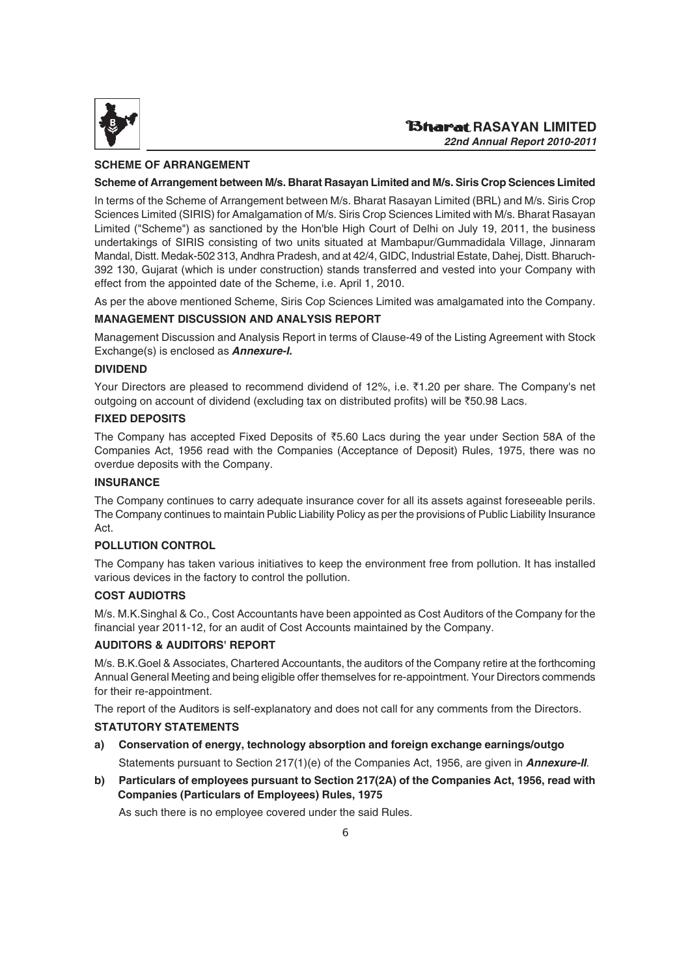

#### **SCHEME OF ARRANGEMENT**

#### **Scheme of Arrangement between M/s. Bharat Rasayan Limited and M/s. Siris Crop Sciences Limited**

In terms of the Scheme of Arrangement between M/s. Bharat Rasayan Limited (BRL) and M/s. Siris Crop Sciences Limited (SIRIS) for Amalgamation of M/s. Siris Crop Sciences Limited with M/s. Bharat Rasayan Limited ("Scheme") as sanctioned by the Hon'ble High Court of Delhi on July 19, 2011, the business undertakings of SIRIS consisting of two units situated at Mambapur/Gummadidala Village, Jinnaram Mandal, Distt. Medak-502 313, Andhra Pradesh, and at 42/4, GIDC, Industrial Estate, Dahej, Distt. Bharuch-392 130, Gujarat (which is under construction) stands transferred and vested into your Company with effect from the appointed date of the Scheme, i.e. April 1, 2010.

As per the above mentioned Scheme, Siris Cop Sciences Limited was amalgamated into the Company.

#### **MANAGEMENT DISCUSSION AND ANALYSIS REPORT**

Management Discussion and Analysis Report in terms of Clause-49 of the Listing Agreement with Stock Exchange(s) is enclosed as *Annexure-I.*

#### **DIVIDEND**

Your Directors are pleased to recommend dividend of 12%, i.e.  $\bar{\zeta}$ 1.20 per share. The Company's net outgoing on account of dividend (excluding tax on distributed profits) will be  $\overline{5}$ 50.98 Lacs.

#### **FIXED DEPOSITS**

The Company has accepted Fixed Deposits of  $\overline{55.60}$  Lacs during the year under Section 58A of the Companies Act, 1956 read with the Companies (Acceptance of Deposit) Rules, 1975, there was no overdue deposits with the Company.

#### **INSURANCE**

The Company continues to carry adequate insurance cover for all its assets against foreseeable perils. The Company continues to maintain Public Liability Policy as per the provisions of Public Liability Insurance Act.

#### **POLLUTION CONTROL**

The Company has taken various initiatives to keep the environment free from pollution. It has installed various devices in the factory to control the pollution.

#### **COST AUDIOTRS**

M/s. M.K.Singhal & Co., Cost Accountants have been appointed as Cost Auditors of the Company for the financial year 2011-12, for an audit of Cost Accounts maintained by the Company.

#### **AUDITORS & AUDITORS' REPORT**

M/s. B.K.Goel & Associates, Chartered Accountants, the auditors of the Company retire at the forthcoming Annual General Meeting and being eligible offer themselves for re-appointment. Your Directors commends for their re-appointment.

The report of the Auditors is self-explanatory and does not call for any comments from the Directors.

#### **STATUTORY STATEMENTS**

**a) Conservation of energy, technology absorption and foreign exchange earnings/outgo**

Statements pursuant to Section 217(1)(e) of the Companies Act, 1956, are given in *Annexure-II*.

**b) Particulars of employees pursuant to Section 217(2A) of the Companies Act, 1956, read with Companies (Particulars of Employees) Rules, 1975**

As such there is no employee covered under the said Rules.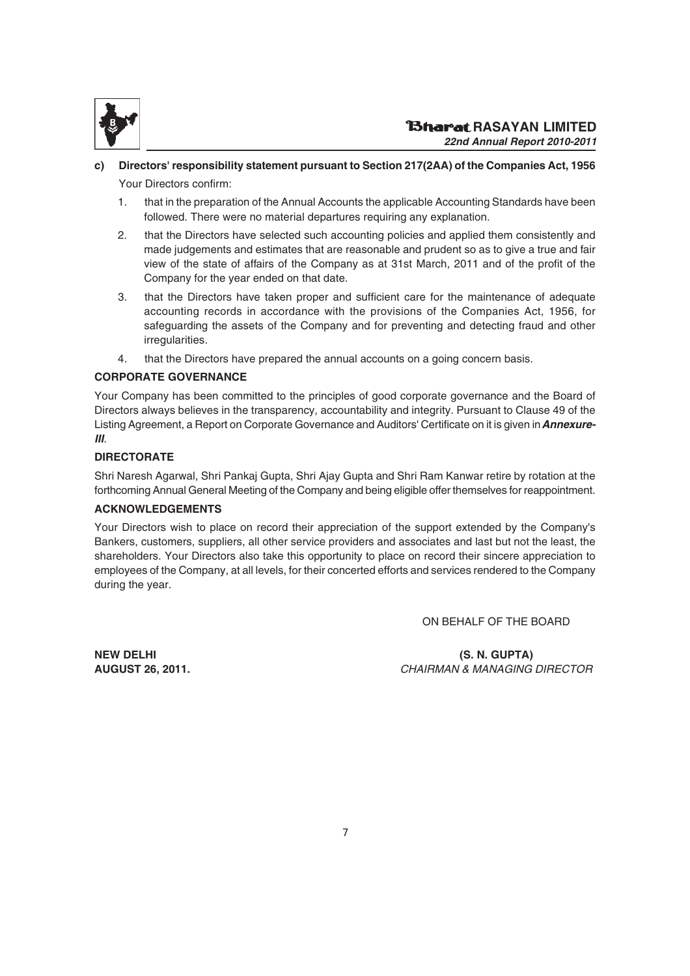

# **c) Directors' responsibility statement pursuant to Section 217(2AA) of the Companies Act, 1956**

Your Directors confirm:

- 1. that in the preparation of the Annual Accounts the applicable Accounting Standards have been followed. There were no material departures requiring any explanation.
- 2. that the Directors have selected such accounting policies and applied them consistently and made judgements and estimates that are reasonable and prudent so as to give a true and fair view of the state of affairs of the Company as at 31st March, 2011 and of the profit of the Company for the year ended on that date.
- 3. that the Directors have taken proper and sufficient care for the maintenance of adequate accounting records in accordance with the provisions of the Companies Act, 1956, for safeguarding the assets of the Company and for preventing and detecting fraud and other irregularities.
- 4. that the Directors have prepared the annual accounts on a going concern basis.

#### **CORPORATE GOVERNANCE**

Your Company has been committed to the principles of good corporate governance and the Board of Directors always believes in the transparency, accountability and integrity. Pursuant to Clause 49 of the Listing Agreement, a Report on Corporate Governance and Auditors' Certificate on it is given in *Annexure-III*.

#### **DIRECTORATE**

Shri Naresh Agarwal, Shri Pankaj Gupta, Shri Ajay Gupta and Shri Ram Kanwar retire by rotation at the forthcoming Annual General Meeting of the Company and being eligible offer themselves for reappointment.

#### **ACKNOWLEDGEMENTS**

Your Directors wish to place on record their appreciation of the support extended by the Company's Bankers, customers, suppliers, all other service providers and associates and last but not the least, the shareholders. Your Directors also take this opportunity to place on record their sincere appreciation to employees of the Company, at all levels, for their concerted efforts and services rendered to the Company during the year.

ON BEHALF OF THE BOARD

**NEW DELHI (S. N. GUPTA) AUGUST 26, 2011.** CHAIRMAN & MANAGING DIRECTOR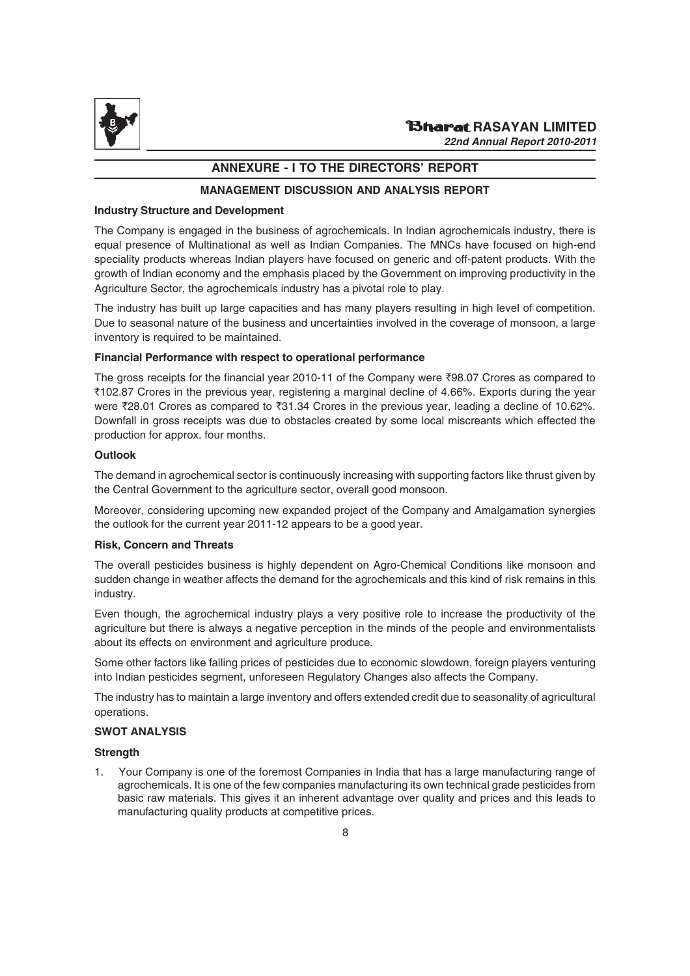

### **ANNEXURE - I TO THE DIRECTORS' REPORT**

#### **MANAGEMENT DISCUSSION AND ANALYSIS REPORT**

#### **Industry Structure and Development**

The Company is engaged in the business of agrochemicals. In Indian agrochemicals industry, there is equal presence of Multinational as well as Indian Companies. The MNCs have focused on high-end speciality products whereas Indian players have focused on generic and off-patent products. With the growth of Indian economy and the emphasis placed by the Government on improving productivity in the Agriculture Sector, the agrochemicals industry has a pivotal role to play.

The industry has built up large capacities and has many players resulting in high level of competition. Due to seasonal nature of the business and uncertainties involved in the coverage of monsoon, a large inventory is required to be maintained.

#### **Financial Performance with respect to operational performance**

The gross receipts for the financial year 2010-11 of the Company were  $\overline{3}98.07$  Crores as compared to `102.87 Crores in the previous year, registering a marginal decline of 4.66%. Exports during the year were  $\overline{2}8.01$  Crores as compared to  $\overline{2}31.34$  Crores in the previous year, leading a decline of 10.62%. Downfall in gross receipts was due to obstacles created by some local miscreants which effected the production for approx. four months.

#### **Outlook**

The demand in agrochemical sector is continuously increasing with supporting factors like thrust given by the Central Government to the agriculture sector, overall good monsoon.

Moreover, considering upcoming new expanded project of the Company and Amalgamation synergies the outlook for the current year 2011-12 appears to be a good year.

#### **Risk, Concern and Threats**

The overall pesticides business is highly dependent on Agro-Chemical Conditions like monsoon and sudden change in weather affects the demand for the agrochemicals and this kind of risk remains in this industry.

Even though, the agrochemical industry plays a very positive role to increase the productivity of the agriculture but there is always a negative perception in the minds of the people and environmentalists about its effects on environment and agriculture produce.

Some other factors like falling prices of pesticides due to economic slowdown, foreign players venturing into Indian pesticides segment, unforeseen Regulatory Changes also affects the Company.

The industry has to maintain a large inventory and offers extended credit due to seasonality of agricultural operations.

#### **SWOT ANALYSIS**

#### **Strength**

1. Your Company is one of the foremost Companies in India that has a large manufacturing range of agrochemicals. It is one of the few companies manufacturing its own technical grade pesticides from basic raw materials. This gives it an inherent advantage over quality and prices and this leads to manufacturing quality products at competitive prices.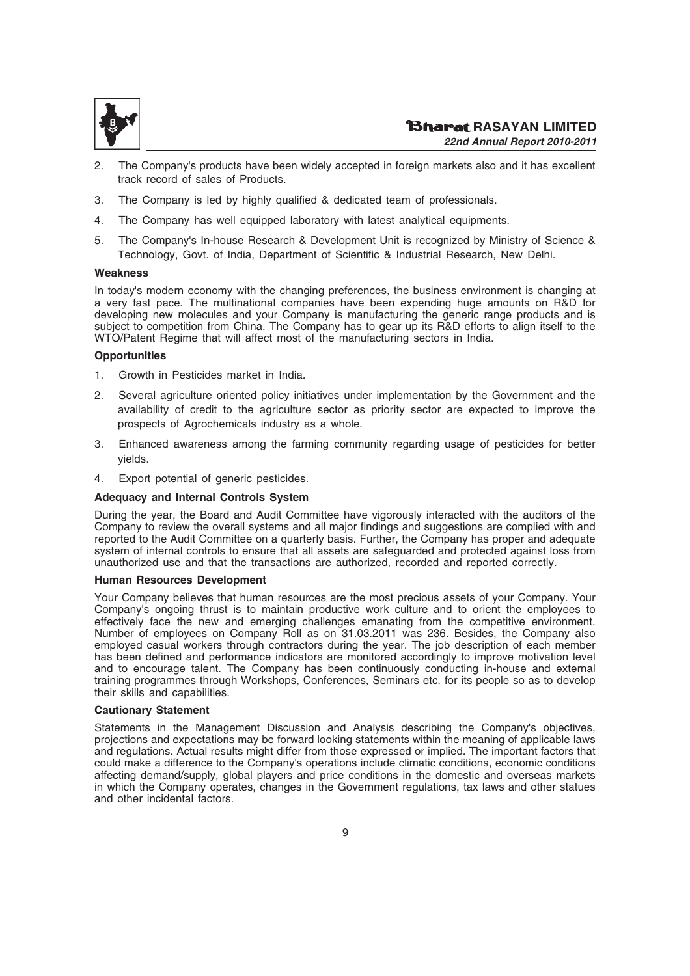

- 2. The Company's products have been widely accepted in foreign markets also and it has excellent track record of sales of Products.
- 3. The Company is led by highly qualified & dedicated team of professionals.
- 4. The Company has well equipped laboratory with latest analytical equipments.
- 5. The Company's In-house Research & Development Unit is recognized by Ministry of Science & Technology, Govt. of India, Department of Scientific & Industrial Research, New Delhi.

#### **Weakness**

In today's modern economy with the changing preferences, the business environment is changing at a very fast pace. The multinational companies have been expending huge amounts on R&D for developing new molecules and your Company is manufacturing the generic range products and is subject to competition from China. The Company has to gear up its R&D efforts to align itself to the WTO/Patent Regime that will affect most of the manufacturing sectors in India.

#### **Opportunities**

- 1. Growth in Pesticides market in India.
- 2. Several agriculture oriented policy initiatives under implementation by the Government and the availability of credit to the agriculture sector as priority sector are expected to improve the prospects of Agrochemicals industry as a whole.
- 3. Enhanced awareness among the farming community regarding usage of pesticides for better yields.
- 4. Export potential of generic pesticides.

#### **Adequacy and Internal Controls System**

During the year, the Board and Audit Committee have vigorously interacted with the auditors of the Company to review the overall systems and all major findings and suggestions are complied with and reported to the Audit Committee on a quarterly basis. Further, the Company has proper and adequate system of internal controls to ensure that all assets are safeguarded and protected against loss from unauthorized use and that the transactions are authorized, recorded and reported correctly.

#### **Human Resources Development**

Your Company believes that human resources are the most precious assets of your Company. Your Company's ongoing thrust is to maintain productive work culture and to orient the employees to effectively face the new and emerging challenges emanating from the competitive environment. Number of employees on Company Roll as on 31.03.2011 was 236. Besides, the Company also employed casual workers through contractors during the year. The job description of each member has been defined and performance indicators are monitored accordingly to improve motivation level and to encourage talent. The Company has been continuously conducting in-house and external training programmes through Workshops, Conferences, Seminars etc. for its people so as to develop their skills and capabilities.

#### **Cautionary Statement**

Statements in the Management Discussion and Analysis describing the Company's objectives, projections and expectations may be forward looking statements within the meaning of applicable laws and regulations. Actual results might differ from those expressed or implied. The important factors that could make a difference to the Company's operations include climatic conditions, economic conditions affecting demand/supply, global players and price conditions in the domestic and overseas markets in which the Company operates, changes in the Government regulations, tax laws and other statues and other incidental factors.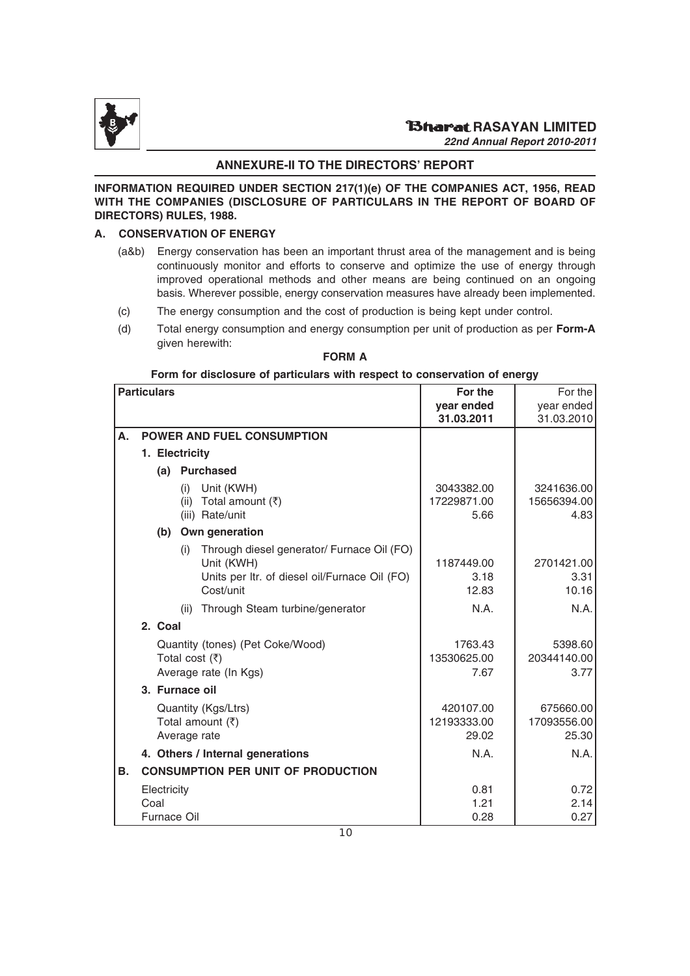

#### **ANNEXURE-II TO THE DIRECTORS' REPORT**

**INFORMATION REQUIRED UNDER SECTION 217(1)(e) OF THE COMPANIES ACT, 1956, READ WITH THE COMPANIES (DISCLOSURE OF PARTICULARS IN THE REPORT OF BOARD OF DIRECTORS) RULES, 1988.**

#### **A. CONSERVATION OF ENERGY**

- (a&b) Energy conservation has been an important thrust area of the management and is being continuously monitor and efforts to conserve and optimize the use of energy through improved operational methods and other means are being continued on an ongoing basis. Wherever possible, energy conservation measures have already been implemented.
- (c) The energy consumption and the cost of production is being kept under control.
- (d) Total energy consumption and energy consumption per unit of production as per **Form-A** given herewith:

|    | <b>Particulars</b>                        |                                                                                                                               | For the                           | For the                           |
|----|-------------------------------------------|-------------------------------------------------------------------------------------------------------------------------------|-----------------------------------|-----------------------------------|
|    |                                           |                                                                                                                               | year ended                        | year ended                        |
|    |                                           |                                                                                                                               | 31.03.2011                        | 31.03.2010                        |
| А. |                                           | POWER AND FUEL CONSUMPTION                                                                                                    |                                   |                                   |
|    | 1. Electricity                            |                                                                                                                               |                                   |                                   |
|    | (a)                                       | <b>Purchased</b>                                                                                                              |                                   |                                   |
|    |                                           | Unit (KWH)<br>(i)<br>(ii) Total amount $(\bar{x})$<br>(iii) Rate/unit                                                         | 3043382.00<br>17229871.00<br>5.66 | 3241636.00<br>15656394.00<br>4.83 |
|    | (b)                                       | Own generation                                                                                                                |                                   |                                   |
|    |                                           | Through diesel generator/ Furnace Oil (FO)<br>(i)<br>Unit (KWH)<br>Units per Itr. of diesel oil/Furnace Oil (FO)<br>Cost/unit | 1187449.00<br>3.18<br>12.83       | 2701421.00<br>3.31<br>10.16       |
|    |                                           | Through Steam turbine/generator<br>(ii)                                                                                       | N.A.                              | N.A.                              |
|    | 2. Coal                                   |                                                                                                                               |                                   |                                   |
|    |                                           | Quantity (tones) (Pet Coke/Wood)<br>Total cost $(\overline{\tau})$<br>Average rate (In Kgs)                                   | 1763.43<br>13530625.00<br>7.67    | 5398.60<br>20344140.00<br>3.77    |
|    |                                           | 3. Furnace oil                                                                                                                |                                   |                                   |
|    |                                           | Quantity (Kgs/Ltrs)<br>Total amount $(3)$<br>Average rate                                                                     | 420107.00<br>12193333.00<br>29.02 | 675660.00<br>17093556.00<br>25.30 |
|    |                                           | 4. Others / Internal generations                                                                                              | N.A.                              | N.A.                              |
| В. |                                           | <b>CONSUMPTION PER UNIT OF PRODUCTION</b>                                                                                     |                                   |                                   |
|    | Electricity<br>Coal<br><b>Furnace Oil</b> |                                                                                                                               | 0.81<br>1.21<br>0.28              | 0.72<br>2.14<br>0.27              |

#### **FORM A**

#### **Form for disclosure of particulars with respect to conservation of energy**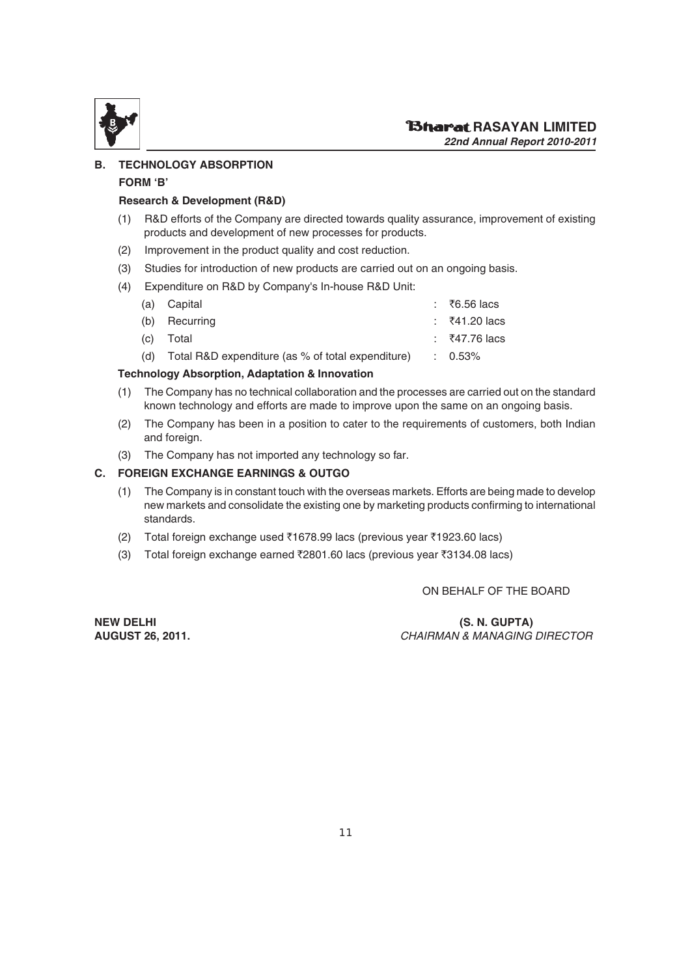

#### **B. TECHNOLOGY ABSORPTION**

#### **FORM 'B'**

#### **Research & Development (R&D)**

- (1) R&D efforts of the Company are directed towards quality assurance, improvement of existing products and development of new processes for products.
- (2) Improvement in the product quality and cost reduction.
- (3) Studies for introduction of new products are carried out on an ongoing basis.
- (4) Expenditure on R&D by Company's In-house R&D Unit:

| (a) Capital                                                                                 | ∶    ₹6.56 lacs   |
|---------------------------------------------------------------------------------------------|-------------------|
| (b) Recurring                                                                               | $\pm$ ₹41.20 lacs |
| (c) Total                                                                                   | $\pm 7.76$ lacs   |
| (d) $\overline{1}$ Total R&D expenditure (as % of total expenditure) $\overline{1}$ : 0.53% |                   |
|                                                                                             |                   |

#### **Technology Absorption, Adaptation & Innovation**

- (1) The Company has no technical collaboration and the processes are carried out on the standard known technology and efforts are made to improve upon the same on an ongoing basis.
- (2) The Company has been in a position to cater to the requirements of customers, both Indian and foreign.
- (3) The Company has not imported any technology so far.

#### **C. FOREIGN EXCHANGE EARNINGS & OUTGO**

- (1) The Company is in constant touch with the overseas markets. Efforts are being made to develop new markets and consolidate the existing one by marketing products confirming to international standards.
- (2) Total foreign exchange used  $\bar{x}$ 1678.99 lacs (previous year  $\bar{x}$ 1923.60 lacs)
- (3) Total foreign exchange earned  $\bar{\tau}$ 2801.60 lacs (previous year  $\bar{\tau}$ 3134.08 lacs)

ON BEHALF OF THE BOARD

**NEW DELHI (S. N. GUPTA) AUGUST 26, 2011.** CHAIRMAN & MANAGING DIRECTOR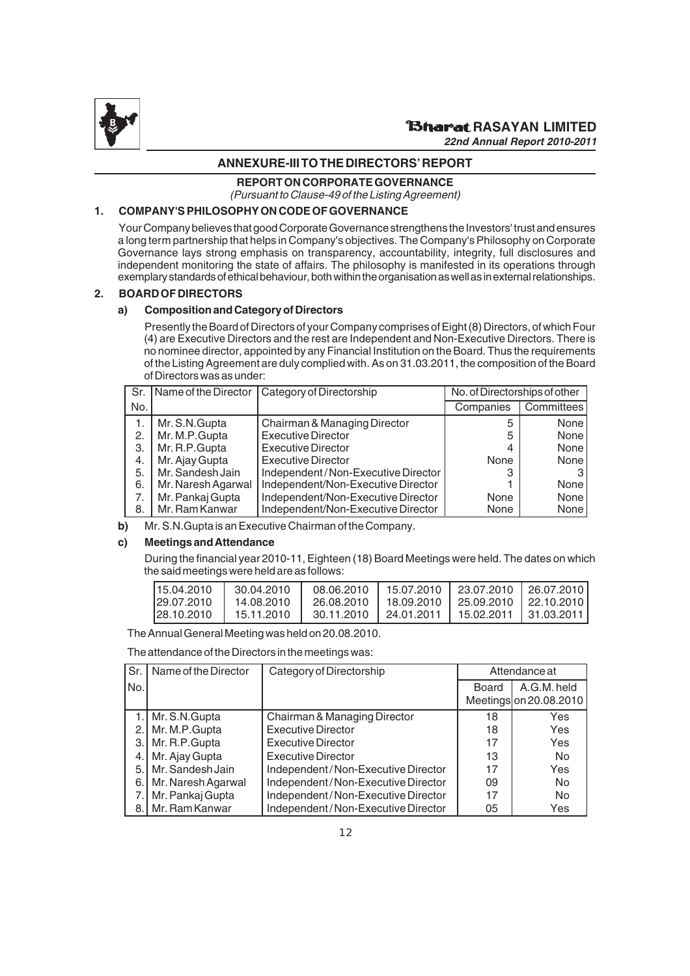

# **ANNEXURE-III TO THE DIRECTORS' REPORT**

**REPORT ON CORPORATE GOVERNANCE**

(Pursuant to Clause-49 of the Listing Agreement)

#### **1. COMPANY'S PHILOSOPHY ON CODE OF GOVERNANCE**

Your Company believes that good Corporate Governance strengthens the Investors' trust and ensures a long term partnership that helps in Company's objectives. The Company's Philosophy on Corporate Governance lays strong emphasis on transparency, accountability, integrity, full disclosures and independent monitoring the state of affairs. The philosophy is manifested in its operations through exemplary standards of ethical behaviour, both within the organisation as well as in external relationships.

#### **2. BOARD OF DIRECTORS**

#### **a) Composition and Category of Directors**

Presently the Board of Directors of your Company comprises of Eight (8) Directors, of which Four (4) are Executive Directors and the rest are Independent and Non-Executive Directors. There is no nominee director, appointed by any Financial Institution on the Board. Thus the requirements of the Listing Agreement are duly complied with. As on 31.03.2011, the composition of the Board of Directors was as under:

|     |                    | Sr. Name of the Director   Category of Directorship | No. of Directorships of other |            |
|-----|--------------------|-----------------------------------------------------|-------------------------------|------------|
| No. |                    |                                                     | Companies                     | Committees |
|     | Mr. S.N. Gupta     | Chairman & Managing Director                        | 5                             | None       |
| 2.  | Mr. M.P. Gupta     | <b>Executive Director</b>                           | 5                             | None       |
| З.  | Mr. R.P. Gupta     | <b>Executive Director</b>                           | 4                             | None       |
| 4.  | Mr. Ajay Gupta     | <b>Executive Director</b>                           | None                          | None       |
| 5.  | Mr. Sandesh Jain   | Independent/Non-Executive Director                  | 3                             |            |
| 6.  | Mr. Naresh Agarwal | Independent/Non-Executive Director                  |                               | None       |
|     | Mr. Pankaj Gupta   | Independent/Non-Executive Director                  | None                          | None       |
| 8.  | Mr. Ram Kanwar     | Independent/Non-Executive Director                  | None                          | None       |

**b)** Mr. S.N.Gupta is an Executive Chairman of the Company.

#### **c) Meetings and Attendance**

During the financial year 2010-11, Eighteen (18) Board Meetings were held. The dates on which the said meetings were held are as follows:

| 115.04.2010 | 30.04.2010 | 08.06.2010              |                                                   | 15.07.2010   23.07.2010   26.07.2010 |                         |
|-------------|------------|-------------------------|---------------------------------------------------|--------------------------------------|-------------------------|
| 129.07.2010 | 14.08.2010 |                         | 26.08.2010   18.09.2010   25.09.2010   22.10.2010 |                                      |                         |
| 128.10.2010 | 15.11.2010 | 30.11.2010   24.01.2011 |                                                   |                                      | 15.02.2011   31.03.2011 |

The Annual General Meeting was held on 20.08.2010.

The attendance of the Directors in the meetings was:

| Sr. | Name of the Director | Category of Directorship           | Attendance at |                                       |
|-----|----------------------|------------------------------------|---------------|---------------------------------------|
| No. |                      |                                    | Board         | A.G.M. held<br>Meetings on 20.08.2010 |
|     | 1. Mr. S.N. Gupta    | Chairman & Managing Director       | 18            | Yes                                   |
| 2.1 | Mr. M.P. Gupta       | <b>Executive Director</b>          | 18            | Yes                                   |
| З.  | Mr. R.P. Gupta       | <b>Executive Director</b>          | 17            | Yes                                   |
| 4.  | Mr. Ajay Gupta       | <b>Executive Director</b>          | 13            | <b>No</b>                             |
| 5.  | Mr. Sandesh Jain     | Independent/Non-Executive Director | 17            | Yes                                   |
| 6.  | Mr. Naresh Agarwal   | Independent/Non-Executive Director | 09            | <b>No</b>                             |
|     | Mr. Pankaj Gupta     | Independent/Non-Executive Director | 17            | No                                    |
|     | 8. Mr. Ram Kanwar    | Independent/Non-Executive Director | 05            | Yes                                   |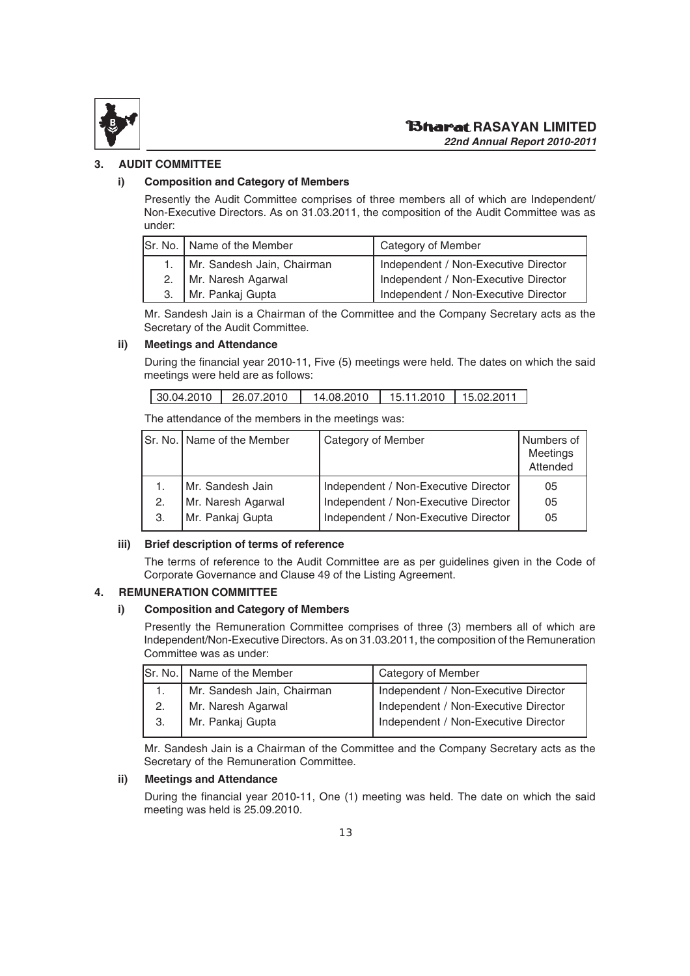

#### **3. AUDIT COMMITTEE**

#### **i) Composition and Category of Members**

Presently the Audit Committee comprises of three members all of which are Independent/ Non-Executive Directors. As on 31.03.2011, the composition of the Audit Committee was as under:

| Sr. No.   Name of the Member    | Category of Member                   |
|---------------------------------|--------------------------------------|
| 1.   Mr. Sandesh Jain, Chairman | Independent / Non-Executive Director |
| 2.   Mr. Naresh Agarwal         | Independent / Non-Executive Director |
| Mr. Pankaj Gupta                | Independent / Non-Executive Director |

Mr. Sandesh Jain is a Chairman of the Committee and the Company Secretary acts as the Secretary of the Audit Committee.

#### **ii) Meetings and Attendance**

During the financial year 2010-11, Five (5) meetings were held. The dates on which the said meetings were held are as follows:

| 14.08.2010   15.11.2010   15.02.2011<br>26.07.2010<br>30.04.2010 |  |  |
|------------------------------------------------------------------|--|--|
|------------------------------------------------------------------|--|--|

The attendance of the members in the meetings was:

| Category of Member                                                                         | Numbers of<br>Meetings<br>Attended |
|--------------------------------------------------------------------------------------------|------------------------------------|
| Independent / Non-Executive Director                                                       | 05                                 |
| Independent / Non-Executive Director                                                       | 05                                 |
| Independent / Non-Executive Director                                                       | 05                                 |
| Sr. No.   Name of the Member<br>Mr. Sandesh Jain<br>Mr. Naresh Agarwal<br>Mr. Pankaj Gupta |                                    |

#### **iii) Brief description of terms of reference**

The terms of reference to the Audit Committee are as per guidelines given in the Code of Corporate Governance and Clause 49 of the Listing Agreement.

#### **4. REMUNERATION COMMITTEE**

#### **i) Composition and Category of Members**

Presently the Remuneration Committee comprises of three (3) members all of which are Independent/Non-Executive Directors. As on 31.03.2011, the composition of the Remuneration Committee was as under:

|    | Sr. No.   Name of the Member | Category of Member                   |
|----|------------------------------|--------------------------------------|
|    | Mr. Sandesh Jain, Chairman   | Independent / Non-Executive Director |
| 2. | Mr. Naresh Agarwal           | Independent / Non-Executive Director |
| З. | Mr. Pankaj Gupta             | Independent / Non-Executive Director |
|    |                              |                                      |

Mr. Sandesh Jain is a Chairman of the Committee and the Company Secretary acts as the Secretary of the Remuneration Committee.

#### **ii) Meetings and Attendance**

During the financial year 2010-11, One (1) meeting was held. The date on which the said meeting was held is 25.09.2010.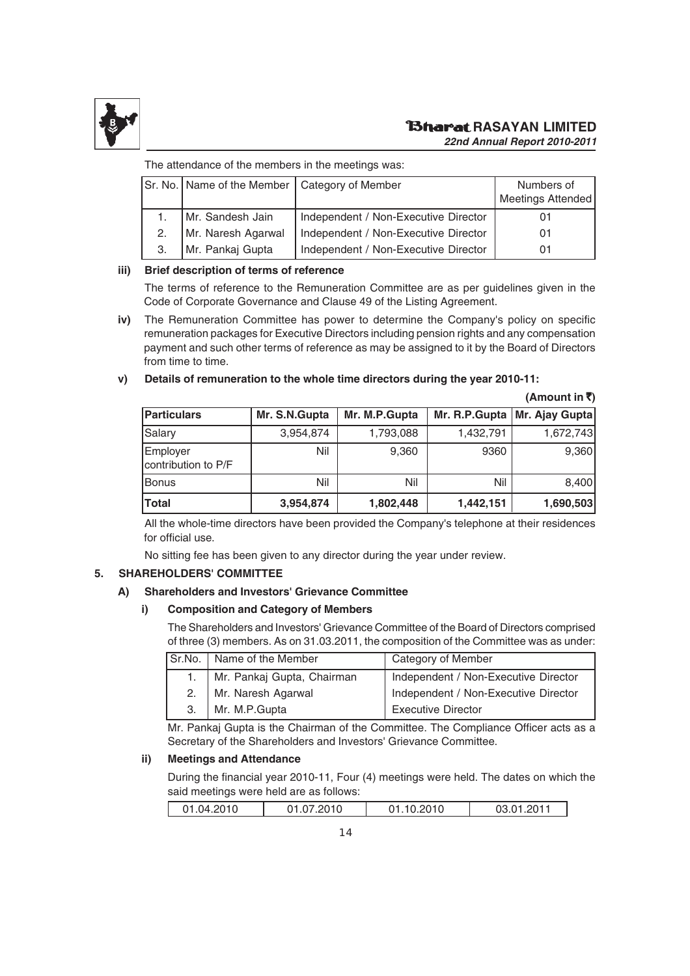

#### **RASAYAN LIMITED** *22nd Annual Report 2010-2011*

The attendance of the members in the meetings was:

|    | Sr. No.   Name of the Member   Category of Member |                                      | Numbers of<br><b>Meetings Attended</b> |
|----|---------------------------------------------------|--------------------------------------|----------------------------------------|
|    | Mr. Sandesh Jain                                  | Independent / Non-Executive Director | 01                                     |
|    | Mr. Naresh Agarwal                                | Independent / Non-Executive Director | 01                                     |
| 3. | Mr. Pankaj Gupta                                  | Independent / Non-Executive Director | 01                                     |

#### **iii) Brief description of terms of reference**

The terms of reference to the Remuneration Committee are as per guidelines given in the Code of Corporate Governance and Clause 49 of the Listing Agreement.

**iv)** The Remuneration Committee has power to determine the Company's policy on specific remuneration packages for Executive Directors including pension rights and any compensation payment and such other terms of reference as may be assigned to it by the Board of Directors from time to time.

#### **v) Details of remuneration to the whole time directors during the year 2010-11:**

# **(Amount in** `**) Particulars Mr. S.N.Gupta Mr. M.P.Gupta Mr. R.P.Gupta Mr. Ajay Gupta** Salary 1,793,088 1,432,791 1,672,743 Employer Nil | 9,360 | 9360 | 9,360 contribution to P/F Bonus Nil Nil Nil 8,400 **Total 3,954,874 1,802,448 1,442,151 1,690,503**

All the whole-time directors have been provided the Company's telephone at their residences for official use.

No sitting fee has been given to any director during the year under review.

#### **5. SHAREHOLDERS' COMMITTEE**

#### **A) Shareholders and Investors' Grievance Committee**

#### **i) Composition and Category of Members**

The Shareholders and Investors' Grievance Committee of the Board of Directors comprised of three (3) members. As on 31.03.2011, the composition of the Committee was as under:

|    | Sr.No. Name of the Member  | Category of Member                   |
|----|----------------------------|--------------------------------------|
|    | Mr. Pankaj Gupta, Chairman | Independent / Non-Executive Director |
| 2. | Mr. Naresh Agarwal         | Independent / Non-Executive Director |
| 3. | Mr. M.P.Gupta              | <b>Executive Director</b>            |

Mr. Pankaj Gupta is the Chairman of the Committee. The Compliance Officer acts as a Secretary of the Shareholders and Investors' Grievance Committee.

#### **ii) Meetings and Attendance**

During the financial year 2010-11, Four (4) meetings were held. The dates on which the said meetings were held are as follows:

|  | .2010<br>∵ 04.04 ل | $0.010$ ، $0.010$ | 0.2010 | ∴ 1.2011∪. ِ |
|--|--------------------|-------------------|--------|--------------|
|--|--------------------|-------------------|--------|--------------|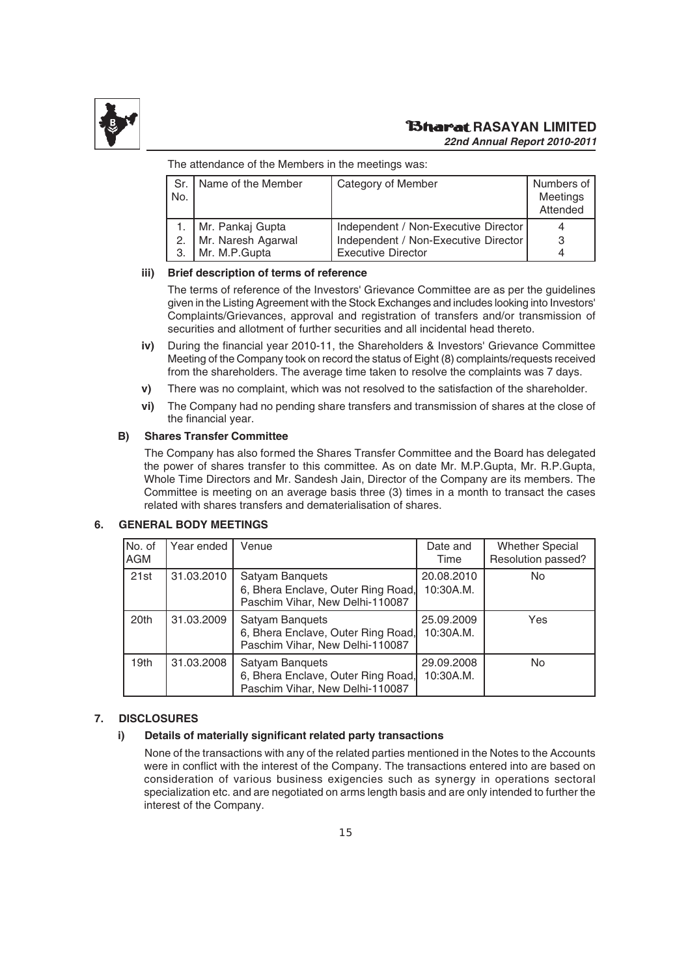

The attendance of the Members in the meetings was:

| No. | Sr.   Name of the Member | Category of Member                   | Numbers of<br>Meetings<br>Attended |
|-----|--------------------------|--------------------------------------|------------------------------------|
|     | Mr. Pankaj Gupta         | Independent / Non-Executive Director |                                    |
| 2.  | Mr. Naresh Agarwal       | Independent / Non-Executive Director | 3                                  |
| 3.  | Mr. M.P.Gupta            | <b>Executive Director</b>            |                                    |

#### **iii) Brief description of terms of reference**

The terms of reference of the Investors' Grievance Committee are as per the guidelines given in the Listing Agreement with the Stock Exchanges and includes looking into Investors' Complaints/Grievances, approval and registration of transfers and/or transmission of securities and allotment of further securities and all incidental head thereto.

- **iv)** During the financial year 2010-11, the Shareholders & Investors' Grievance Committee Meeting of the Company took on record the status of Eight (8) complaints/requests received from the shareholders. The average time taken to resolve the complaints was 7 days.
- **v)** There was no complaint, which was not resolved to the satisfaction of the shareholder.
- **vi)** The Company had no pending share transfers and transmission of shares at the close of the financial year.

#### **B) Shares Transfer Committee**

The Company has also formed the Shares Transfer Committee and the Board has delegated the power of shares transfer to this committee. As on date Mr. M.P.Gupta, Mr. R.P.Gupta, Whole Time Directors and Mr. Sandesh Jain, Director of the Company are its members. The Committee is meeting on an average basis three (3) times in a month to transact the cases related with shares transfers and dematerialisation of shares.

#### **6. GENERAL BODY MEETINGS**

| No. of<br><b>AGM</b> | Year ended | Venue                                                                                    | Date and<br>Time        | <b>Whether Special</b><br>Resolution passed? |
|----------------------|------------|------------------------------------------------------------------------------------------|-------------------------|----------------------------------------------|
| 21st                 | 31.03.2010 | Satyam Banquets<br>6, Bhera Enclave, Outer Ring Road,<br>Paschim Vihar, New Delhi-110087 | 20.08.2010<br>10:30A.M. | No                                           |
| 20th                 | 31.03.2009 | Satyam Banquets<br>6, Bhera Enclave, Outer Ring Road,<br>Paschim Vihar, New Delhi-110087 | 25,09,2009<br>10:30A.M. | Yes                                          |
| 19 <sub>th</sub>     | 31.03.2008 | Satyam Banquets<br>6, Bhera Enclave, Outer Ring Road,<br>Paschim Vihar, New Delhi-110087 | 29.09.2008<br>10:30A.M. | <b>No</b>                                    |

#### **7. DISCLOSURES**

#### **i) Details of materially significant related party transactions**

None of the transactions with any of the related parties mentioned in the Notes to the Accounts were in conflict with the interest of the Company. The transactions entered into are based on consideration of various business exigencies such as synergy in operations sectoral specialization etc. and are negotiated on arms length basis and are only intended to further the interest of the Company.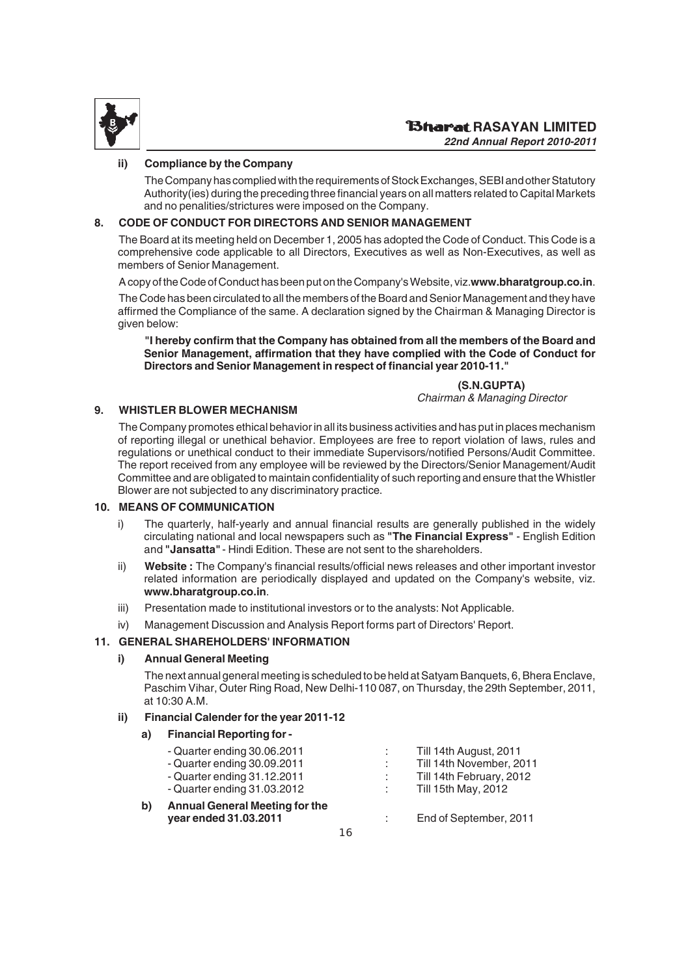

#### **ii) Compliance by the Company**

The Company has complied with the requirements of Stock Exchanges, SEBI and other Statutory Authority(ies) during the preceding three financial years on all matters related to Capital Markets and no penalities/strictures were imposed on the Company.

#### **8. CODE OF CONDUCT FOR DIRECTORS AND SENIOR MANAGEMENT**

The Board at its meeting held on December 1, 2005 has adopted the Code of Conduct. This Code is a comprehensive code applicable to all Directors, Executives as well as Non-Executives, as well as members of Senior Management.

A copy of the Code of Conduct has been put on the Company's Website, viz. **www.bharatgroup.co.in**.

The Code has been circulated to all the members of the Board and Senior Management and they have affirmed the Compliance of the same. A declaration signed by the Chairman & Managing Director is given below:

**"I hereby confirm that the Company has obtained from all the members of the Board and Senior Management, affirmation that they have complied with the Code of Conduct for Directors and Senior Management in respect of financial year 2010-11."**

> **(S.N.GUPTA)** Chairman & Managing Director

#### **9. WHISTLER BLOWER MECHANISM**

The Company promotes ethical behavior in all its business activities and has put in places mechanism of reporting illegal or unethical behavior. Employees are free to report violation of laws, rules and regulations or unethical conduct to their immediate Supervisors/notified Persons/Audit Committee. The report received from any employee will be reviewed by the Directors/Senior Management/Audit Committee and are obligated to maintain confidentiality of such reporting and ensure that the Whistler Blower are not subjected to any discriminatory practice.

#### **10. MEANS OF COMMUNICATION**

- i) The quarterly, half-yearly and annual financial results are generally published in the widely circulating national and local newspapers such as **"The Financial Express"** - English Edition and **"Jansatta"** - Hindi Edition. These are not sent to the shareholders.
- ii) **Website :** The Company's financial results/official news releases and other important investor related information are periodically displayed and updated on the Company's website, viz. **www.bharatgroup.co.in**.
- iii) Presentation made to institutional investors or to the analysts: Not Applicable.
- iv) Management Discussion and Analysis Report forms part of Directors' Report.

#### **11. GENERAL SHAREHOLDERS' INFORMATION**

#### **i) Annual General Meeting**

The next annual general meeting is scheduled to be held at Satyam Banquets, 6, Bhera Enclave, Paschim Vihar, Outer Ring Road, New Delhi-110 087, on Thursday, the 29th September, 2011, at  $10:30$  A M.

#### **ii) Financial Calender for the year 2011-12**

#### **a) Financial Reporting for -**

| ÷ | Till 14th August, 2011   |
|---|--------------------------|
|   | Till 14th November, 2011 |
|   | Till 14th February, 2012 |
| ÷ | Till 15th May, 2012      |
|   |                          |

**b) Annual General Meeting for the**

**year ended 31.03.2011** : End of September, 2011

16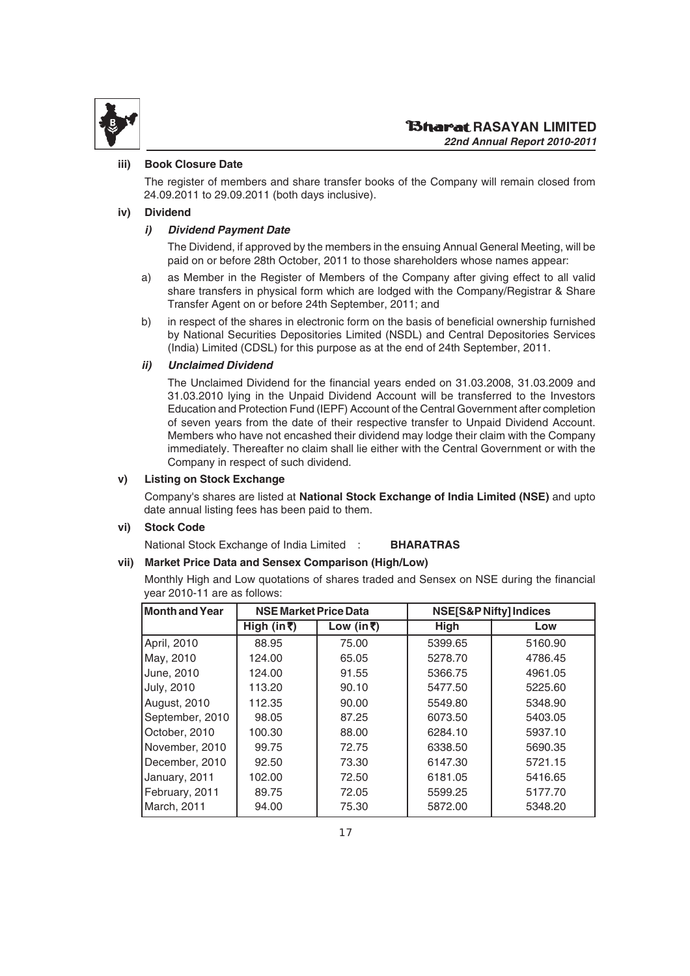

#### **iii) Book Closure Date**

The register of members and share transfer books of the Company will remain closed from 24.09.2011 to 29.09.2011 (both days inclusive).

#### **iv) Dividend**

#### *i) Dividend Payment Date*

The Dividend, if approved by the members in the ensuing Annual General Meeting, will be paid on or before 28th October, 2011 to those shareholders whose names appear:

- a) as Member in the Register of Members of the Company after giving effect to all valid share transfers in physical form which are lodged with the Company/Registrar & Share Transfer Agent on or before 24th September, 2011; and
- b) in respect of the shares in electronic form on the basis of beneficial ownership furnished by National Securities Depositories Limited (NSDL) and Central Depositories Services (India) Limited (CDSL) for this purpose as at the end of 24th September, 2011.

#### *ii) Unclaimed Dividend*

The Unclaimed Dividend for the financial years ended on 31.03.2008, 31.03.2009 and 31.03.2010 lying in the Unpaid Dividend Account will be transferred to the Investors Education and Protection Fund (IEPF) Account of the Central Government after completion of seven years from the date of their respective transfer to Unpaid Dividend Account. Members who have not encashed their dividend may lodge their claim with the Company immediately. Thereafter no claim shall lie either with the Central Government or with the Company in respect of such dividend.

#### **v) Listing on Stock Exchange**

Company's shares are listed at **National Stock Exchange of India Limited (NSE)** and upto date annual listing fees has been paid to them.

#### **vi) Stock Code**

National Stock Exchange of India Limited : **BHARATRAS**

#### **vii) Market Price Data and Sensex Comparison (High/Low)**

Monthly High and Low quotations of shares traded and Sensex on NSE during the financial year 2010-11 are as follows:

| Month and Year      | <b>NSE Market Price Data</b> |            |             | NSE[S&P Nifty] Indices |
|---------------------|------------------------------|------------|-------------|------------------------|
|                     | High (in ₹)                  | Low (in ₹) | <b>High</b> | Low                    |
| April, 2010         | 88.95                        | 75.00      | 5399.65     | 5160.90                |
| May, 2010           | 124.00                       | 65.05      | 5278.70     | 4786.45                |
| June, 2010          | 124.00                       | 91.55      | 5366.75     | 4961.05                |
| <b>July, 2010</b>   | 113.20                       | 90.10      | 5477.50     | 5225.60                |
| <b>August, 2010</b> | 112.35                       | 90.00      | 5549.80     | 5348.90                |
| September, 2010     | 98.05                        | 87.25      | 6073.50     | 5403.05                |
| October, 2010       | 100.30                       | 88.00      | 6284.10     | 5937.10                |
| November, 2010      | 99.75                        | 72.75      | 6338.50     | 5690.35                |
| December, 2010      | 92.50                        | 73.30      | 6147.30     | 5721.15                |
| January, 2011       | 102.00                       | 72.50      | 6181.05     | 5416.65                |
| February, 2011      | 89.75                        | 72.05      | 5599.25     | 5177.70                |
| March, 2011         | 94.00                        | 75.30      | 5872.00     | 5348.20                |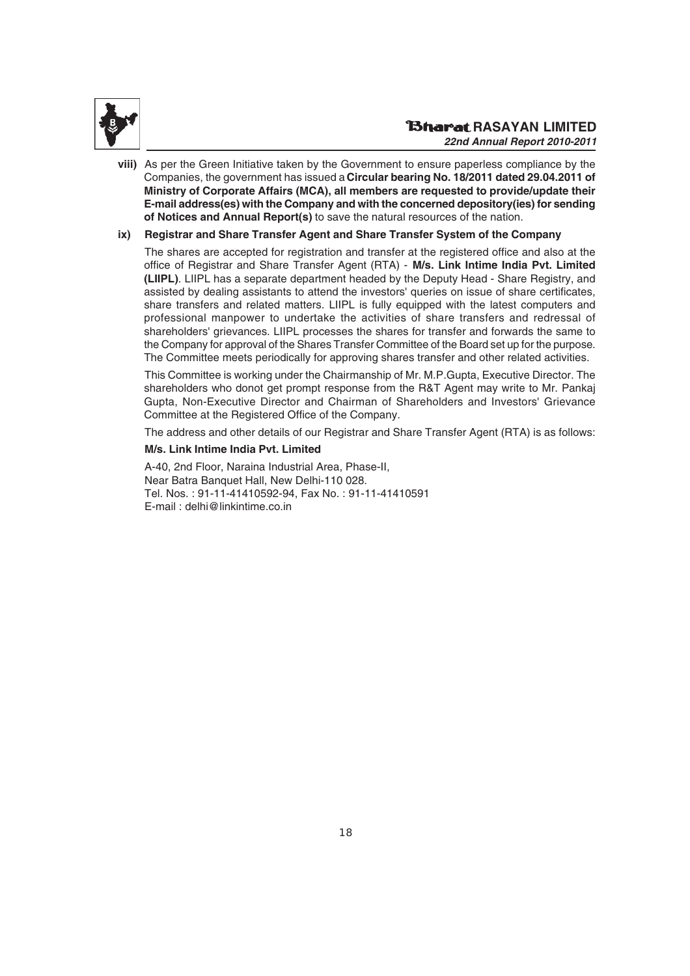

**viii)** As per the Green Initiative taken by the Government to ensure paperless compliance by the Companies, the government has issued a **Circular bearing No. 18/2011 dated 29.04.2011 of Ministry of Corporate Affairs (MCA), all members are requested to provide/update their E-mail address(es) with the Company and with the concerned depository(ies) for sending of Notices and Annual Report(s)** to save the natural resources of the nation.

#### **ix) Registrar and Share Transfer Agent and Share Transfer System of the Company**

The shares are accepted for registration and transfer at the registered office and also at the office of Registrar and Share Transfer Agent (RTA) - **M/s. Link Intime India Pvt. Limited (LIIPL)**. LIIPL has a separate department headed by the Deputy Head - Share Registry, and assisted by dealing assistants to attend the investors' queries on issue of share certificates, share transfers and related matters. LIIPL is fully equipped with the latest computers and professional manpower to undertake the activities of share transfers and redressal of shareholders' grievances. LIIPL processes the shares for transfer and forwards the same to the Company for approval of the Shares Transfer Committee of the Board set up for the purpose. The Committee meets periodically for approving shares transfer and other related activities.

This Committee is working under the Chairmanship of Mr. M.P.Gupta, Executive Director. The shareholders who donot get prompt response from the R&T Agent may write to Mr. Pankaj Gupta, Non-Executive Director and Chairman of Shareholders and Investors' Grievance Committee at the Registered Office of the Company.

The address and other details of our Registrar and Share Transfer Agent (RTA) is as follows:

#### **M/s. Link Intime India Pvt. Limited**

A-40, 2nd Floor, Naraina Industrial Area, Phase-II, Near Batra Banquet Hall, New Delhi-110 028. Tel. Nos. : 91-11-41410592-94, Fax No. : 91-11-41410591 E-mail : delhi@linkintime.co.in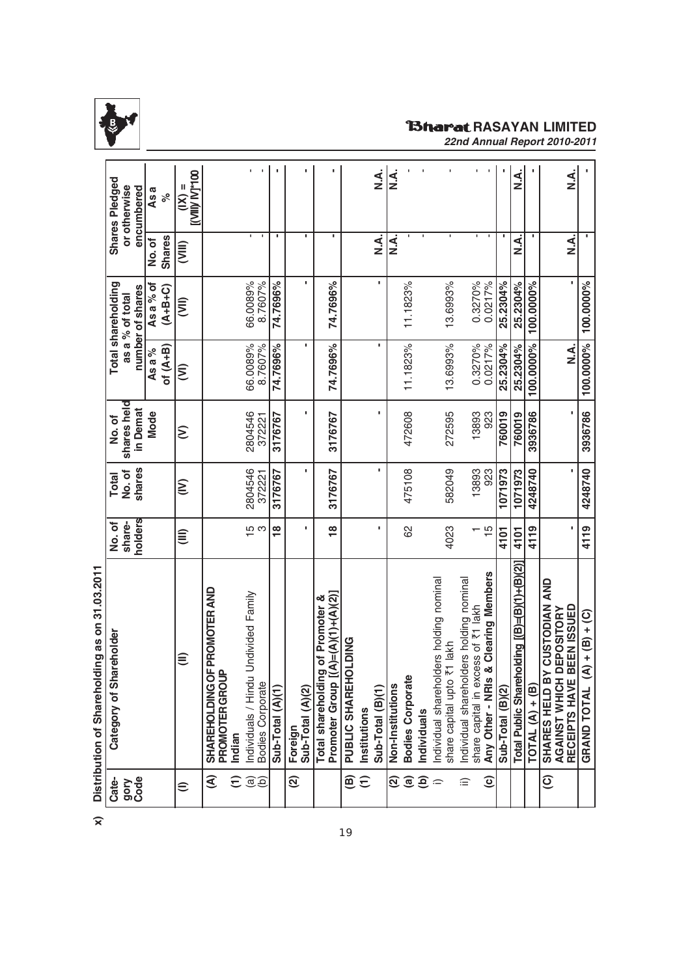

# **RAGARASAYAN LIMITED** *22nd Annual Report 2010-2011*

|                          | Distribution of Sharenoiding as on 31.93.2011                                    |                   |                   |                   |                                   |                                     |                                             |                                                 |
|--------------------------|----------------------------------------------------------------------------------|-------------------|-------------------|-------------------|-----------------------------------|-------------------------------------|---------------------------------------------|-------------------------------------------------|
| Cate-                    | areholder<br>Category of SI                                                      | No. of            | <b>Total</b>      | No. of            |                                   | Total shareholding                  |                                             | <b>Shares Pledged</b>                           |
| gory<br>Code             |                                                                                  | share-            | No. of            | shares held       |                                   | number of shares<br>as a % of total |                                             | or otherwise                                    |
|                          |                                                                                  | holders           | shares            | in Demat          |                                   |                                     |                                             | encumbered                                      |
|                          |                                                                                  |                   |                   | Mode              | As a %                            | Asa% of                             | No.of                                       | As a                                            |
|                          |                                                                                  |                   |                   |                   | of $(A+B)$                        | $(A+B+C)$                           | <b>Shares</b>                               | $\delta$                                        |
| €                        | €                                                                                | €                 | $\sum_{i=1}^{n}$  | $\epsilon$        | $\widehat{\boldsymbol{\epsilon}}$ | ĴΞ                                  | (III)                                       | <b>OOL-LIVI MIIN.</b><br>Ш<br>$\widetilde{\Xi}$ |
| €                        | SHAREHOLDING OF PROMOTER AND                                                     |                   |                   |                   |                                   |                                     |                                             |                                                 |
|                          | <b>PROMOTER GROUP</b>                                                            |                   |                   |                   |                                   |                                     |                                             |                                                 |
| ε                        | Indian                                                                           |                   |                   |                   |                                   |                                     |                                             |                                                 |
| $\widehat{\mathfrak{G}}$ | Undivided Family<br>Individuals / Hindu<br>Bodies Corporate                      | $\overline{10}$ က | 2804546<br>372221 | 2804546<br>372221 | 66.0089%<br>8.7607%               | 66.0089%<br>8.7607%                 | $\mathbf{L}_{\mathrm{c}}$<br>$\blacksquare$ | $\blacksquare$<br>t.                            |
|                          | Sub-Total (A)(1)                                                                 | $\frac{8}{1}$     | 3176767           | 3176767           | 74.7696%                          | 74.7696%                            | ٠                                           |                                                 |
| $\widehat{\mathfrak{D}}$ | Foreign                                                                          |                   |                   |                   |                                   |                                     |                                             |                                                 |
|                          | Sub-Total (A)(2)                                                                 | ٠                 |                   | ٠                 | ٠                                 | ı                                   | ٠                                           | ٠                                               |
|                          | $[(A)=(A)(1)+(A)(2)]$<br>ig of Promoter &<br>Total shareholdir<br>Promoter Group | $\frac{8}{1}$     | 3176767           | 3176767           | 74.7696%                          | 74.7696%                            | ٠                                           |                                                 |
| ⊜                        | <b>OLDING</b><br>PUBLIC SHAREH                                                   |                   |                   |                   |                                   |                                     |                                             |                                                 |
| $\widehat{\tau}$         | Institutions                                                                     |                   |                   |                   |                                   |                                     |                                             |                                                 |
|                          | Sub-Total (B)(1)                                                                 | ٠                 | ٠                 | ٠                 | ٠                                 | ٠                                   | <i<br>≥</i<br>                              | Ϋ́Ν                                             |
| <u> ସ</u>                | Non-Institutions                                                                 |                   |                   |                   |                                   |                                     | $\overline{A}$                              | ∠<br>Z                                          |
| $\mathbf{a}$             | <b>Bodies Corporate</b>                                                          | 8                 | 475108            | 472608            | 11.1823%                          | 11.1823%                            |                                             |                                                 |
| $\widehat{e}$            | Individuals                                                                      |                   |                   |                   |                                   |                                     |                                             |                                                 |
| $\widehat{\phantom{m}}$  | Individual shareholders holding nominal                                          |                   |                   |                   |                                   |                                     |                                             |                                                 |
|                          | ₹1 lakh<br>share capital upto                                                    | 4023              | 582049            | 272595            | 13.6993%                          | 13.6993%                            |                                             |                                                 |
| ≘                        | Individual shareholders holding nominal                                          |                   | 13893             | 13893             | 0.3270%                           | 0.3270%                             |                                             |                                                 |
| $\widehat{\mathbf{c}}$   | & Clearing Members<br>share capital in excess of ₹1 lakh<br>Any Other - NRIs     | $\frac{15}{2}$    | 923               | 923               | 0.0217%                           | 0.0217%                             | τ.<br>п.                                    |                                                 |
|                          | Sub-Total (B)(2)                                                                 | 4101              | 1071973           | 760019            | 25.2304%                          | 25.2304%                            | ٠                                           |                                                 |
|                          |                                                                                  |                   |                   |                   |                                   |                                     |                                             |                                                 |
|                          | Total Public Shareholding [(B)=(B)(1)+(B)(2)                                     | 4101              | 1071973           | 760019            | 25.2304%                          | 25.2304%                            | <i<br>≥</i<br>                              | <i<br>≥</i<br>                                  |
|                          | $TOTAL(A) + (B)$                                                                 | 4119              | 4248740           | 3936786           | 100.0000%                         | 100.0000%                           |                                             |                                                 |
| $\widehat{\mathbf{C}}$   | Y CUSTODIAN AND<br><b>DEPOSITORY</b><br>SHARES HELD B<br>AGAINST WHICH           |                   |                   |                   |                                   |                                     |                                             |                                                 |
|                          | BEEN ISSUED<br>RECEIPTS HAVE                                                     |                   |                   |                   | Ϋ́<br>Z                           |                                     | $\overline{4}$                              | <<br>≥<br>Z                                     |
|                          | $(A) + (B) + (C)$<br><b>GRAND TOTAL</b>                                          | 4119              | 4248740           | 3936786           | 100.0000% 100.0000%               |                                     |                                             |                                                 |

21 02 2011 **x) Distribution of Shareholding as on 31.03.2011** سناما صطاء af Ch **Nietributic** 

 $\widehat{\mathbf{x}}$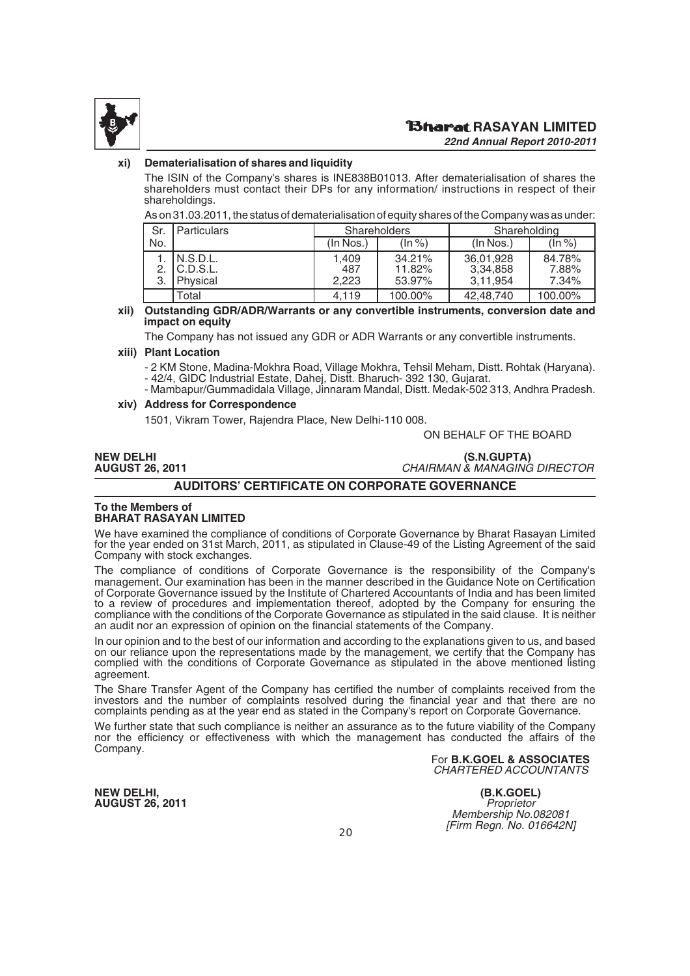

#### **xi) Dematerialisation of shares and liquidity**

The ISIN of the Company's shares is INE838B01013. After dematerialisation of shares the shareholders must contact their DPs for any information/ instructions in respect of their shareholdings.

As on 31.03.2011, the status of dematerialisation of equity shares of the Company was as under:

| Sr. | Particulars                                 |                       | <b>Shareholders</b>        | Shareholding                      |                          |  |
|-----|---------------------------------------------|-----------------------|----------------------------|-----------------------------------|--------------------------|--|
| No. |                                             | (In Nos.)             | $(\ln \frac{9}{6})$        | $($ In Nos. $)$                   | $(\ln \frac{9}{6})$      |  |
|     | 1. IN.S.D.L.<br>2. IC.D.S.L.<br>3. Physical | 1.409<br>487<br>2.223 | 34.21%<br>11.82%<br>53.97% | 36,01,928<br>3,34,858<br>3.11.954 | 84.78%<br>7.88%<br>7.34% |  |
|     | Total                                       | 4.119                 | 100.00%                    | 42,48,740                         | 100.00%                  |  |

**xii) Outstanding GDR/ADR/Warrants or any convertible instruments, conversion date and impact on equity**

The Company has not issued any GDR or ADR Warrants or any convertible instruments.

#### **xiii) Plant Location**

- 2 KM Stone, Madina-Mokhra Road, Village Mokhra, Tehsil Meham, Distt. Rohtak (Haryana). - 42/4, GIDC Industrial Estate, Dahej, Distt. Bharuch- 392 130, Gujarat.

- Mambapur/Gummadidala Village, Jinnaram Mandal, Distt. Medak-502 313, Andhra Pradesh. **xiv) Address for Correspondence**

1501, Vikram Tower, Rajendra Place, New Delhi-110 008.

ON BEHALF OF THE BOARD

### **NEW DELHI (S.N.GUPTA) CHAIRMAN & MANAGING DIRECTOR**

#### **AUDITORS' CERTIFICATE ON CORPORATE GOVERNANCE**

#### **To the Members of BHARAT RASAYAN LIMITED**

We have examined the compliance of conditions of Corporate Governance by Bharat Rasayan Limited for the year ended on 31st March, 2011, as stipulated in Clause-49 of the Listing Agreement of the said Company with stock exchanges.

The compliance of conditions of Corporate Governance is the responsibility of the Company's management. Our examination has been in the manner described in the Guidance Note on Certification of Corporate Governance issued by the Institute of Chartered Accountants of India and has been limited to a review of procedures and implementation thereof, adopted by the Company for ensuring the compliance with the conditions of the Corporate Governance as stipulated in the said clause. It is neither an audit nor an expression of opinion on the financial statements of the Company.

In our opinion and to the best of our information and according to the explanations given to us, and based on our reliance upon the representations made by the management, we certify that the Company has complied with the conditions of Corporate Governance as stipulated in the above mentioned listing agreement.

The Share Transfer Agent of the Company has certified the number of complaints received from the investors and the number of complaints resolved during the financial year and that there are no complaints pending as at the year end as stated in the Company's report on Corporate Governance.

We further state that such compliance is neither an assurance as to the future viability of the Company nor the efficiency or effectiveness with which the management has conducted the affairs of the Company.

For **B.K.GOEL & ASSOCIATES** CHARTERED ACCOUNTANTS

**NEW DELHI, (B.K.GOEL) AUGUST 26, 2011** Proprietor

Membership No.082081 [Firm Regn. No. 016642N]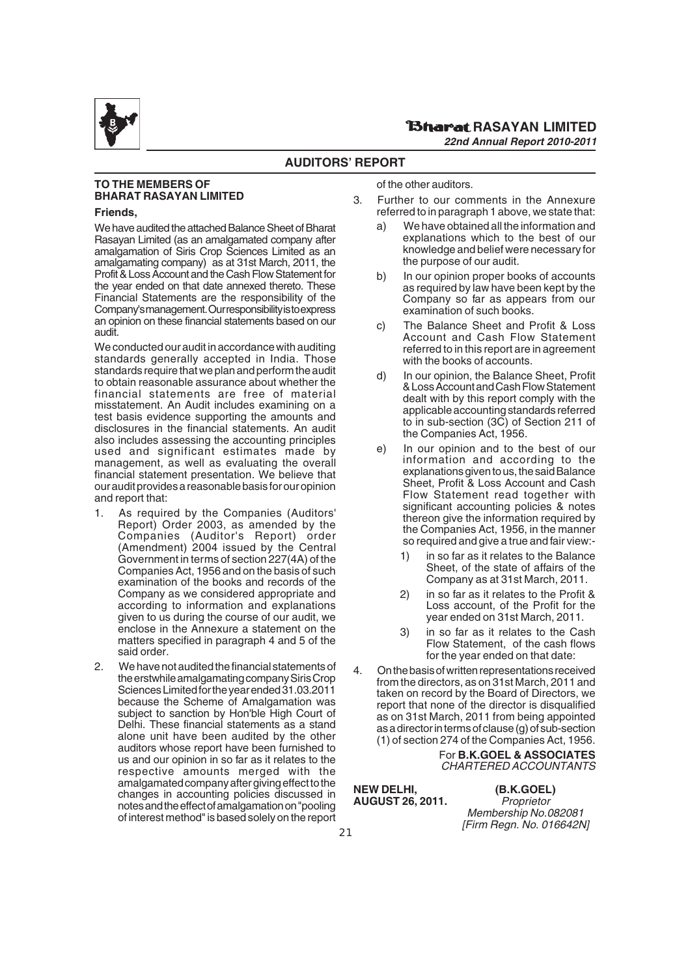

#### **RASAYAN LIMITED** *22nd Annual Report 2010-2011*

#### **AUDITORS' REPORT**

### **TO THE MEMBERS OF BHARAT RASAYAN LIMITED**

#### **Friends,**

We have audited the attached Balance Sheet of Bharat Rasayan Limited (as an amalgamated company after amalgamation of Siris Crop Sciences Limited as an amalgamating company) as at 31st March, 2011, the Profit & Loss Account and the Cash Flow Statement for the year ended on that date annexed thereto. These Financial Statements are the responsibility of the Company's management. Our responsibility is to express an opinion on these financial statements based on our audit.

We conducted our audit in accordance with auditing standards generally accepted in India. Those standards require that we plan and perform the audit to obtain reasonable assurance about whether the financial statements are free of material misstatement. An Audit includes examining on a test basis evidence supporting the amounts and disclosures in the financial statements. An audit also includes assessing the accounting principles used and significant estimates made by management, as well as evaluating the overall financial statement presentation. We believe that our audit provides a reasonable basis for our opinion and report that:

- 1. As required by the Companies (Auditors' Report) Order 2003, as amended by the Companies (Auditor's Report) order (Amendment) 2004 issued by the Central Government in terms of section 227(4A) of the Companies Act, 1956 and on the basis of such examination of the books and records of the Company as we considered appropriate and according to information and explanations given to us during the course of our audit, we enclose in the Annexure a statement on the matters specified in paragraph 4 and 5 of the said order.
- 2. We have not audited the financial statements of the erstwhile amalgamating company Siris Crop Sciences Limited for the year ended 31.03.2011 because the Scheme of Amalgamation was subject to sanction by Hon'ble High Court of Delhi. These financial statements as a stand alone unit have been audited by the other auditors whose report have been furnished to us and our opinion in so far as it relates to the respective amounts merged with the amalgamated company after giving effect to the changes in accounting policies discussed in notes and the effect of amalgamation on "pooling of interest method" is based solely on the report

of the other auditors.

- 3. Further to our comments in the Annexure referred to in paragraph 1 above, we state that:
	- a) We have obtained all the information and explanations which to the best of our knowledge and belief were necessary for the purpose of our audit.
	- b) In our opinion proper books of accounts as required by law have been kept by the Company so far as appears from our examination of such books.
	- c) The Balance Sheet and Profit & Loss Account and Cash Flow Statement referred to in this report are in agreement with the books of accounts.
	- d) In our opinion, the Balance Sheet, Profit & Loss Account and Cash Flow Statement dealt with by this report comply with the applicable accounting standards referred to in sub-section (3C) of Section 211 of the Companies Act, 1956.
	- e) In our opinion and to the best of our information and according to the explanations given to us, the said Balance Sheet, Profit & Loss Account and Cash Flow Statement read together with significant accounting policies & notes thereon give the information required by the Companies Act, 1956, in the manner so required and give a true and fair view:-
		- 1) in so far as it relates to the Balance Sheet, of the state of affairs of the Company as at 31st March, 2011.
		- 2) in so far as it relates to the Profit & Loss account, of the Profit for the year ended on 31st March, 2011.
		- 3) in so far as it relates to the Cash Flow Statement, of the cash flows for the year ended on that date:
- 4. On the basis of written representations received from the directors, as on 31st March, 2011 and taken on record by the Board of Directors, we report that none of the director is disqualified as on 31st March, 2011 from being appointed as a director in terms of clause (g) of sub-section (1) of section 274 of the Companies Act, 1956.

For **B.K.GOEL & ASSOCIATES** CHARTERED ACCOUNTANTS

**NEW DELHI, (B.K.GOEL)**<br>**AUGUST 26. 2011.** Proprietor **AUGUST 26, 2011.** Proprietor

Membership No.082081 [Firm Regn. No. 016642N]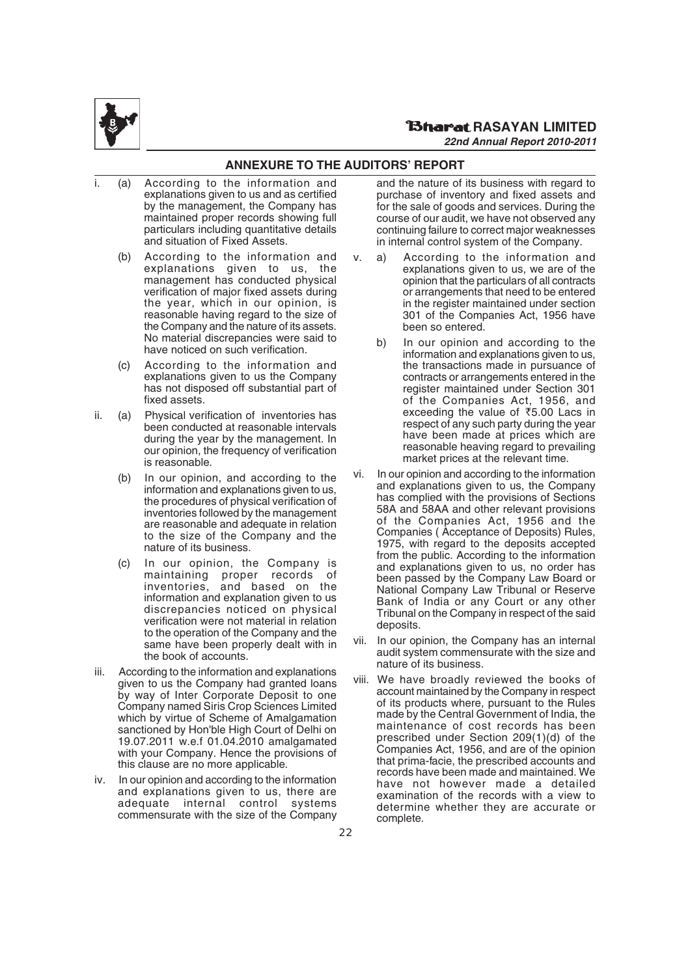

### **ANNEXURE TO THE AUDITORS' REPORT**

- (a) According to the information and explanations given to us and as certified by the management, the Company has maintained proper records showing full particulars including quantitative details and situation of Fixed Assets.
	- (b) According to the information and explanations given to us, the management has conducted physical verification of major fixed assets during the year, which in our opinion, is reasonable having regard to the size of the Company and the nature of its assets. No material discrepancies were said to have noticed on such verification.
	- (c) According to the information and explanations given to us the Company has not disposed off substantial part of fixed assets.
- ii. (a) Physical verification of inventories has been conducted at reasonable intervals during the year by the management. In our opinion, the frequency of verification is reasonable.
	- (b) In our opinion, and according to the information and explanations given to us, the procedures of physical verification of inventories followed by the management are reasonable and adequate in relation to the size of the Company and the nature of its business.
	- (c) In our opinion, the Company is maintaining proper records of inventories, and based on the information and explanation given to us discrepancies noticed on physical verification were not material in relation to the operation of the Company and the same have been properly dealt with in the book of accounts.
- iii. According to the information and explanations given to us the Company had granted loans by way of Inter Corporate Deposit to one Company named Siris Crop Sciences Limited which by virtue of Scheme of Amalgamation sanctioned by Hon'ble High Court of Delhi on 19.07.2011 w.e.f 01.04.2010 amalgamated with your Company. Hence the provisions of this clause are no more applicable.
- iv. In our opinion and according to the information and explanations given to us, there are adequate internal control commensurate with the size of the Company

and the nature of its business with regard to purchase of inventory and fixed assets and for the sale of goods and services. During the course of our audit, we have not observed any continuing failure to correct major weaknesses in internal control system of the Company.

- v. a) According to the information and explanations given to us, we are of the opinion that the particulars of all contracts or arrangements that need to be entered in the register maintained under section 301 of the Companies Act, 1956 have been so entered.
	- b) In our opinion and according to the information and explanations given to us, the transactions made in pursuance of contracts or arrangements entered in the register maintained under Section 301 of the Companies Act, 1956, and exceeding the value of  $\overline{55.00}$  Lacs in respect of any such party during the year have been made at prices which are reasonable heaving regard to prevailing market prices at the relevant time.
- vi. In our opinion and according to the information and explanations given to us, the Company has complied with the provisions of Sections 58A and 58AA and other relevant provisions of the Companies Act, 1956 and the Companies ( Acceptance of Deposits) Rules, 1975, with regard to the deposits accepted from the public. According to the information and explanations given to us, no order has been passed by the Company Law Board or National Company Law Tribunal or Reserve Bank of India or any Court or any other Tribunal on the Company in respect of the said deposits.
- vii. In our opinion, the Company has an internal audit system commensurate with the size and nature of its business.
- viii. We have broadly reviewed the books of account maintained by the Company in respect of its products where, pursuant to the Rules made by the Central Government of India, the maintenance of cost records has been prescribed under Section 209(1)(d) of the Companies Act, 1956, and are of the opinion that prima-facie, the prescribed accounts and records have been made and maintained. We have not however made a detailed examination of the records with a view to determine whether they are accurate or complete.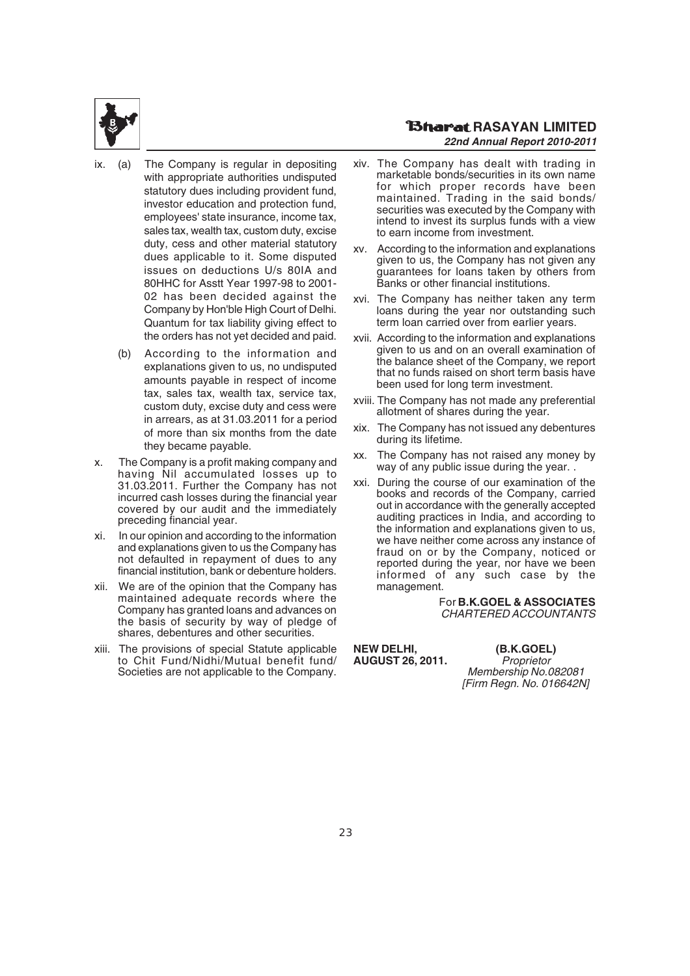

#### **RAGARIAN LIMITED** *22nd Annual Report 2010-2011*

- (a) The Company is regular in depositing with appropriate authorities undisputed statutory dues including provident fund, investor education and protection fund, employees' state insurance, income tax, sales tax, wealth tax, custom duty, excise duty, cess and other material statutory dues applicable to it. Some disputed issues on deductions U/s 80IA and 80HHC for Asstt Year 1997-98 to 2001- 02 has been decided against the Company by Hon'ble High Court of Delhi. Quantum for tax liability giving effect to the orders has not yet decided and paid.
	- (b) According to the information and explanations given to us, no undisputed amounts payable in respect of income tax, sales tax, wealth tax, service tax, custom duty, excise duty and cess were in arrears, as at 31.03.2011 for a period of more than six months from the date they became payable.
- x. The Company is a profit making company and having Nil accumulated losses up to 31.03.2011. Further the Company has not incurred cash losses during the financial year covered by our audit and the immediately preceding financial year.
- xi. In our opinion and according to the information and explanations given to us the Company has not defaulted in repayment of dues to any financial institution, bank or debenture holders.
- xii. We are of the opinion that the Company has maintained adequate records where the Company has granted loans and advances on the basis of security by way of pledge of shares, debentures and other securities.
- xiii. The provisions of special Statute applicable to Chit Fund/Nidhi/Mutual benefit fund/ Societies are not applicable to the Company.
- xiv. The Company has dealt with trading in marketable bonds/securities in its own name for which proper records have been maintained. Trading in the said bonds/ securities was executed by the Company with intend to invest its surplus funds with a view to earn income from investment.
- xv. According to the information and explanations given to us, the Company has not given any guarantees for loans taken by others from Banks or other financial institutions.
- xvi. The Company has neither taken any term loans during the year nor outstanding such term loan carried over from earlier years.
- xvii. According to the information and explanations given to us and on an overall examination of the balance sheet of the Company, we report that no funds raised on short term basis have been used for long term investment.
- xviii. The Company has not made any preferential allotment of shares during the year.
- xix. The Company has not issued any debentures during its lifetime.
- xx. The Company has not raised any money by way of any public issue during the year.
- xxi. During the course of our examination of the books and records of the Company, carried out in accordance with the generally accepted auditing practices in India, and according to the information and explanations given to us, we have neither come across any instance of fraud on or by the Company, noticed or reported during the year, nor have we been informed of any such case by the management.

#### For **B.K.GOEL & ASSOCIATES** CHARTERED ACCOUNTANTS

**NEW DELHI, (B.K.GOEL) AUGUST 26, 2011.** Proprietor

Membership No.082081 [Firm Regn. No. 016642N]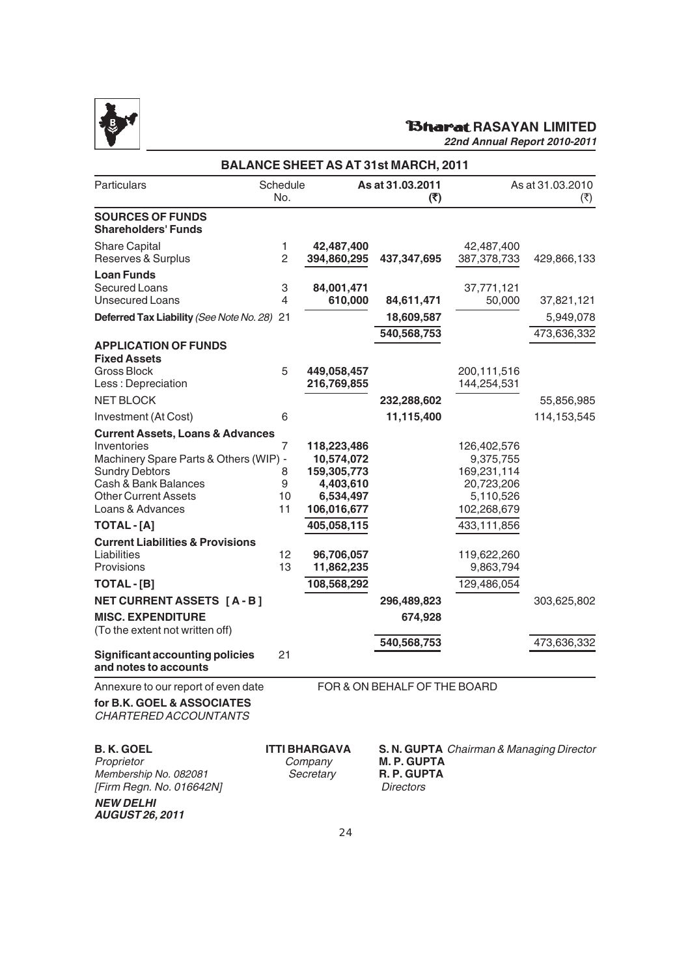

# **RAGINAL RASAYAN LIMITED**

|                                                                                                                                                                                                          |                         |                                                                                   | <b>BALANCE SHEET AS AT 31st MARCH, 2011</b>          |                                                                                   |                          |
|----------------------------------------------------------------------------------------------------------------------------------------------------------------------------------------------------------|-------------------------|-----------------------------------------------------------------------------------|------------------------------------------------------|-----------------------------------------------------------------------------------|--------------------------|
| Particulars                                                                                                                                                                                              | Schedule<br>No.         |                                                                                   | As at 31.03.2011<br>(₹)                              |                                                                                   | As at 31.03.2010<br>(₹)  |
| <b>SOURCES OF FUNDS</b><br><b>Shareholders' Funds</b>                                                                                                                                                    |                         |                                                                                   |                                                      |                                                                                   |                          |
| <b>Share Capital</b><br>Reserves & Surplus                                                                                                                                                               | $\mathbf{1}$<br>2       | 42,487,400<br>394,860,295                                                         | 437, 347, 695                                        | 42,487,400<br>387,378,733                                                         | 429,866,133              |
| <b>Loan Funds</b><br>Secured Loans<br><b>Unsecured Loans</b>                                                                                                                                             | 3<br>4                  | 84,001,471<br>610,000                                                             | 84,611,471                                           | 37,771,121<br>50,000                                                              | 37,821,121               |
| Deferred Tax Liability (See Note No. 28) 21                                                                                                                                                              |                         |                                                                                   | 18,609,587<br>540,568,753                            |                                                                                   | 5,949,078<br>473,636,332 |
| <b>APPLICATION OF FUNDS</b><br><b>Fixed Assets</b><br>Gross Block<br>Less: Depreciation                                                                                                                  | 5                       | 449,058,457<br>216,769,855                                                        |                                                      | 200,111,516<br>144,254,531                                                        |                          |
| <b>NET BLOCK</b>                                                                                                                                                                                         |                         |                                                                                   | 232,288,602                                          |                                                                                   | 55,856,985               |
| Investment (At Cost)                                                                                                                                                                                     | 6                       |                                                                                   | 11,115,400                                           |                                                                                   | 114, 153, 545            |
| <b>Current Assets, Loans &amp; Advances</b><br>Inventories<br>Machinery Spare Parts & Others (WIP) -<br><b>Sundry Debtors</b><br>Cash & Bank Balances<br><b>Other Current Assets</b><br>Loans & Advances | 7<br>8<br>9<br>10<br>11 | 118,223,486<br>10,574,072<br>159,305,773<br>4,403,610<br>6,534,497<br>106,016,677 |                                                      | 126,402,576<br>9,375,755<br>169,231,114<br>20,723,206<br>5,110,526<br>102,268,679 |                          |
| TOTAL - [A]                                                                                                                                                                                              |                         | 405,058,115                                                                       |                                                      | 433,111,856                                                                       |                          |
| <b>Current Liabilities &amp; Provisions</b><br>Liabilities<br>Provisions                                                                                                                                 | 12<br>13                | 96,706,057<br>11,862,235                                                          |                                                      | 119,622,260<br>9,863,794                                                          |                          |
| TOTAL - [B]                                                                                                                                                                                              |                         | 108,568,292                                                                       |                                                      | 129,486,054                                                                       |                          |
| <b>NET CURRENT ASSETS [A-B]</b><br><b>MISC. EXPENDITURE</b><br>(To the extent not written off)                                                                                                           |                         |                                                                                   | 296,489,823<br>674,928                               |                                                                                   | 303,625,802              |
| <b>Significant accounting policies</b><br>and notes to accounts                                                                                                                                          | 21                      |                                                                                   | 540,568,753                                          |                                                                                   | 473,636,332              |
| Annexure to our report of even date                                                                                                                                                                      |                         |                                                                                   | FOR & ON BEHALF OF THE BOARD                         |                                                                                   |                          |
| for B.K. GOEL & ASSOCIATES<br>CHARTERED ACCOUNTANTS                                                                                                                                                      |                         |                                                                                   |                                                      |                                                                                   |                          |
| <b>B.K.GOEL</b><br>Proprietor<br>Membership No. 082081<br>[Firm Regn. No. 016642N]<br><b>NEW DELHI</b><br><b>AUGUST 26, 2011</b>                                                                         |                         | <b>ITTI BHARGAVA</b><br>Company<br>Secretary                                      | <b>M.P. GUPTA</b><br>R. P. GUPTA<br><b>Directors</b> | S. N. GUPTA Chairman & Managing Director                                          |                          |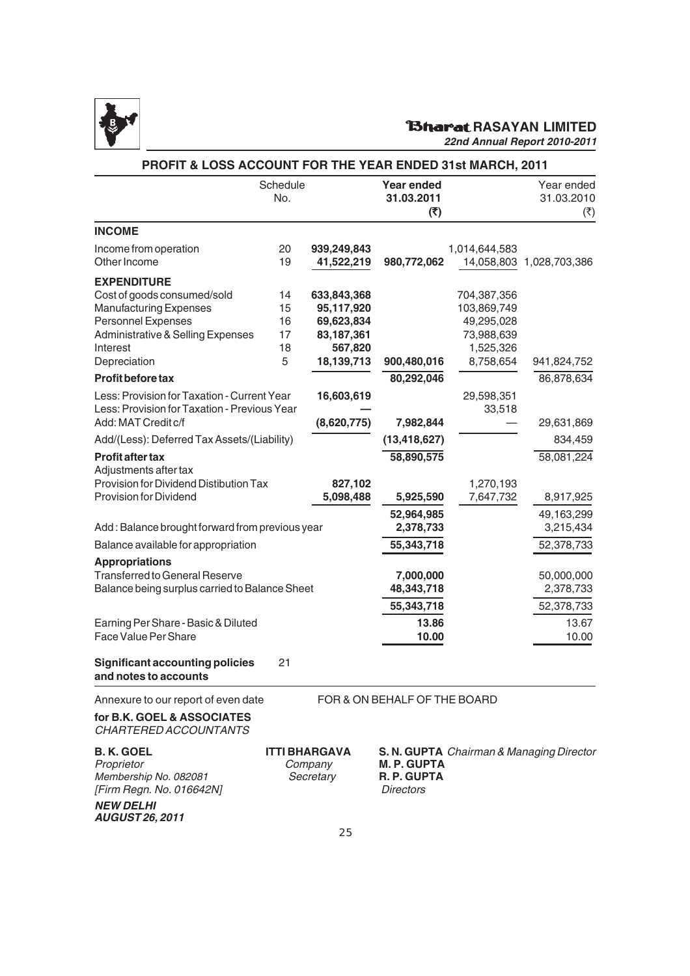

# **RAGARASAYAN LIMITED**

|                                                                                             | Schedule<br>No.                       |                           | <b>Year ended</b><br>31.03.2011<br>(5)        |                        | Year ended<br>31.03.2010<br>( ₹)         |
|---------------------------------------------------------------------------------------------|---------------------------------------|---------------------------|-----------------------------------------------|------------------------|------------------------------------------|
| <b>INCOME</b>                                                                               |                                       |                           |                                               |                        |                                          |
| Income from operation<br>Other Income                                                       | 20<br>19                              | 939,249,843<br>41,522,219 | 980,772,062                                   | 1,014,644,583          | 14,058,803 1,028,703,386                 |
| <b>EXPENDITURE</b>                                                                          |                                       |                           |                                               |                        |                                          |
| Cost of goods consumed/sold                                                                 | 14                                    | 633,843,368               |                                               | 704,387,356            |                                          |
| <b>Manufacturing Expenses</b>                                                               | 15                                    | 95,117,920                |                                               | 103,869,749            |                                          |
| <b>Personnel Expenses</b>                                                                   | 16                                    | 69,623,834                |                                               | 49,295,028             |                                          |
| Administrative & Selling Expenses                                                           | 17                                    | 83,187,361                |                                               | 73,988,639             |                                          |
| Interest                                                                                    | 18                                    | 567,820                   |                                               | 1,525,326              |                                          |
| Depreciation                                                                                | 5                                     | 18,139,713                | 900,480,016                                   | 8,758,654              | 941,824,752                              |
| Profit before tax                                                                           |                                       |                           | 80,292,046                                    |                        | 86,878,634                               |
| Less: Provision for Taxation - Current Year<br>Less: Provision for Taxation - Previous Year |                                       | 16,603,619                |                                               | 29,598,351<br>33,518   |                                          |
| Add: MAT Credit c/f                                                                         |                                       | (8,620,775)               | 7,982,844                                     |                        | 29,631,869                               |
| Add/(Less): Deferred Tax Assets/(Liability)                                                 |                                       |                           | (13, 418, 627)                                |                        | 834,459                                  |
| Profit after tax<br>Adjustments after tax                                                   |                                       |                           | 58,890,575                                    |                        | 58,081,224                               |
| Provision for Dividend Distibution Tax<br>Provision for Dividend                            |                                       | 827,102<br>5,098,488      | 5,925,590                                     | 1,270,193<br>7,647,732 | 8,917,925                                |
|                                                                                             |                                       |                           | 52,964,985                                    |                        | 49,163,299                               |
| Add: Balance brought forward from previous year                                             |                                       |                           | 2,378,733                                     |                        | 3,215,434                                |
| Balance available for appropriation                                                         |                                       |                           | 55,343,718                                    |                        | 52,378,733                               |
| <b>Appropriations</b>                                                                       |                                       |                           |                                               |                        |                                          |
| <b>Transferred to General Reserve</b>                                                       |                                       |                           | 7,000,000                                     |                        | 50,000,000                               |
| Balance being surplus carried to Balance Sheet                                              |                                       |                           | 48, 343, 718                                  |                        | 2,378,733                                |
|                                                                                             |                                       |                           | 55,343,718                                    |                        | 52,378,733                               |
| Earning Per Share - Basic & Diluted                                                         |                                       |                           | 13.86                                         |                        | 13.67                                    |
| Face Value Per Share                                                                        |                                       |                           | 10.00                                         |                        | 10.00                                    |
| <b>Significant accounting policies</b><br>and notes to accounts                             | 21                                    |                           |                                               |                        |                                          |
| Annexure to our report of even date                                                         |                                       |                           | FOR & ON BEHALF OF THE BOARD                  |                        |                                          |
| for B.K. GOEL & ASSOCIATES<br>CHARTERED ACCOUNTANTS                                         |                                       |                           |                                               |                        |                                          |
| <b>B.K. GOEL</b><br>Proprietor<br>Membership No. 082081<br>[Firm Regn. No. 016642N]         | ITTI BHARGAVA<br>Company<br>Secretary |                           | <b>M.P. GUPTA</b><br>R. P. GUPTA<br>Directors |                        | S. N. GUPTA Chairman & Managing Director |
| <b>NEW DELHI</b><br><b>AUGUST 26, 2011</b>                                                  |                                       |                           |                                               |                        |                                          |
|                                                                                             |                                       | つに                        |                                               |                        |                                          |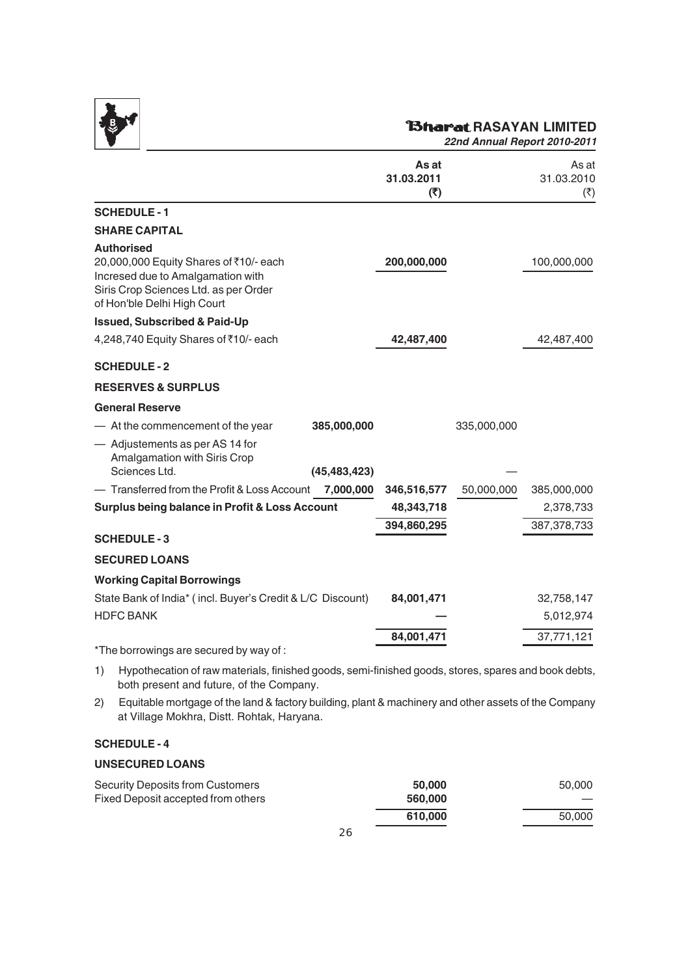

# **RAGAYAN LIMITED**

*22nd Annual Report 2010-2011*

|                                                                                                                                                                          |                | As at<br>31.03.2011<br>(5) |             | As at<br>31.03.2010<br>$(\overline{\zeta})$ |
|--------------------------------------------------------------------------------------------------------------------------------------------------------------------------|----------------|----------------------------|-------------|---------------------------------------------|
| <b>SCHEDULE-1</b>                                                                                                                                                        |                |                            |             |                                             |
| <b>SHARE CAPITAL</b>                                                                                                                                                     |                |                            |             |                                             |
| <b>Authorised</b><br>20,000,000 Equity Shares of ₹10/- each<br>Incresed due to Amalgamation with<br>Siris Crop Sciences Ltd. as per Order<br>of Hon'ble Delhi High Court |                | 200,000,000                |             | 100,000,000                                 |
| <b>Issued, Subscribed &amp; Paid-Up</b>                                                                                                                                  |                |                            |             |                                             |
| 4,248,740 Equity Shares of ₹10/- each                                                                                                                                    |                | 42,487,400                 |             | 42,487,400                                  |
| <b>SCHEDULE-2</b>                                                                                                                                                        |                |                            |             |                                             |
| <b>RESERVES &amp; SURPLUS</b>                                                                                                                                            |                |                            |             |                                             |
| <b>General Reserve</b>                                                                                                                                                   |                |                            |             |                                             |
| - At the commencement of the year                                                                                                                                        | 385,000,000    |                            | 335,000,000 |                                             |
| - Adjustements as per AS 14 for<br>Amalgamation with Siris Crop<br>Sciences Ltd.                                                                                         | (45, 483, 423) |                            |             |                                             |
| - Transferred from the Profit & Loss Account                                                                                                                             | 7,000,000      | 346,516,577                | 50,000,000  | 385,000,000                                 |
| <b>Surplus being balance in Profit &amp; Loss Account</b>                                                                                                                |                | 48,343,718                 |             | 2,378,733                                   |
|                                                                                                                                                                          |                | 394,860,295                |             | 387,378,733                                 |
| <b>SCHEDULE-3</b>                                                                                                                                                        |                |                            |             |                                             |
| <b>SECURED LOANS</b>                                                                                                                                                     |                |                            |             |                                             |
| <b>Working Capital Borrowings</b>                                                                                                                                        |                |                            |             |                                             |
| State Bank of India* (incl. Buyer's Credit & L/C Discount)                                                                                                               |                | 84,001,471                 |             | 32,758,147                                  |
| <b>HDFC BANK</b>                                                                                                                                                         |                |                            |             | 5,012,974                                   |
|                                                                                                                                                                          |                | 84,001,471                 |             | 37,771,121                                  |
| *The borrowings are secured by way of :                                                                                                                                  |                |                            |             |                                             |
| 1) Hypothocation of raw materials, finished goods, semi-finished goods, steres, sparse and book debts                                                                    |                |                            |             |                                             |

1) Hypothecation of raw materials, finished goods, semi-finished goods, stores, spares and book debts, both present and future, of the Company.

2) Equitable mortgage of the land & factory building, plant & machinery and other assets of the Company at Village Mokhra, Distt. Rohtak, Haryana.

### **SCHEDULE - 4**

#### **UNSECURED LOANS**

| Security Deposits from Customers   | 50,000  | 50,000 |
|------------------------------------|---------|--------|
| Fixed Deposit accepted from others | 560,000 |        |
|                                    | 610.000 | 50.000 |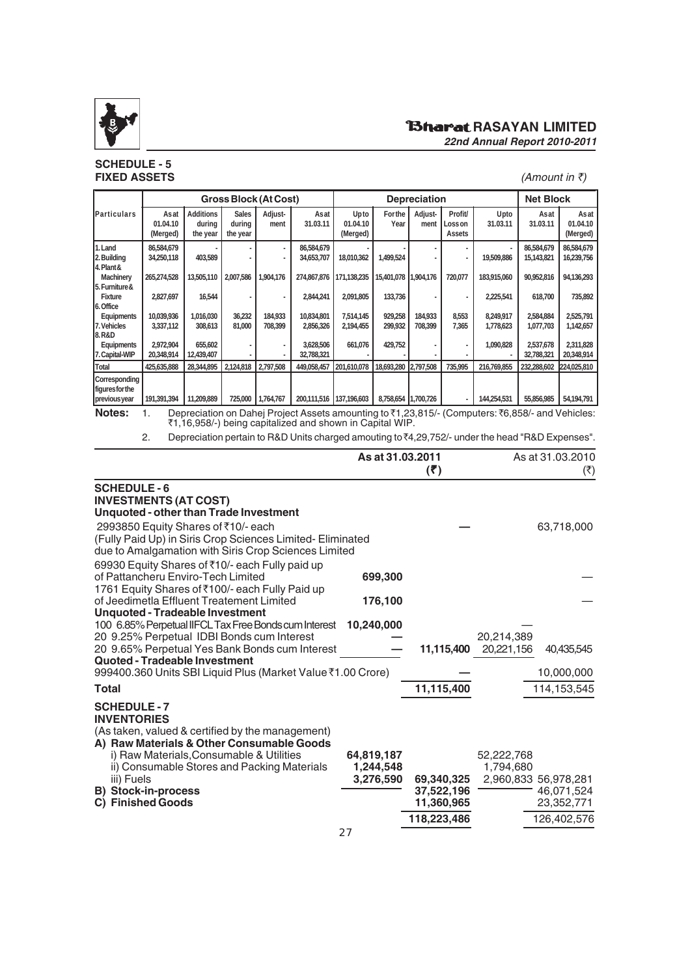

#### **SCHEDULE - 5 FIXED ASSETS** (*Amount in ₹*)

### **RAGINAL RASAYAN LIMITED** *22nd Annual Report 2010-2011*

|                                                                                                                                                                        |                              |                                        |                                    | Gross Block (At Cost) |                          |                              |                        | <b>Depreciation</b> |                             |                        | <b>Net Block</b>         |                              |
|------------------------------------------------------------------------------------------------------------------------------------------------------------------------|------------------------------|----------------------------------------|------------------------------------|-----------------------|--------------------------|------------------------------|------------------------|---------------------|-----------------------------|------------------------|--------------------------|------------------------------|
| Particulars                                                                                                                                                            | Asat<br>01.04.10<br>(Merged) | <b>Additions</b><br>during<br>the year | <b>Sales</b><br>durina<br>the year | Adjust-<br>ment       | Asat<br>31.03.11         | Upto<br>01.04.10<br>(Merged) | <b>For the</b><br>Year | Adjust-<br>ment     | Profit/<br>Losson<br>Assets | Upto<br>31.03.11       | Asat<br>31.03.11         | Asat<br>01.04.10<br>(Merged) |
| 1. Land<br>2. Building<br>4. Plant &                                                                                                                                   | 86,584,679<br>34,250,118     | 403,589                                |                                    | $\blacksquare$        | 86,584,679<br>34,653,707 | 18,010,362                   | 1,499,524              |                     |                             | 19,509,886             | 86,584,679<br>15,143,821 | 86,584,679<br>16,239,756     |
| Machinery<br>5. Furniture &                                                                                                                                            | 265,274,528                  | 13,505,110                             | 2,007,586                          | 1,904,176             | 274,867,876              | 171,138,235                  | 15,401,078 1,904,176   |                     | 720,077                     | 183,915,060            | 90,952,816               | 94,136,293                   |
| Fixture<br>6. Office                                                                                                                                                   | 2,827,697                    | 16,544                                 |                                    |                       | 2,844,241                | 2,091,805                    | 133,736                |                     |                             | 2,225,541              | 618,700                  | 735,892                      |
| Equipments<br>7. Vehicles                                                                                                                                              | 10,039,936<br>3,337,112      | 1,016,030<br>308,613                   | 36.232<br>81,000                   | 184.933<br>708,399    | 10.834.801<br>2,856,326  | 7.514.145<br>2,194,455       | 929,258<br>299,932     | 184.933<br>708,399  | 8,553<br>7,365              | 8.249.917<br>1,778,623 | 2,584,884<br>1,077,703   | 2,525,791<br>1,142,657       |
| 8. R&D<br>Equipments<br>7. Capital-WIP                                                                                                                                 | 2,972,904<br>20,348,914      | 655,602<br>12,439,407                  |                                    |                       | 3,628,506<br>32,788,321  | 661,076                      | 429,752                |                     |                             | 1,090,828              | 2,537,678<br>32,788,321  | 2,311,828<br>20,348,914      |
| Total                                                                                                                                                                  | 425,635,888                  | 28,344,895                             | 2,124,818                          | 2,797,508             | 449,058,457              | 201,610,078                  | 18,693,280             | 2,797,508           | 735,995                     | 216,769,855            | 232,288,602              | 224,025,810                  |
| Corresponding<br>figures for the<br>previous year                                                                                                                      | 191,391,394                  | 11.209.889                             | 725,000                            | 1,764,767             | 200,111,516              | 137,196,603                  | 8,758,654              | 1,700,726           | $\sim$                      | 144,254,531            | 55,856,985               | 54,194,791                   |
| Notes:<br>Depreciation on Dahej Project Assets amounting to ₹1,23,815/- (Computers: ₹6,858/- and Vehicles:<br>₹1,16,958/-) being capitalized and shown in Capital WIP. |                              |                                        |                                    |                       |                          |                              |                        |                     |                             |                        |                          |                              |

2. Depreciation pertain to R&D Units charged amouting to ₹4,29,752/- under the head "R&D Expenses".

|                                                                                                                                                                                                              | As at 31.03.2011        | (5)                                    | As at 31.03.2010<br>(₹) |                                                  |  |
|--------------------------------------------------------------------------------------------------------------------------------------------------------------------------------------------------------------|-------------------------|----------------------------------------|-------------------------|--------------------------------------------------|--|
| <b>SCHEDULE-6</b><br><b>INVESTMENTS (AT COST)</b><br>Unquoted - other than Trade Investment                                                                                                                  |                         |                                        |                         |                                                  |  |
| 2993850 Equity Shares of ₹10/- each<br>(Fully Paid Up) in Siris Crop Sciences Limited- Eliminated<br>due to Amalgamation with Siris Crop Sciences Limited<br>69930 Equity Shares of ₹10/- each Fully paid up |                         |                                        |                         | 63,718,000                                       |  |
| of Pattancheru Enviro-Tech Limited<br>1761 Equity Shares of ₹100/- each Fully Paid up                                                                                                                        | 699,300                 |                                        |                         |                                                  |  |
| of Jeedimetla Effluent Treatement Limited<br><b>Unquoted - Tradeable Investment</b>                                                                                                                          | 176,100                 |                                        |                         |                                                  |  |
| 100 6.85% Perpetual IIFCL Tax Free Bonds cum Interest<br>20 9.25% Perpetual IDBI Bonds cum Interest                                                                                                          | 10,240,000              |                                        | 20,214,389              |                                                  |  |
| 20 9.65% Perpetual Yes Bank Bonds cum Interest<br>Quoted - Tradeable Investment                                                                                                                              |                         | 11,115,400                             | 20,221,156              | 40,435,545                                       |  |
| 999400.360 Units SBI Liquid Plus (Market Value ₹1.00 Crore)                                                                                                                                                  |                         |                                        |                         | 10,000,000                                       |  |
| <b>Total</b>                                                                                                                                                                                                 |                         | 11,115,400                             |                         | 114, 153, 545                                    |  |
| <b>SCHEDULE-7</b><br><b>INVENTORIES</b><br>(As taken, valued & certified by the management)<br>A) Raw Materials & Other Consumable Goods                                                                     |                         |                                        |                         |                                                  |  |
| i) Raw Materials, Consumable & Utilities<br>ii) Consumable Stores and Packing Materials                                                                                                                      | 64,819,187<br>1,244,548 |                                        | 52,222,768<br>1,794,680 |                                                  |  |
| iii) Fuels<br><b>B) Stock-in-process</b><br><b>Finished Goods</b><br>C)                                                                                                                                      | 3,276,590               | 69,340,325<br>37,522,196<br>11,360,965 |                         | 2,960,833 56,978,281<br>46,071,524<br>23,352,771 |  |
|                                                                                                                                                                                                              | ^¬                      | 118,223,486                            |                         | 126,402,576                                      |  |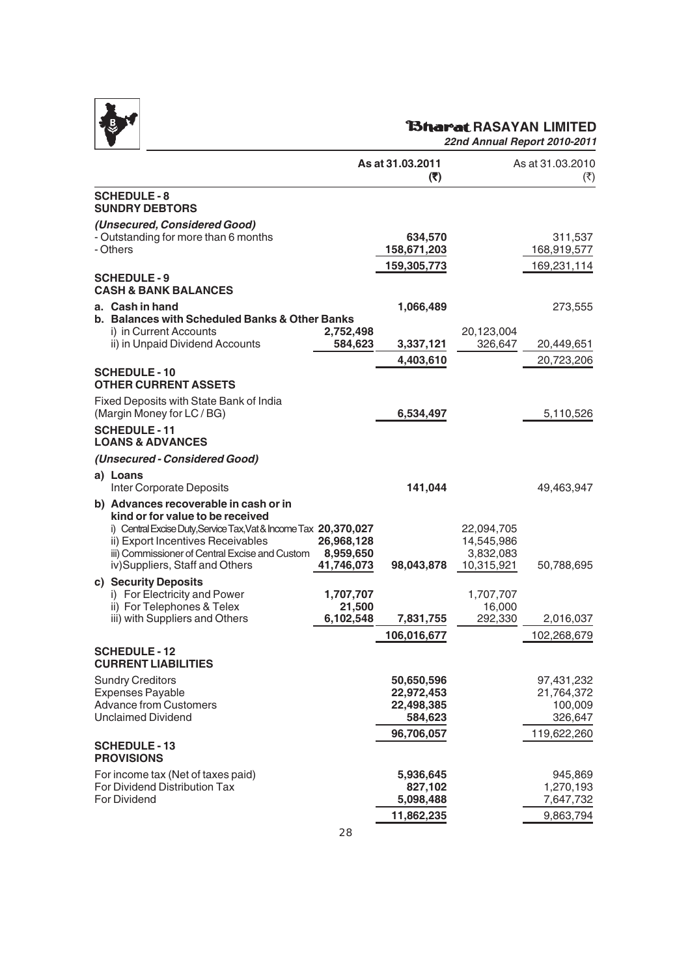

# **RAGARASAYAN LIMITED**

|                                                                                                                                                                                                                                                                        |                                       | As at 31.03.2011<br>(5)                           |                                                     | As at 31.03.2010<br>(₹)                        |
|------------------------------------------------------------------------------------------------------------------------------------------------------------------------------------------------------------------------------------------------------------------------|---------------------------------------|---------------------------------------------------|-----------------------------------------------------|------------------------------------------------|
| <b>SCHEDULE-8</b><br><b>SUNDRY DEBTORS</b>                                                                                                                                                                                                                             |                                       |                                                   |                                                     |                                                |
| (Unsecured, Considered Good)<br>- Outstanding for more than 6 months<br>- Others                                                                                                                                                                                       |                                       | 634,570<br>158,671,203                            |                                                     | 311,537<br>168,919,577                         |
| <b>SCHEDULE-9</b><br><b>CASH &amp; BANK BALANCES</b>                                                                                                                                                                                                                   |                                       | 159,305,773                                       |                                                     | 169,231,114                                    |
| a. Cash in hand<br>b. Balances with Scheduled Banks & Other Banks                                                                                                                                                                                                      |                                       | 1,066,489                                         |                                                     | 273,555                                        |
| i) in Current Accounts<br>ii) in Unpaid Dividend Accounts                                                                                                                                                                                                              | 2,752,498<br>584,623                  | 3,337,121                                         | 20,123,004<br>326,647                               | 20,449,651                                     |
| <b>SCHEDULE-10</b>                                                                                                                                                                                                                                                     |                                       | 4,403,610                                         |                                                     | 20,723,206                                     |
| <b>OTHER CURRENT ASSETS</b>                                                                                                                                                                                                                                            |                                       |                                                   |                                                     |                                                |
| Fixed Deposits with State Bank of India<br>(Margin Money for LC / BG)                                                                                                                                                                                                  |                                       | 6,534,497                                         |                                                     | 5,110,526                                      |
| <b>SCHEDULE-11</b><br><b>LOANS &amp; ADVANCES</b>                                                                                                                                                                                                                      |                                       |                                                   |                                                     |                                                |
| (Unsecured - Considered Good)                                                                                                                                                                                                                                          |                                       |                                                   |                                                     |                                                |
| a) Loans<br>Inter Corporate Deposits                                                                                                                                                                                                                                   |                                       | 141,044                                           |                                                     | 49,463,947                                     |
| b) Advances recoverable in cash or in<br>kind or for value to be received<br>i) Central Excise Duty, Service Tax, Vat & Income Tax 20,370,027<br>ii) Export Incentives Receivables<br>iii) Commissioner of Central Excise and Custom<br>iv)Suppliers, Staff and Others | 26,968,128<br>8,959,650<br>41,746,073 | 98,043,878                                        | 22,094,705<br>14,545,986<br>3,832,083<br>10,315,921 | 50,788,695                                     |
| c) Security Deposits<br>i) For Electricity and Power<br>ii) For Telephones & Telex                                                                                                                                                                                     | 1,707,707<br>21,500                   |                                                   | 1,707,707<br>16,000                                 |                                                |
| iii) with Suppliers and Others                                                                                                                                                                                                                                         | 6,102,548                             | 7,831,755<br>106,016,677                          | 292,330                                             | 2,016,037                                      |
| <b>SCHEDULE - 12</b><br><b>CURRENT LIABILITIES</b>                                                                                                                                                                                                                     |                                       |                                                   |                                                     | 102,268,679                                    |
| <b>Sundry Creditors</b><br><b>Expenses Payable</b><br><b>Advance from Customers</b><br><b>Unclaimed Dividend</b>                                                                                                                                                       |                                       | 50,650,596<br>22,972,453<br>22,498,385<br>584,623 |                                                     | 97,431,232<br>21,764,372<br>100,009<br>326,647 |
| <b>SCHEDULE-13</b><br><b>PROVISIONS</b>                                                                                                                                                                                                                                |                                       | 96,706,057                                        |                                                     | 119,622,260                                    |
| For income tax (Net of taxes paid)<br>For Dividend Distribution Tax<br><b>For Dividend</b>                                                                                                                                                                             |                                       | 5,936,645<br>827,102<br>5,098,488<br>11,862,235   |                                                     | 945,869<br>1,270,193<br>7,647,732<br>9,863,794 |
|                                                                                                                                                                                                                                                                        |                                       |                                                   |                                                     |                                                |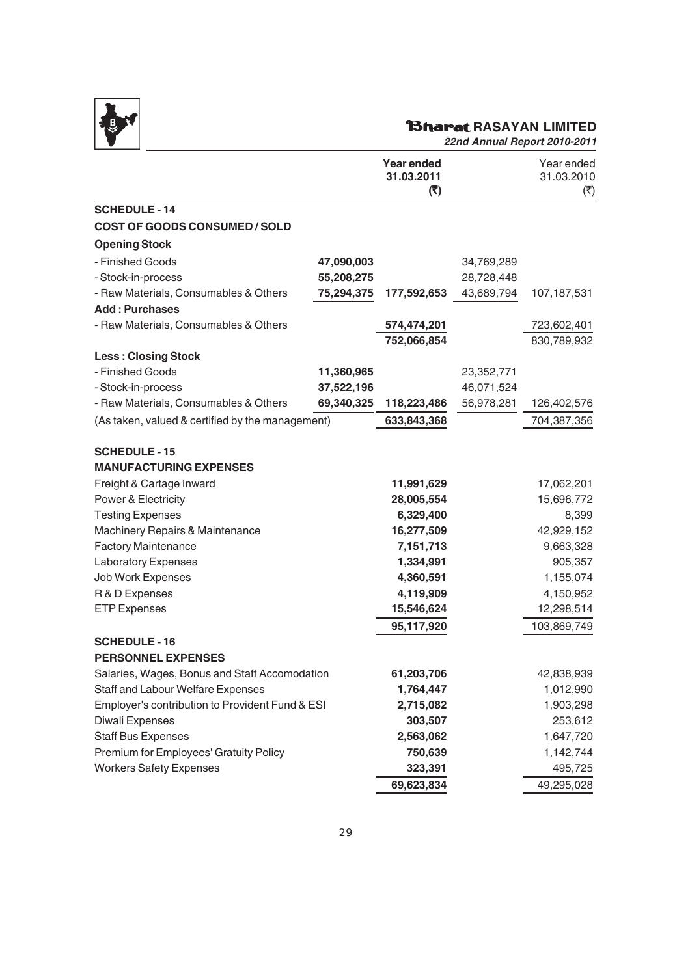

# *RAGE RASAYAN LIMITED*

| (5)                                                                                                                                 |            | 31.03.2010<br>(₹)                                                                                                              |
|-------------------------------------------------------------------------------------------------------------------------------------|------------|--------------------------------------------------------------------------------------------------------------------------------|
|                                                                                                                                     |            |                                                                                                                                |
|                                                                                                                                     |            |                                                                                                                                |
|                                                                                                                                     |            |                                                                                                                                |
|                                                                                                                                     | 34,769,289 |                                                                                                                                |
|                                                                                                                                     | 28,728,448 |                                                                                                                                |
| 177,592,653                                                                                                                         | 43,689,794 | 107,187,531                                                                                                                    |
|                                                                                                                                     |            |                                                                                                                                |
| 574,474,201                                                                                                                         |            | 723,602,401                                                                                                                    |
| 752,066,854                                                                                                                         |            | 830,789,932                                                                                                                    |
|                                                                                                                                     |            |                                                                                                                                |
|                                                                                                                                     | 23,352,771 |                                                                                                                                |
|                                                                                                                                     | 46,071,524 |                                                                                                                                |
| 118,223,486                                                                                                                         |            | 126,402,576                                                                                                                    |
| 633,843,368                                                                                                                         |            | 704,387,356                                                                                                                    |
| 11,991,629<br>28,005,554<br>6,329,400<br>16,277,509<br>7,151,713<br>1,334,991<br>4,360,591<br>4,119,909<br>15,546,624<br>95,117,920 |            | 17,062,201<br>15,696,772<br>8,399<br>42,929,152<br>9,663,328<br>905,357<br>1,155,074<br>4,150,952<br>12,298,514<br>103,869,749 |
| 61,203,706<br>1,764,447<br>2,715,082<br>303,507<br>2,563,062<br>750,639<br>323,391                                                  |            | 42,838,939<br>1,012,990<br>1,903,298<br>253,612<br>1,647,720<br>1,142,744<br>495,725<br>49,295,028                             |
|                                                                                                                                     | 69,623,834 | 56,978,281                                                                                                                     |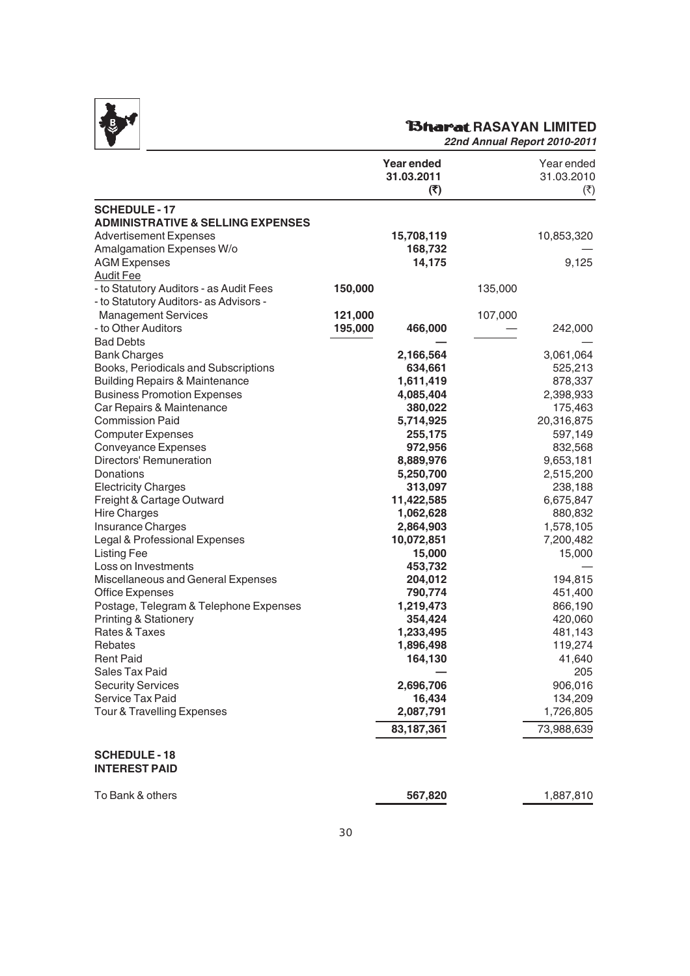

# **RAGARASAYAN LIMITED**

|                                              |         | <b>Year ended</b><br>31.03.2011<br>(₹) |         | Year ended<br>31.03.2010<br>(₹) |
|----------------------------------------------|---------|----------------------------------------|---------|---------------------------------|
| <b>SCHEDULE - 17</b>                         |         |                                        |         |                                 |
| <b>ADMINISTRATIVE &amp; SELLING EXPENSES</b> |         |                                        |         |                                 |
| <b>Advertisement Expenses</b>                |         | 15,708,119                             |         | 10,853,320                      |
| Amalgamation Expenses W/o                    |         | 168,732                                |         |                                 |
| <b>AGM Expenses</b>                          |         | 14,175                                 |         | 9,125                           |
| <b>Audit Fee</b>                             |         |                                        |         |                                 |
| - to Statutory Auditors - as Audit Fees      | 150,000 |                                        | 135,000 |                                 |
| - to Statutory Auditors- as Advisors -       |         |                                        |         |                                 |
| <b>Management Services</b>                   | 121,000 |                                        | 107,000 |                                 |
| - to Other Auditors                          | 195,000 | 466,000                                |         | 242,000                         |
| <b>Bad Debts</b>                             |         |                                        |         |                                 |
| <b>Bank Charges</b>                          |         | 2,166,564                              |         | 3,061,064                       |
| Books, Periodicals and Subscriptions         |         | 634,661                                |         | 525,213                         |
| <b>Building Repairs &amp; Maintenance</b>    |         | 1,611,419                              |         | 878,337                         |
| <b>Business Promotion Expenses</b>           |         | 4,085,404                              |         | 2,398,933                       |
| Car Repairs & Maintenance                    |         | 380,022                                |         | 175,463                         |
| <b>Commission Paid</b>                       |         | 5,714,925                              |         | 20,316,875                      |
| <b>Computer Expenses</b>                     |         | 255,175                                |         | 597,149                         |
| Conveyance Expenses                          |         | 972,956                                |         | 832,568                         |
| Directors' Remuneration                      |         | 8,889,976                              |         | 9,653,181                       |
| Donations                                    |         | 5,250,700                              |         | 2,515,200                       |
| <b>Electricity Charges</b>                   |         | 313,097                                |         | 238,188                         |
| Freight & Cartage Outward                    |         | 11,422,585                             |         | 6,675,847                       |
| <b>Hire Charges</b>                          |         | 1,062,628                              |         | 880,832                         |
| Insurance Charges                            |         | 2,864,903                              |         | 1,578,105                       |
| Legal & Professional Expenses                |         | 10,072,851                             |         | 7,200,482                       |
| <b>Listing Fee</b>                           |         | 15,000                                 |         | 15,000                          |
| Loss on Investments                          |         | 453,732                                |         |                                 |
| Miscellaneous and General Expenses           |         | 204,012                                |         | 194,815                         |
| <b>Office Expenses</b>                       |         | 790,774                                |         | 451,400                         |
| Postage, Telegram & Telephone Expenses       |         | 1,219,473                              |         | 866,190                         |
| <b>Printing &amp; Stationery</b>             |         | 354,424                                |         | 420,060                         |
| Rates & Taxes                                |         | 1,233,495                              |         | 481,143                         |
| Rebates                                      |         | 1,896,498                              |         | 119,274                         |
| <b>Rent Paid</b>                             |         | 164,130                                |         | 41,640                          |
| Sales Tax Paid                               |         |                                        |         | 205                             |
| <b>Security Services</b>                     |         | 2,696,706                              |         | 906,016                         |
| Service Tax Paid                             |         | 16,434                                 |         | 134,209                         |
| <b>Tour &amp; Travelling Expenses</b>        |         | 2,087,791                              |         | 1,726,805                       |
|                                              |         | 83,187,361                             |         | 73,988,639                      |
| <b>SCHEDULE - 18</b><br><b>INTEREST PAID</b> |         |                                        |         |                                 |
| To Bank & others                             |         | 567,820                                |         | 1,887,810                       |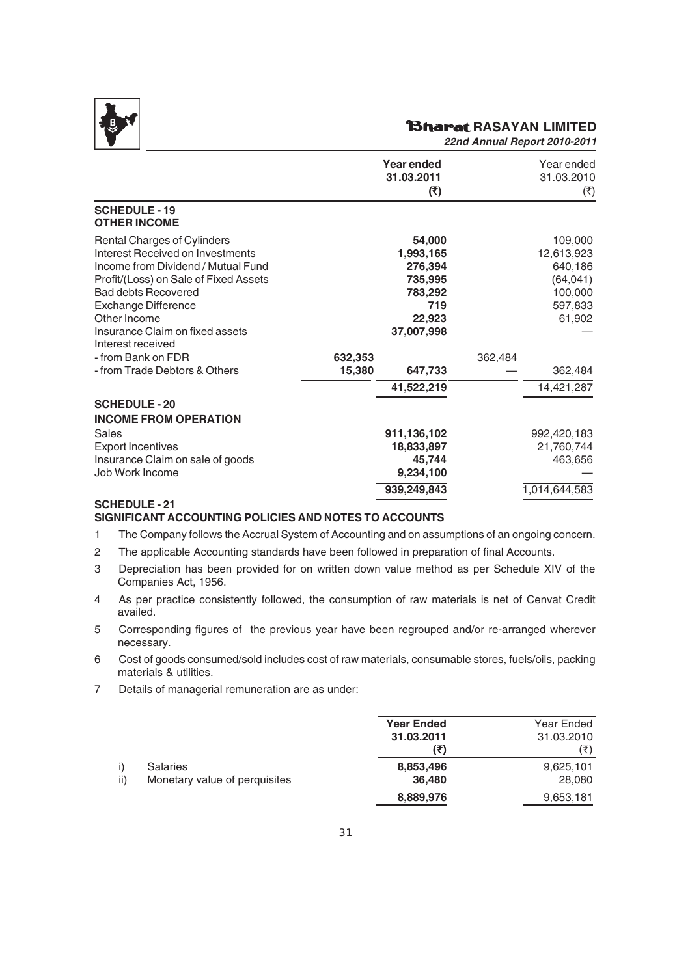

#### **RAGARIAN LIMITED**

*22nd Annual Report 2010-2011*

|                                                                                                                                                                                                                                                               |                   | Year ended<br>31.03.2011<br>(5)                                                     |         | Year ended<br>31.03.2010<br>$(\overline{\zeta})$                              |
|---------------------------------------------------------------------------------------------------------------------------------------------------------------------------------------------------------------------------------------------------------------|-------------------|-------------------------------------------------------------------------------------|---------|-------------------------------------------------------------------------------|
| <b>SCHEDULE-19</b><br><b>OTHER INCOME</b>                                                                                                                                                                                                                     |                   |                                                                                     |         |                                                                               |
| Rental Charges of Cylinders<br>Interest Received on Investments<br>Income from Dividend / Mutual Fund<br>Profit/(Loss) on Sale of Fixed Assets<br><b>Bad debts Recovered</b><br><b>Exchange Difference</b><br>Other Income<br>Insurance Claim on fixed assets |                   | 54,000<br>1,993,165<br>276,394<br>735,995<br>783,292<br>719<br>22,923<br>37,007,998 |         | 109,000<br>12,613,923<br>640,186<br>(64, 041)<br>100,000<br>597,833<br>61,902 |
| Interest received<br>- from Bank on FDR<br>- from Trade Debtors & Others                                                                                                                                                                                      | 632,353<br>15,380 | 647,733                                                                             | 362,484 | 362,484                                                                       |
|                                                                                                                                                                                                                                                               |                   | 41,522,219                                                                          |         | 14,421,287                                                                    |
| <b>SCHEDULE-20</b><br><b>INCOME FROM OPERATION</b><br>Sales<br><b>Export Incentives</b><br>Insurance Claim on sale of goods                                                                                                                                   |                   | 911,136,102<br>18,833,897<br>45,744                                                 |         | 992,420,183<br>21,760,744<br>463,656                                          |
| Job Work Income<br><b>SCHEDULE-21</b>                                                                                                                                                                                                                         |                   | 9,234,100<br>939,249,843                                                            |         | 1,014,644,583                                                                 |

#### **SIGNIFICANT ACCOUNTING POLICIES AND NOTES TO ACCOUNTS**

1 The Company follows the Accrual System of Accounting and on assumptions of an ongoing concern.

- 2 The applicable Accounting standards have been followed in preparation of final Accounts.
- 3 Depreciation has been provided for on written down value method as per Schedule XIV of the Companies Act, 1956.
- 4 As per practice consistently followed, the consumption of raw materials is net of Cenvat Credit availed.
- 5 Corresponding figures of the previous year have been regrouped and/or re-arranged wherever necessary.
- 6 Cost of goods consumed/sold includes cost of raw materials, consumable stores, fuels/oils, packing materials & utilities.
- 7 Details of managerial remuneration are as under:

|     |                               | <b>Year Ended</b> | Year Ended |
|-----|-------------------------------|-------------------|------------|
|     |                               | 31.03.2011        | 31.03.2010 |
|     |                               | (₹)               | (₹)        |
|     | <b>Salaries</b>               | 8,853,496         | 9,625,101  |
| ii) | Monetary value of perquisites | 36,480            | 28,080     |
|     |                               | 8,889,976         | 9,653,181  |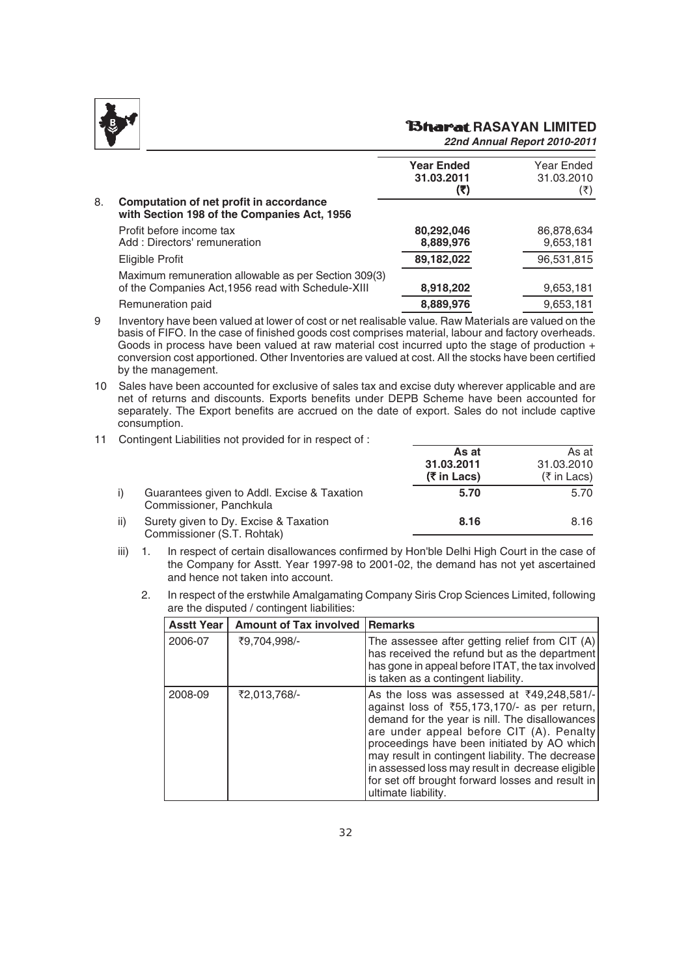

# *<u>Bharat RASAYAN LIMITED</u>*

|    |                                                                                                            | <b>Year Ended</b><br>31.03.2011<br>(₹) | Year Ended<br>31.03.2010<br>(₹) |
|----|------------------------------------------------------------------------------------------------------------|----------------------------------------|---------------------------------|
| 8. | Computation of net profit in accordance<br>with Section 198 of the Companies Act, 1956                     |                                        |                                 |
|    | Profit before income tax<br>Add: Directors' remuneration                                                   | 80,292,046<br>8,889,976                | 86,878,634<br>9,653,181         |
|    | Eligible Profit                                                                                            | 89,182,022                             | 96,531,815                      |
|    | Maximum remuneration allowable as per Section 309(3)<br>of the Companies Act, 1956 read with Schedule-XIII | 8,918,202                              | 9,653,181                       |
|    | Remuneration paid                                                                                          | 8,889,976                              | 9,653,181                       |
|    |                                                                                                            |                                        |                                 |

- 9 Inventory have been valued at lower of cost or net realisable value. Raw Materials are valued on the basis of FIFO. In the case of finished goods cost comprises material, labour and factory overheads. Goods in process have been valued at raw material cost incurred upto the stage of production + conversion cost apportioned. Other Inventories are valued at cost. All the stocks have been certified by the management.
- 10 Sales have been accounted for exclusive of sales tax and excise duty wherever applicable and are net of returns and discounts. Exports benefits under DEPB Scheme have been accounted for separately. The Export benefits are accrued on the date of export. Sales do not include captive consumption.
- 11 Contingent Liabilities not provided for in respect of :

|     |                                                                        | As at<br>31.03.2011<br>(₹ in Lacs) | As at<br>31.03.2010<br>(₹ in Lacs) |
|-----|------------------------------------------------------------------------|------------------------------------|------------------------------------|
|     | Guarantees given to Addl. Excise & Taxation<br>Commissioner, Panchkula | 5.70                               | 5.70                               |
| ii) | Surety given to Dy. Excise & Taxation<br>Commissioner (S.T. Rohtak)    | 8.16                               | 8.16                               |

- iii) 1. In respect of certain disallowances confirmed by Hon'ble Delhi High Court in the case of the Company for Asstt. Year 1997-98 to 2001-02, the demand has not yet ascertained and hence not taken into account.
	- 2. In respect of the erstwhile Amalgamating Company Siris Crop Sciences Limited, following are the disputed / contingent liabilities:

| <b>Asstt Year</b> | <b>Amount of Tax involved</b> | <b>Remarks</b>                                                                                                                                                                                                                                                                                                                                                                                                                         |
|-------------------|-------------------------------|----------------------------------------------------------------------------------------------------------------------------------------------------------------------------------------------------------------------------------------------------------------------------------------------------------------------------------------------------------------------------------------------------------------------------------------|
| 2006-07           | ₹9.704.998/-                  | The assessee after getting relief from CIT (A)<br>has received the refund but as the department<br>has gone in appeal before ITAT, the tax involved<br>is taken as a contingent liability.                                                                                                                                                                                                                                             |
| 2008-09           | ₹2,013,768/-                  | As the loss was assessed at $\overline{3}49.248.581/-$<br>against loss of ₹55,173,170/- as per return,<br>demand for the year is nill. The disallowances<br>are under appeal before CIT (A). Penalty<br>proceedings have been initiated by AO which<br>may result in contingent liability. The decrease<br>in assessed loss may result in decrease eligible<br>for set off brought forward losses and result in<br>ultimate liability. |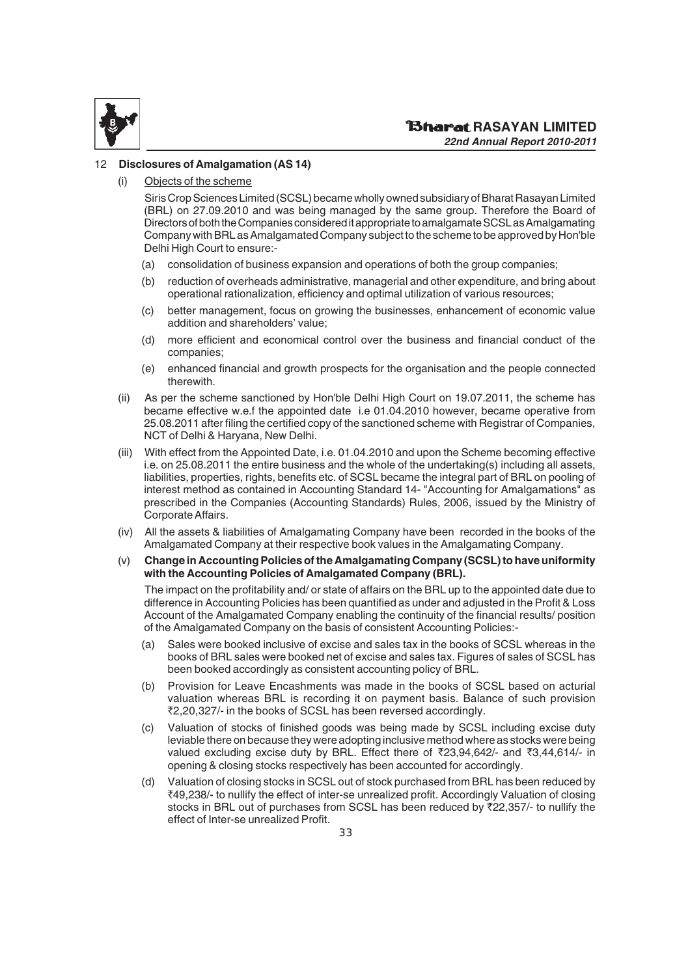

#### 12 **Disclosures of Amalgamation (AS 14)**

Objects of the scheme

Siris Crop Sciences Limited (SCSL) became wholly owned subsidiary of Bharat Rasayan Limited (BRL) on 27.09.2010 and was being managed by the same group. Therefore the Board of Directors of both the Companies considered it appropriate to amalgamate SCSL as Amalgamating Company with BRL as Amalgamated Company subject to the scheme to be approved by Hon'ble Delhi High Court to ensure:-

- (a) consolidation of business expansion and operations of both the group companies;
- (b) reduction of overheads administrative, managerial and other expenditure, and bring about operational rationalization, efficiency and optimal utilization of various resources;
- (c) better management, focus on growing the businesses, enhancement of economic value addition and shareholders' value;
- (d) more efficient and economical control over the business and financial conduct of the companies;
- (e) enhanced financial and growth prospects for the organisation and the people connected therewith.
- (ii) As per the scheme sanctioned by Hon'ble Delhi High Court on 19.07.2011, the scheme has became effective w.e.f the appointed date i.e 01.04.2010 however, became operative from 25.08.2011 after filing the certified copy of the sanctioned scheme with Registrar of Companies, NCT of Delhi & Haryana, New Delhi.
- (iii) With effect from the Appointed Date, i.e. 01.04.2010 and upon the Scheme becoming effective i.e. on 25.08.2011 the entire business and the whole of the undertaking(s) including all assets, liabilities, properties, rights, benefits etc. of SCSL became the integral part of BRL on pooling of interest method as contained in Accounting Standard 14- "Accounting for Amalgamations" as prescribed in the Companies (Accounting Standards) Rules, 2006, issued by the Ministry of Corporate Affairs.
- (iv) All the assets & liabilities of Amalgamating Company have been recorded in the books of the Amalgamated Company at their respective book values in the Amalgamating Company.
- (v) **Change in Accounting Policies of the Amalgamating Company (SCSL) to have uniformity with the Accounting Policies of Amalgamated Company (BRL).**

The impact on the profitability and/ or state of affairs on the BRL up to the appointed date due to difference in Accounting Policies has been quantified as under and adjusted in the Profit & Loss Account of the Amalgamated Company enabling the continuity of the financial results/ position of the Amalgamated Company on the basis of consistent Accounting Policies:-

- (a) Sales were booked inclusive of excise and sales tax in the books of SCSL whereas in the books of BRL sales were booked net of excise and sales tax. Figures of sales of SCSL has been booked accordingly as consistent accounting policy of BRL.
- (b) Provision for Leave Encashments was made in the books of SCSL based on acturial valuation whereas BRL is recording it on payment basis. Balance of such provision `2,20,327/- in the books of SCSL has been reversed accordingly.
- (c) Valuation of stocks of finished goods was being made by SCSL including excise duty leviable there on because they were adopting inclusive method where as stocks were being valued excluding excise duty by BRL. Effect there of  $\overline{23,94,642}$ - and  $\overline{3,44,614}$ - in opening & closing stocks respectively has been accounted for accordingly.
- (d) Valuation of closing stocks in SCSL out of stock purchased from BRL has been reduced by `49,238/- to nullify the effect of inter-se unrealized profit. Accordingly Valuation of closing stocks in BRL out of purchases from SCSL has been reduced by ₹22,357/- to nullify the effect of Inter-se unrealized Profit.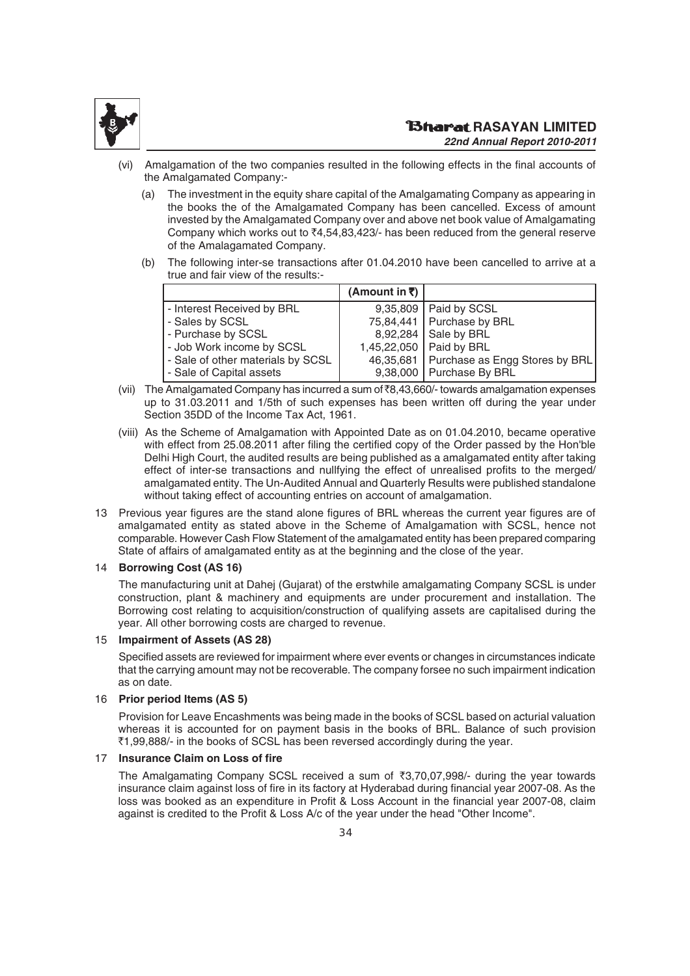

- Amalgamation of the two companies resulted in the following effects in the final accounts of the Amalgamated Company:-
	- (a) The investment in the equity share capital of the Amalgamating Company as appearing in the books the of the Amalgamated Company has been cancelled. Excess of amount invested by the Amalgamated Company over and above net book value of Amalgamating Company which works out to  $\overline{x}4,54,83,423/$ - has been reduced from the general reserve of the Amalagamated Company.
	- (b) The following inter-se transactions after 01.04.2010 have been cancelled to arrive at a true and fair view of the results:-

|                                   | (Amount in ₹) |                                            |
|-----------------------------------|---------------|--------------------------------------------|
| - Interest Received by BRL        |               | 9,35,809   Paid by SCSL                    |
| - Sales by SCSL                   |               | 75,84,441   Purchase by BRL                |
| - Purchase by SCSL                |               | 8,92,284   Sale by BRL                     |
| - Job Work income by SCSL         |               | 1,45,22,050   Paid by BRL                  |
| - Sale of other materials by SCSL |               | 46,35,681   Purchase as Engg Stores by BRL |
| - Sale of Capital assets          |               | 9,38,000   Purchase By BRL                 |

- (vii) The Amalgamated Company has incurred a sum of  $\bar{\mathcal{R}}_3,43,660/$  towards amalgamation expenses up to 31.03.2011 and 1/5th of such expenses has been written off during the year under Section 35DD of the Income Tax Act, 1961.
- (viii) As the Scheme of Amalgamation with Appointed Date as on 01.04.2010, became operative with effect from 25.08.2011 after filing the certified copy of the Order passed by the Hon'ble Delhi High Court, the audited results are being published as a amalgamated entity after taking effect of inter-se transactions and nullfying the effect of unrealised profits to the merged/ amalgamated entity. The Un-Audited Annual and Quarterly Results were published standalone without taking effect of accounting entries on account of amalgamation.
- 13 Previous year figures are the stand alone figures of BRL whereas the current year figures are of amalgamated entity as stated above in the Scheme of Amalgamation with SCSL, hence not comparable. However Cash Flow Statement of the amalgamated entity has been prepared comparing State of affairs of amalgamated entity as at the beginning and the close of the year.

#### 14 **Borrowing Cost (AS 16)**

The manufacturing unit at Dahej (Gujarat) of the erstwhile amalgamating Company SCSL is under construction, plant & machinery and equipments are under procurement and installation. The Borrowing cost relating to acquisition/construction of qualifying assets are capitalised during the year. All other borrowing costs are charged to revenue.

#### 15 **Impairment of Assets (AS 28)**

Specified assets are reviewed for impairment where ever events or changes in circumstances indicate that the carrying amount may not be recoverable. The company forsee no such impairment indication as on date.

#### 16 **Prior period Items (AS 5)**

Provision for Leave Encashments was being made in the books of SCSL based on acturial valuation whereas it is accounted for on payment basis in the books of BRL. Balance of such provision ₹1,99,888/- in the books of SCSL has been reversed accordingly during the year.

#### 17 **Insurance Claim on Loss of fire**

The Amalgamating Company SCSL received a sum of  $\overline{3}3,70,07,998/$ - during the year towards insurance claim against loss of fire in its factory at Hyderabad during financial year 2007-08. As the loss was booked as an expenditure in Profit & Loss Account in the financial year 2007-08, claim against is credited to the Profit & Loss A/c of the year under the head "Other Income".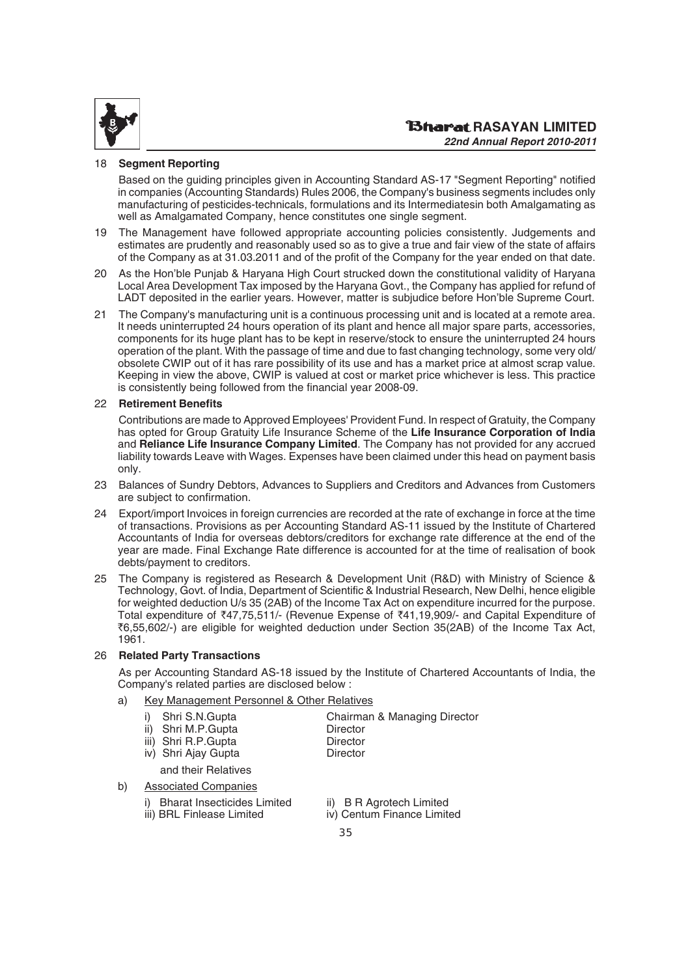

#### 18 **Segment Reporting**

Based on the guiding principles given in Accounting Standard AS-17 "Segment Reporting" notified in companies (Accounting Standards) Rules 2006, the Company's business segments includes only manufacturing of pesticides-technicals, formulations and its Intermediatesin both Amalgamating as well as Amalgamated Company, hence constitutes one single segment.

- 19 The Management have followed appropriate accounting policies consistently. Judgements and estimates are prudently and reasonably used so as to give a true and fair view of the state of affairs of the Company as at 31.03.2011 and of the profit of the Company for the year ended on that date.
- 20 As the Hon'ble Punjab & Haryana High Court strucked down the constitutional validity of Haryana Local Area Development Tax imposed by the Haryana Govt., the Company has applied for refund of LADT deposited in the earlier years. However, matter is subjudice before Hon'ble Supreme Court.
- 21 The Company's manufacturing unit is a continuous processing unit and is located at a remote area. It needs uninterrupted 24 hours operation of its plant and hence all major spare parts, accessories, components for its huge plant has to be kept in reserve/stock to ensure the uninterrupted 24 hours operation of the plant. With the passage of time and due to fast changing technology, some very old/ obsolete CWIP out of it has rare possibility of its use and has a market price at almost scrap value. Keeping in view the above, CWIP is valued at cost or market price whichever is less. This practice is consistently being followed from the financial year 2008-09.

#### 22 **Retirement Benefits**

Contributions are made to Approved Employees' Provident Fund. In respect of Gratuity, the Company has opted for Group Gratuity Life Insurance Scheme of the **Life Insurance Corporation of India** and **Reliance Life Insurance Company Limited**. The Company has not provided for any accrued liability towards Leave with Wages. Expenses have been claimed under this head on payment basis only.

- 23 Balances of Sundry Debtors, Advances to Suppliers and Creditors and Advances from Customers are subject to confirmation.
- 24 Export/import Invoices in foreign currencies are recorded at the rate of exchange in force at the time of transactions. Provisions as per Accounting Standard AS-11 issued by the Institute of Chartered Accountants of India for overseas debtors/creditors for exchange rate difference at the end of the year are made. Final Exchange Rate difference is accounted for at the time of realisation of book debts/payment to creditors.
- 25 The Company is registered as Research & Development Unit (R&D) with Ministry of Science & Technology, Govt. of India, Department of Scientific & Industrial Research, New Delhi, hence eligible for weighted deduction U/s 35 (2AB) of the Income Tax Act on expenditure incurred for the purpose. Total expenditure of ₹47,75,511/- (Revenue Expense of ₹41,19,909/- and Capital Expenditure of `6,55,602/-) are eligible for weighted deduction under Section 35(2AB) of the Income Tax Act, 1961.

#### 26 **Related Party Transactions**

As per Accounting Standard AS-18 issued by the Institute of Chartered Accountants of India, the Company's related parties are disclosed below :

a) Key Management Personnel & Other Relatives

| Shri S.N.Gupta      | Chairman & Managing Director |
|---------------------|------------------------------|
| ii) Shri M.P.Gupta  | Director                     |
| iii) Shri R.P.Gupta | Director                     |
| iv) Shri Ajay Gupta | <b>Director</b>              |
| and their Relatives |                              |
|                     |                              |

#### b) Associated Companies

- i) Bharat Insecticides Limited ii) B R Agrotech Limited
	- iii) BRL Finlease Limited iv) Centum Finance Limited
- - 35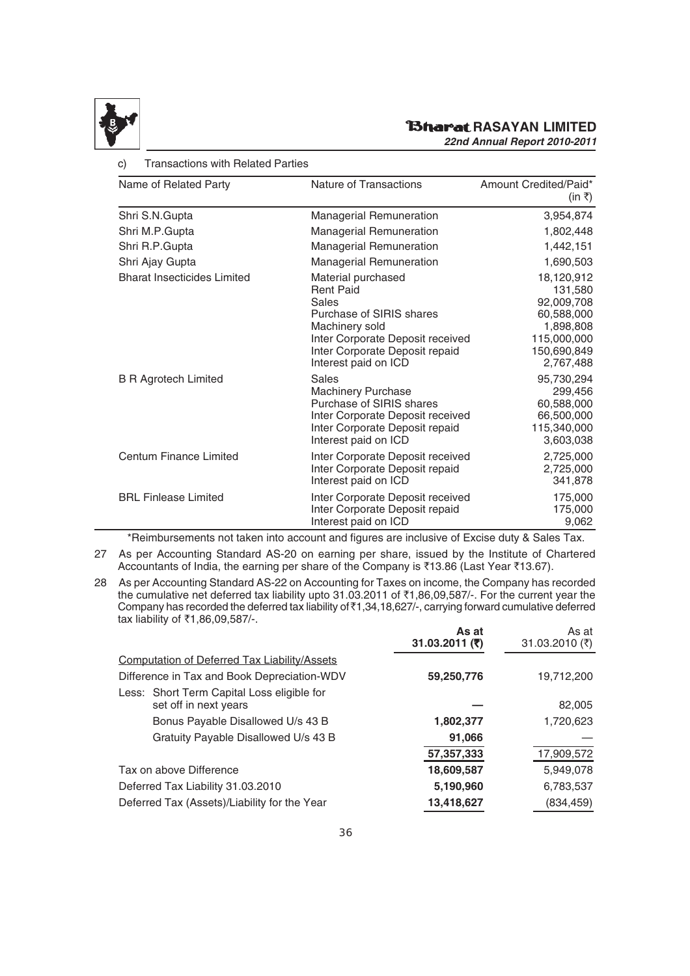

c) Transactions with Related Parties

# **RAGARIAN LIMITED**

*22nd Annual Report 2010-2011*

| Name of Related Party              | Nature of Transactions                                                                                                                                                                      | Amount Credited/Paid*<br>(in ₹)                                                                           |
|------------------------------------|---------------------------------------------------------------------------------------------------------------------------------------------------------------------------------------------|-----------------------------------------------------------------------------------------------------------|
| Shri S.N.Gupta                     | <b>Managerial Remuneration</b>                                                                                                                                                              | 3,954,874                                                                                                 |
| Shri M.P.Gupta                     | <b>Managerial Remuneration</b>                                                                                                                                                              | 1,802,448                                                                                                 |
| Shri R.P.Gupta                     | <b>Managerial Remuneration</b>                                                                                                                                                              | 1,442,151                                                                                                 |
| Shri Ajay Gupta                    | <b>Managerial Remuneration</b>                                                                                                                                                              | 1,690,503                                                                                                 |
| <b>Bharat Insecticides Limited</b> | Material purchased<br><b>Rent Paid</b><br>Sales<br>Purchase of SIRIS shares<br>Machinery sold<br>Inter Corporate Deposit received<br>Inter Corporate Deposit repaid<br>Interest paid on ICD | 18,120,912<br>131,580<br>92,009,708<br>60,588,000<br>1,898,808<br>115,000,000<br>150,690,849<br>2,767,488 |
| <b>B R Agrotech Limited</b>        | Sales<br><b>Machinery Purchase</b><br>Purchase of SIRIS shares<br>Inter Corporate Deposit received<br>Inter Corporate Deposit repaid<br>Interest paid on ICD                                | 95,730,294<br>299,456<br>60,588,000<br>66,500,000<br>115,340,000<br>3,603,038                             |
| <b>Centum Finance Limited</b>      | Inter Corporate Deposit received<br>Inter Corporate Deposit repaid<br>Interest paid on ICD                                                                                                  | 2,725,000<br>2,725,000<br>341,878                                                                         |
| <b>BRL Finlease Limited</b>        | Inter Corporate Deposit received<br>Inter Corporate Deposit repaid<br>Interest paid on ICD                                                                                                  | 175,000<br>175,000<br>9,062                                                                               |

\*Reimbursements not taken into account and figures are inclusive of Excise duty & Sales Tax.

- 27 As per Accounting Standard AS-20 on earning per share, issued by the Institute of Chartered Accountants of India, the earning per share of the Company is  $\bar{\tau}$ 13.86 (Last Year  $\bar{\tau}$ 13.67).
- 28 As per Accounting Standard AS-22 on Accounting for Taxes on income, the Company has recorded the cumulative net deferred tax liability upto 31.03.2011 of  $\overline{51,86,09,587/}$ . For the current year the Company has recorded the deferred tax liability of `1,34,18,627/-, carrying forward cumulative deferred tax liability of ₹1,86,09,587/-.

|                                                     | As at<br>31.03.2011 $($ ₹) | As at<br>31.03.2010 (₹) |
|-----------------------------------------------------|----------------------------|-------------------------|
| <b>Computation of Deferred Tax Liability/Assets</b> |                            |                         |
| Difference in Tax and Book Depreciation-WDV         | 59,250,776                 | 19,712,200              |
| Less: Short Term Capital Loss eligible for          |                            |                         |
| set off in next years                               |                            | 82,005                  |
| Bonus Payable Disallowed U/s 43 B                   | 1,802,377                  | 1,720,623               |
| Gratuity Payable Disallowed U/s 43 B                | 91,066                     |                         |
|                                                     | 57,357,333                 | 17,909,572              |
| Tax on above Difference                             | 18,609,587                 | 5,949,078               |
| Deferred Tax Liability 31.03.2010                   | 5,190,960                  | 6,783,537               |
| Deferred Tax (Assets)/Liability for the Year        | 13,418,627                 | (834, 459)              |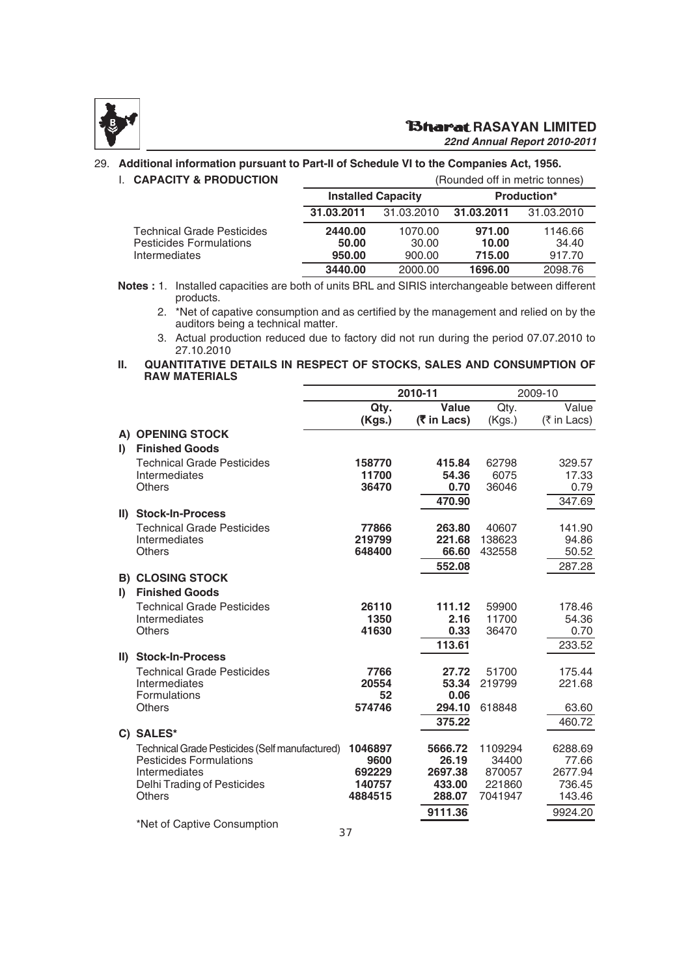

#### **RAGARIAN LIMITED**

*22nd Annual Report 2010-2011*

#### 29. **Additional information pursuant to Part-II of Schedule VI to the Companies Act, 1956.**

| <b>L. CAPACITY &amp; PRODUCTION</b> |  |  |  |
|-------------------------------------|--|--|--|

| <b>CAPACITY &amp; PRODUCTION</b>                                       |                            |                            | (Rounded off in metric tonnes) |                            |
|------------------------------------------------------------------------|----------------------------|----------------------------|--------------------------------|----------------------------|
|                                                                        |                            | <b>Installed Capacity</b>  |                                | <b>Production*</b>         |
|                                                                        | 31.03.2011                 | 31.03.2010                 | 31.03.2011                     | 31.03.2010                 |
| Technical Grade Pesticides<br>Pesticides Formulations<br>Intermediates | 2440.00<br>50.00<br>950.00 | 1070.00<br>30.00<br>900.00 | 971.00<br>10.00<br>715.00      | 1146.66<br>34.40<br>917.70 |
|                                                                        | 3440.00                    | 2000.00                    | 1696.00                        | 2098.76                    |

**Notes :** 1. Installed capacities are both of units BRL and SIRIS interchangeable between different products.

2. \*Net of capative consumption and as certified by the management and relied on by the auditors being a technical matter.

3. Actual production reduced due to factory did not run during the period 07.07.2010 to 27.10.2010

#### **II. QUANTITATIVE DETAILS IN RESPECT OF STOCKS, SALES AND CONSUMPTION OF RAW MATERIALS**

|              |                                                                                  | 2010-11          |                      | 2009-10          |                      |
|--------------|----------------------------------------------------------------------------------|------------------|----------------------|------------------|----------------------|
|              |                                                                                  | Qty.<br>(Kgs.)   | Value<br>(₹ in Lacs) | Qty.<br>(Kgs.)   | Value<br>(₹ in Lacs) |
|              | A) OPENING STOCK                                                                 |                  |                      |                  |                      |
| $\mathbf{I}$ | <b>Finished Goods</b>                                                            |                  |                      |                  |                      |
|              | <b>Technical Grade Pesticides</b>                                                | 158770           | 415.84               | 62798            | 329.57               |
|              | Intermediates                                                                    | 11700            | 54.36                | 6075             | 17.33                |
|              | <b>Others</b>                                                                    | 36470            | 0.70                 | 36046            | 0.79                 |
|              |                                                                                  |                  | 470.90               |                  | 347.69               |
| $\parallel$  | <b>Stock-In-Process</b>                                                          |                  |                      |                  |                      |
|              | <b>Technical Grade Pesticides</b>                                                | 77866            | 263.80               | 40607            | 141.90               |
|              | Intermediates<br><b>Others</b>                                                   | 219799<br>648400 | 221.68<br>66.60      | 138623<br>432558 | 94.86<br>50.52       |
|              |                                                                                  |                  |                      |                  |                      |
|              | <b>B) CLOSING STOCK</b>                                                          |                  | 552.08               |                  | 287.28               |
| $\mathbf{D}$ | <b>Finished Goods</b>                                                            |                  |                      |                  |                      |
|              | <b>Technical Grade Pesticides</b>                                                | 26110            | 111.12               | 59900            | 178.46               |
|              | Intermediates                                                                    | 1350             | 2.16                 | 11700            | 54.36                |
|              | <b>Others</b>                                                                    | 41630            | 0.33                 | 36470            | 0.70                 |
|              |                                                                                  |                  | 113.61               |                  | 233.52               |
|              | II) Stock-In-Process                                                             |                  |                      |                  |                      |
|              | <b>Technical Grade Pesticides</b>                                                | 7766             | 27.72                | 51700            | 175.44               |
|              | Intermediates                                                                    | 20554            | 53.34                | 219799           | 221.68               |
|              | <b>Formulations</b>                                                              | 52               | 0.06                 |                  |                      |
|              | <b>Others</b>                                                                    | 574746           | 294.10               | 618848           | 63.60                |
|              |                                                                                  |                  | 375.22               |                  | 460.72               |
|              | C) SALES*                                                                        |                  |                      |                  |                      |
|              | Technical Grade Pesticides (Self manufactured)<br><b>Pesticides Formulations</b> | 1046897<br>9600  | 5666.72<br>26.19     | 1109294<br>34400 | 6288.69<br>77.66     |
|              | Intermediates                                                                    | 692229           | 2697.38              | 870057           | 2677.94              |
|              | Delhi Trading of Pesticides                                                      | 140757           | 433.00               | 221860           | 736.45               |
|              | <b>Others</b>                                                                    | 4884515          | 288.07               | 7041947          | 143.46               |
|              |                                                                                  |                  | 9111.36              |                  | 9924.20              |
|              | *Net of Captive Consumption                                                      |                  |                      |                  |                      |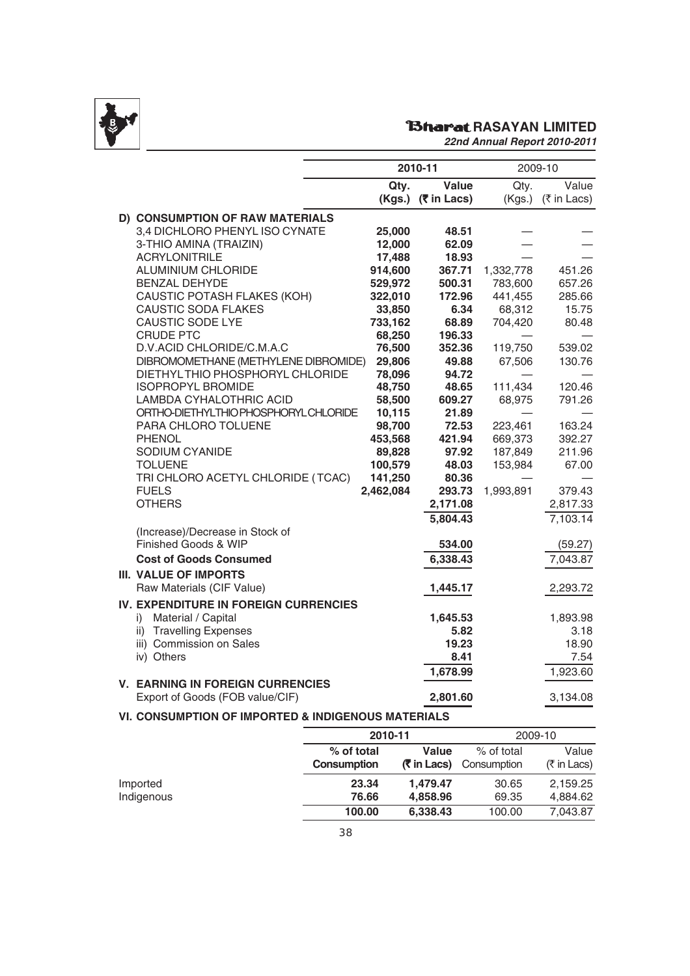

# **RAGARASAYAN LIMITED**

|                                                    |           | 2010-11              |           | 2009-10     |
|----------------------------------------------------|-----------|----------------------|-----------|-------------|
|                                                    | Qty.      | Value                | Qty.      | Value       |
|                                                    |           | $(Kgs.)$ (₹ in Lacs) | (Kgs.)    | (₹ in Lacs) |
| D) CONSUMPTION OF RAW MATERIALS                    |           |                      |           |             |
| 3,4 DICHLORO PHENYL ISO CYNATE                     | 25,000    | 48.51                |           |             |
| 3-THIO AMINA (TRAIZIN)                             | 12,000    | 62.09                |           |             |
| <b>ACRYLONITRILE</b>                               | 17,488    | 18.93                |           |             |
| ALUMINIUM CHLORIDE                                 | 914,600   | 367.71               | 1,332,778 | 451.26      |
| <b>BENZAL DEHYDE</b>                               | 529,972   | 500.31               | 783,600   | 657.26      |
| CAUSTIC POTASH FLAKES (KOH)                        | 322,010   | 172.96               | 441,455   | 285.66      |
| <b>CAUSTIC SODA FLAKES</b>                         | 33,850    | 6.34                 | 68,312    | 15.75       |
| <b>CAUSTIC SODE LYE</b>                            | 733,162   | 68.89                | 704,420   | 80.48       |
| <b>CRUDE PTC</b>                                   | 68,250    | 196.33               |           |             |
| D.V.ACID CHLORIDE/C.M.A.C                          | 76,500    | 352.36               | 119,750   | 539.02      |
| DIBROMOMETHANE (METHYLENE DIBROMIDE)               | 29,806    | 49.88                | 67,506    | 130.76      |
| DIETHYLTHIO PHOSPHORYL CHLORIDE                    | 78,096    | 94.72                |           |             |
| <b>ISOPROPYL BROMIDE</b>                           | 48,750    | 48.65                | 111,434   | 120.46      |
| LAMBDA CYHALOTHRIC ACID                            | 58,500    | 609.27               | 68,975    | 791.26      |
| ORTHO-DIETHYLTHIO PHOSPHORYL CHLORIDE              | 10,115    | 21.89                |           |             |
| PARA CHLORO TOLUENE                                | 98,700    | 72.53                | 223,461   | 163.24      |
| <b>PHENOL</b>                                      | 453,568   | 421.94               | 669,373   | 392.27      |
| SODIUM CYANIDE                                     | 89,828    | 97.92                | 187,849   | 211.96      |
| <b>TOLUENE</b>                                     | 100,579   | 48.03                | 153,984   | 67.00       |
| TRI CHLORO ACETYL CHLORIDE (TCAC)                  | 141,250   | 80.36                |           |             |
| <b>FUELS</b>                                       | 2,462,084 | 293.73               | 1,993,891 | 379.43      |
| <b>OTHERS</b>                                      |           | 2,171.08             |           | 2,817.33    |
|                                                    |           | 5,804.43             |           | 7,103.14    |
| (Increase)/Decrease in Stock of                    |           |                      |           |             |
| Finished Goods & WIP                               |           | 534.00               |           | (59.27)     |
| <b>Cost of Goods Consumed</b>                      |           | 6,338.43             |           | 7,043.87    |
| <b>III. VALUE OF IMPORTS</b>                       |           |                      |           |             |
| Raw Materials (CIF Value)                          |           | 1,445.17             |           | 2,293.72    |
| IV. EXPENDITURE IN FOREIGN CURRENCIES              |           |                      |           |             |
| Material / Capital<br>i)                           |           | 1,645.53             |           | 1,893.98    |
| ii) Travelling Expenses                            |           | 5.82                 |           | 3.18        |
| iii) Commission on Sales                           |           | 19.23                |           | 18.90       |
| iv) Others                                         |           | 8.41                 |           | 7.54        |
|                                                    |           | 1,678.99             |           | 1,923.60    |
| <b>V. EARNING IN FOREIGN CURRENCIES</b>            |           |                      |           |             |
| Export of Goods (FOB value/CIF)                    |           | 2,801.60             |           | 3,134.08    |
| VI. CONSUMPTION OF IMPORTED & INDIGENOUS MATERIALS |           |                      |           |             |

|                        |                                  | 2010-11                     |                           | 2009-10              |  |
|------------------------|----------------------------------|-----------------------------|---------------------------|----------------------|--|
|                        | % of total<br><b>Consumption</b> | Value<br><b>(₹ in Lacs)</b> | % of total<br>Consumption | Value<br>(₹ in Lacs) |  |
| Imported<br>Indigenous | 23.34<br>76.66                   | 1,479.47<br>4,858.96        | 30.65<br>69.35            | 2,159.25<br>4,884.62 |  |
|                        | 100.00                           | 6,338.43                    | 100.00                    | 7,043.87             |  |
|                        |                                  |                             |                           |                      |  |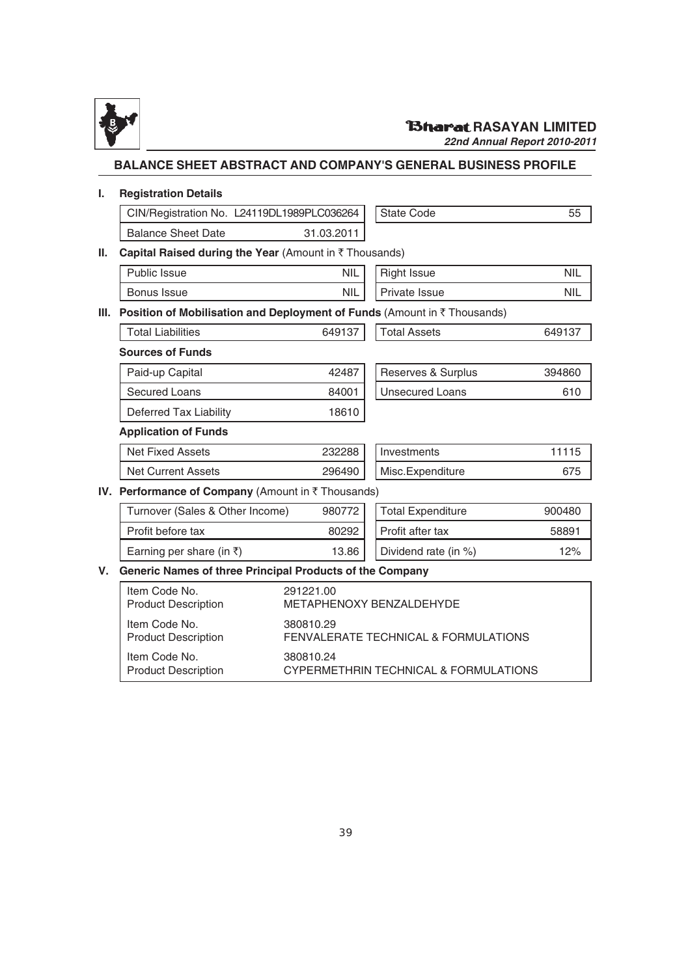

*22nd Annual Report 2010-2011*

### **BALANCE SHEET ABSTRACT AND COMPANY'S GENERAL BUSINESS PROFILE**

#### **I. Registration Details**

|     | CIN/Registration No. L24119DL1989PLC036264                               |                                                                                                         | State Code               | 55         |  |  |  |  |  |
|-----|--------------------------------------------------------------------------|---------------------------------------------------------------------------------------------------------|--------------------------|------------|--|--|--|--|--|
|     | <b>Balance Sheet Date</b>                                                | 31.03.2011                                                                                              |                          |            |  |  |  |  |  |
| II. | Capital Raised during the Year (Amount in ₹ Thousands)                   |                                                                                                         |                          |            |  |  |  |  |  |
|     | <b>Public Issue</b>                                                      | <b>NIL</b>                                                                                              | <b>Right Issue</b>       | <b>NIL</b> |  |  |  |  |  |
|     | Bonus Issue                                                              | <b>NIL</b>                                                                                              | Private Issue            | <b>NIL</b> |  |  |  |  |  |
| Ш.  | Position of Mobilisation and Deployment of Funds (Amount in ₹ Thousands) |                                                                                                         |                          |            |  |  |  |  |  |
|     | <b>Total Liabilities</b>                                                 | 649137                                                                                                  | <b>Total Assets</b>      | 649137     |  |  |  |  |  |
|     | <b>Sources of Funds</b>                                                  |                                                                                                         |                          |            |  |  |  |  |  |
|     | Paid-up Capital                                                          | 42487                                                                                                   | Reserves & Surplus       | 394860     |  |  |  |  |  |
|     | <b>Secured Loans</b>                                                     | 84001                                                                                                   | <b>Unsecured Loans</b>   | 610        |  |  |  |  |  |
|     | Deferred Tax Liability                                                   | 18610                                                                                                   |                          |            |  |  |  |  |  |
|     | <b>Application of Funds</b>                                              |                                                                                                         |                          |            |  |  |  |  |  |
|     | <b>Net Fixed Assets</b>                                                  | 232288                                                                                                  | Investments              | 11115      |  |  |  |  |  |
|     | <b>Net Current Assets</b>                                                | 296490                                                                                                  | Misc.Expenditure         | 675        |  |  |  |  |  |
|     | IV. Performance of Company (Amount in ₹ Thousands)                       |                                                                                                         |                          |            |  |  |  |  |  |
|     | Turnover (Sales & Other Income)                                          | 980772                                                                                                  | <b>Total Expenditure</b> | 900480     |  |  |  |  |  |
|     | Profit before tax                                                        | 80292                                                                                                   | Profit after tax         | 58891      |  |  |  |  |  |
|     | Earning per share (in ₹)                                                 | 13.86                                                                                                   | Dividend rate (in %)     | 12%        |  |  |  |  |  |
| V.  |                                                                          | Generic Names of three Principal Products of the Company                                                |                          |            |  |  |  |  |  |
|     | Item Code No.<br><b>Product Description</b>                              | 291221.00<br>METAPHENOXY BENZALDEHYDE                                                                   |                          |            |  |  |  |  |  |
|     | Item Code No.<br><b>Product Description</b>                              | 380810.29<br>FENVALERATE TECHNICAL & FORMULATIONS<br>380810.24<br>CYPERMETHRIN TECHNICAL & FORMULATIONS |                          |            |  |  |  |  |  |
|     | Item Code No.<br><b>Product Description</b>                              |                                                                                                         |                          |            |  |  |  |  |  |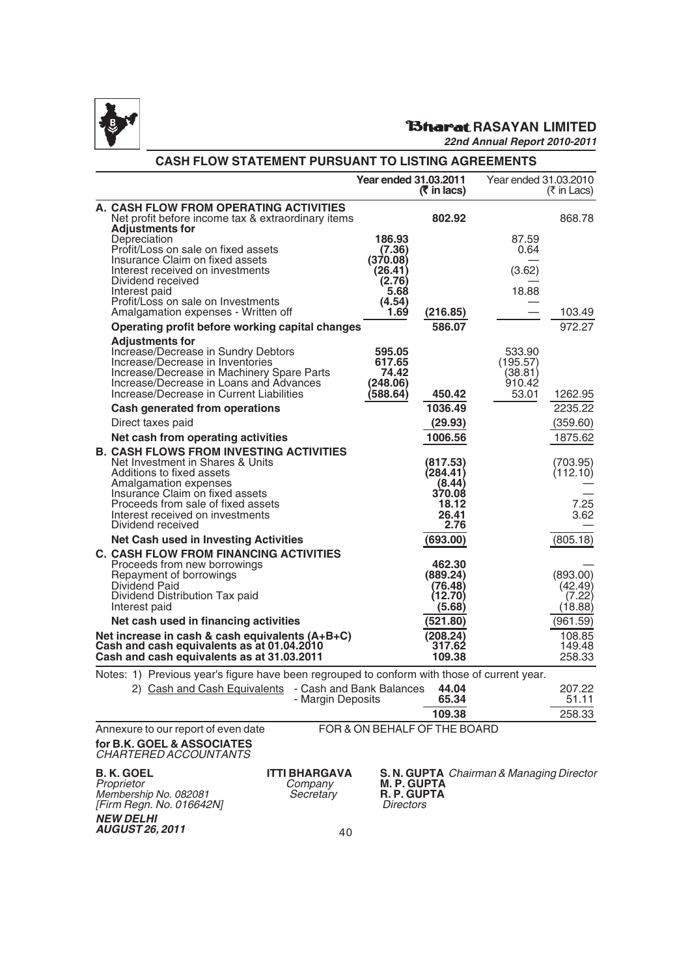

### **RASAYAN LIMITED**

*22nd Annual Report 2010-2011*

| <b>CASH FLOW STATEMENT PURSUANT TO LISTING AGREEMENTS</b> |                                                                                                                                                                                                                                                                            |                                                  |                                                                    |                                                  |                                          |  |
|-----------------------------------------------------------|----------------------------------------------------------------------------------------------------------------------------------------------------------------------------------------------------------------------------------------------------------------------------|--------------------------------------------------|--------------------------------------------------------------------|--------------------------------------------------|------------------------------------------|--|
|                                                           |                                                                                                                                                                                                                                                                            | Year ended 31.03.2011                            | $($ ₹ in lacs)                                                     | Year ended 31.03.2010                            | (₹ in Lacs)                              |  |
|                                                           | A. CASH FLOW FROM OPERATING ACTIVITIES<br>Net profit before income tax & extraordinary items<br><b>Adjustments for</b>                                                                                                                                                     |                                                  | 802.92                                                             |                                                  | 868.78                                   |  |
|                                                           | Depreciation<br>Profit/Loss on sale on fixed assets<br>Insurance Claim on fixed assets                                                                                                                                                                                     | 186.93<br>(7.36)<br>(370.08)                     |                                                                    | 87.59<br>0.64                                    |                                          |  |
|                                                           | Interest received on investments<br>Dividend received<br>Interest paid                                                                                                                                                                                                     | (26.41)<br>(2.76)<br>5.68                        |                                                                    | (3.62)<br>18.88                                  |                                          |  |
|                                                           | Profit/Loss on sale on Investments<br>Amalgamation expenses - Written off                                                                                                                                                                                                  | (4.54)<br>1.69                                   | (216.85)                                                           |                                                  | 103.49                                   |  |
|                                                           | Operating profit before working capital changes                                                                                                                                                                                                                            |                                                  | 586.07                                                             |                                                  | 972.27                                   |  |
|                                                           | <b>Adjustments for</b><br>Increase/Decrease in Sundry Debtors<br>Increase/Decrease in Inventories<br>Increase/Decrease in Machinery Spare Parts<br>Increase/Decrease in Loans and Advances<br>Increase/Decrease in Current Liabilities                                     | 595.05<br>617.65<br>74.42<br>248.06)<br>(588.64) | 450.42                                                             | 533.90<br>(195.57)<br>(38.81)<br>910.42<br>53.01 | 1262.95                                  |  |
|                                                           | <b>Cash generated from operations</b>                                                                                                                                                                                                                                      |                                                  | 1036.49                                                            |                                                  | 2235.22                                  |  |
|                                                           | Direct taxes paid                                                                                                                                                                                                                                                          |                                                  | (29.93)                                                            |                                                  | (359.60)                                 |  |
|                                                           | Net cash from operating activities                                                                                                                                                                                                                                         |                                                  | 1006.56                                                            |                                                  | 1875.62                                  |  |
|                                                           | <b>B. CASH FLOWS FROM INVESTING ACTIVITIES</b><br>Net Investment in Shares & Units<br>Additions to fixed assets<br>Amalgamation expenses<br>Insurance Claim on fixed assets<br>Proceeds from sale of fixed assets<br>Interest received on investments<br>Dividend received |                                                  | (817.53)<br>(284.41)<br>(8.44)<br>370.08<br>18.12<br>26.41<br>2.76 |                                                  | (703.95)<br>(112.10)<br>7.25<br>3.62     |  |
|                                                           | <b>Net Cash used in Investing Activities</b>                                                                                                                                                                                                                               |                                                  | (693.00)                                                           |                                                  | (805.18)                                 |  |
|                                                           | <b>C. CASH FLOW FROM FINANCING ACTIVITIES</b><br>Proceeds from new borrowings<br>Repayment of borrowings<br>Dividend Paid<br>Dividend Distribution Tax paid<br>Interest paid                                                                                               |                                                  | 462.30<br>(889.24)<br>(76.48)<br>(12.70)<br>(5.68)                 |                                                  | (893.00)<br>(42.49)<br>(7.22)<br>(18.88) |  |
|                                                           | Net cash used in financing activities                                                                                                                                                                                                                                      |                                                  | (521.80)                                                           |                                                  | (961.59)                                 |  |
|                                                           | Net increase in cash & cash equivalents (A+B+C)<br>(208.24)<br>Cash and cash equivalents as at 01.04.2010<br>317.62<br>Cash and cash equivalents as at 31.03.2011<br>109.38                                                                                                |                                                  |                                                                    |                                                  | 108.85<br>149.48<br>258.33               |  |
|                                                           | Notes: 1) Previous year's figure have been regrouped to conform with those of current year.                                                                                                                                                                                |                                                  |                                                                    |                                                  |                                          |  |
|                                                           | 2) Cash and Cash Equivalents - Cash and Bank Balances<br>- Margin Deposits                                                                                                                                                                                                 |                                                  | 44.04<br>65.34                                                     |                                                  | 207.22<br>51.11                          |  |
|                                                           |                                                                                                                                                                                                                                                                            |                                                  | 109.38                                                             |                                                  | 258.33                                   |  |

Annexure to our report of even date FOR & ON BEHALF OF THE BOARD

**for B.K. GOEL & ASSOCIATES** CHARTERED ACCOUNTANTS

*NEW DELHI AUGUST 26, 2011*

Membership No. 082081 Secretary **R. P. GUPTA** [Firm Regn. No. 016642N] Directors

**B. K. GOEL ITTI BHARGAVA S. N. GUPTA** Chairman & Managing Director<br>
Proprietor Company M. P. GUPTA<br>
Membership No. 082081 Secretary R. P. GUPTA